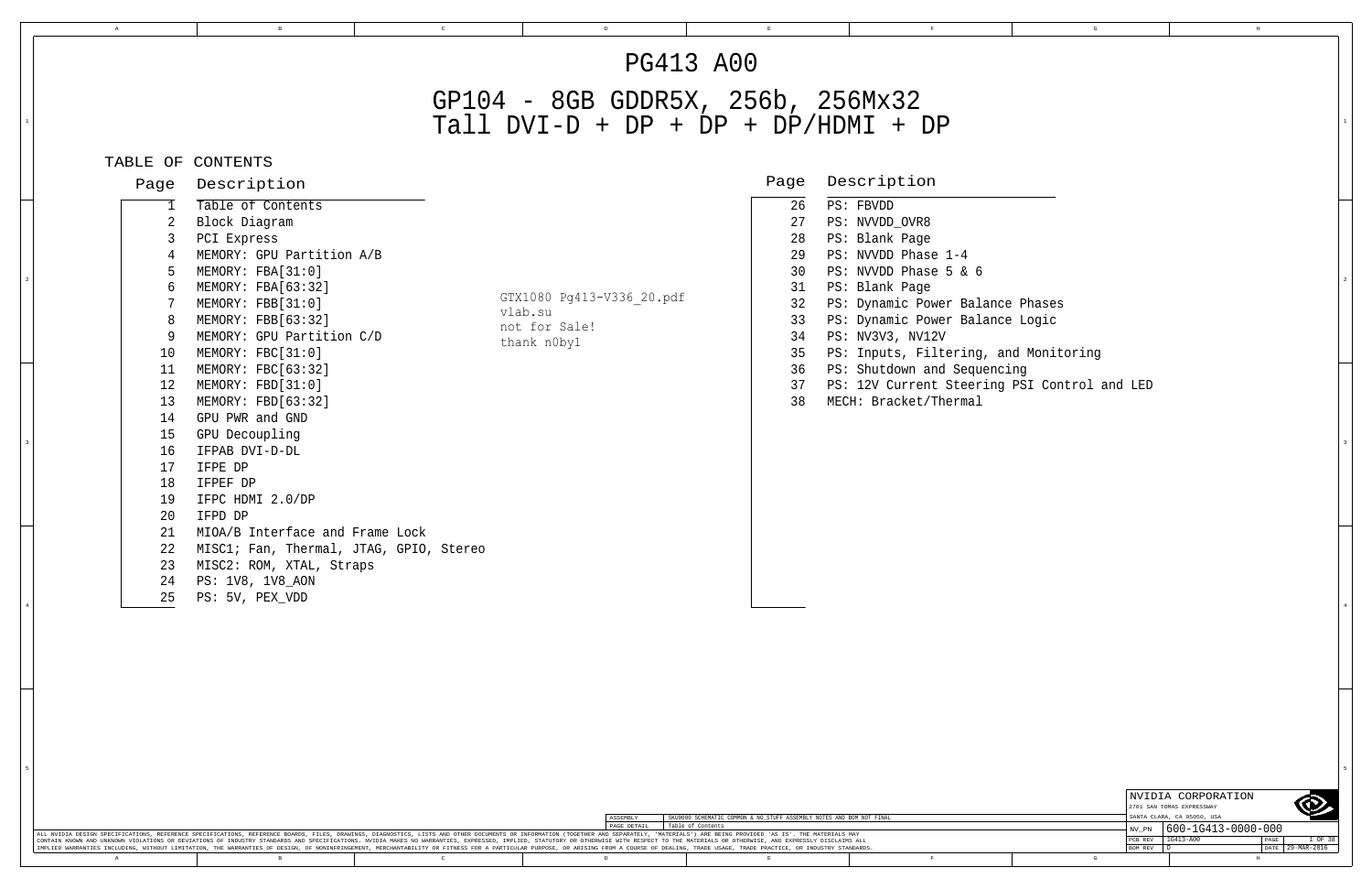$\,$  D

# GP104 - 8GB GDDR5X, 256b, 256Mx32

|                                                                                              |                                                                                                                                                                                                                                                                                                                                                                                                                                                                                                                                                       | <b>PG413 A00</b>                                                           |                                                                            |                                                                                                                                                                                                                                                                                                                                                             |  |
|----------------------------------------------------------------------------------------------|-------------------------------------------------------------------------------------------------------------------------------------------------------------------------------------------------------------------------------------------------------------------------------------------------------------------------------------------------------------------------------------------------------------------------------------------------------------------------------------------------------------------------------------------------------|----------------------------------------------------------------------------|----------------------------------------------------------------------------|-------------------------------------------------------------------------------------------------------------------------------------------------------------------------------------------------------------------------------------------------------------------------------------------------------------------------------------------------------------|--|
|                                                                                              |                                                                                                                                                                                                                                                                                                                                                                                                                                                                                                                                                       | GP104 - 8GB GDDR5X, 256b, 256Mx32<br>Tall $DYI-D + DP + DP + DP/HDMI + DP$ |                                                                            |                                                                                                                                                                                                                                                                                                                                                             |  |
|                                                                                              | TABLE OF CONTENTS                                                                                                                                                                                                                                                                                                                                                                                                                                                                                                                                     |                                                                            |                                                                            |                                                                                                                                                                                                                                                                                                                                                             |  |
| Page                                                                                         | Description                                                                                                                                                                                                                                                                                                                                                                                                                                                                                                                                           |                                                                            | Page                                                                       | Description                                                                                                                                                                                                                                                                                                                                                 |  |
| 10<br>11<br>12<br>13<br>14<br>15<br>16<br>17<br>18<br>19<br>20<br>21<br>22<br>23<br>24<br>25 | Table of Contents<br>Block Diagram<br>PCI Express<br>MEMORY: GPU Partition A/B<br>MEMORY: FBA[31:0]<br>MEMORY: FBA[63:32]<br>MEMORY: FBB[31:0]<br>MEMORY: FBB[63:32]<br>MEMORY: GPU Partition C/D<br>MEMORY: FBC[31:0]<br>MEMORY: FBC[63:32]<br>MEMORY: FBD[31:0]<br>MEMORY: FBD[63:32]<br>GPU PWR and GND<br>GPU Decoupling<br>IFPAB DVI-D-DL<br>IFPE DP<br>IFPEF DP<br>IFPC HDMI 2.0/DP<br>IFPD DP<br>MIOA/B Interface and Frame Lock<br>MISC1; Fan, Thermal, JTAG, GPIO, Stereo<br>MISC2: ROM, XTAL, Straps<br>PS: 1V8, 1V8_AON<br>PS: 5V, PEX_VDD | GTX1080 Pg413-V336 20.pdf<br>vlab.su<br>not for Sale!<br>thank n0by1       | 26<br>27<br>28<br>29<br>30<br>31<br>32<br>33<br>34<br>35<br>36<br>37<br>38 | PS: FBVDD<br>PS: NVVDD_OVR8<br>PS: Blank Page<br>PS: NVVDD Phase 1-4<br>PS: NVVDD Phase 5 & 6<br>PS: Blank Page<br>PS: Dynamic Power Balance Phases<br>PS: Dynamic Power Balance Logic<br>PS: NV3V3, NV12V<br>PS: Inputs, Filtering, and Monitoring<br>PS: Shutdown and Sequencing<br>PS: 12V Current Steering PSI Control and LED<br>MECH: Bracket/Thermal |  |

|   | NVIDIA CORPORATION         |                    |      |             |  |  |
|---|----------------------------|--------------------|------|-------------|--|--|
|   | 2701 SAN TOMAS EXPRESSWAY  |                    |      |             |  |  |
|   | SANTA CLARA, CA 95050, USA |                    |      |             |  |  |
|   | NV PN                      | 600-1G413-0000-000 |      |             |  |  |
|   |                            |                    |      |             |  |  |
|   | PCB REV                    | $1G413 - A00$      | PAGE | 1 OF 38     |  |  |
|   | <b>BOM REV</b>             |                    | DATE | 29-MAR-2016 |  |  |
| G |                            | Н                  |      |             |  |  |

5

|                                                                                                                                                                                                                                |  |  |             | SKU0000 SCHEMATIC COMMON & NO STUFF ASSEMBLY NOTES AND BOM NOT FINAL |  |  |  | LOMNIA CLARA, CA 20000, UOA |
|--------------------------------------------------------------------------------------------------------------------------------------------------------------------------------------------------------------------------------|--|--|-------------|----------------------------------------------------------------------|--|--|--|-----------------------------|
|                                                                                                                                                                                                                                |  |  | PAGE DETAIL | Table of Contents                                                    |  |  |  | $1600 - 1G413 - 0000$       |
| ALL NVIDIA DESIGN SPECIFICATIONS, REFERENCE SPECIFICATIONS, REFERENCE BOARDS, FILES, DRAWINGS, DIAGNOSTICS, LISTS AND OTHER DOCUMENTS OR INFORMATION (TOGETHER AND SEPARATELY, 'MATERIALS') ARE BEING PROVIDED 'AS IS'. THE MA |  |  |             |                                                                      |  |  |  |                             |
| CONTAIN KNOWN AND UNKNOWN VIOLATIONS OR DEVIATIONS OF INDUSTRY STANDARDS AND SPECIFICATIONS. NVIDIA MAKES NO WARRANTIES, EXPRESSED, IMPLIED, STATUTORY OR OTHERWISE WITH RESPECT TO THE MATERIALS OR OTHERWISE, AND EXPRESSLY  |  |  |             |                                                                      |  |  |  |                             |
| IMPLIED WARRANTIES INCLUDING, WITHOUT LIMITATION, THE WARRANTIES OF DESIGN, OF NONINFRINGEMENT, MERCHANTABILITY OR FITNESS FOR A PARTICULAR PURPOSE, OR ARISING FROM A COURSE OF DEALING, TRADE USAGE, TRADE PRACTICE, OR INDU |  |  |             |                                                                      |  |  |  |                             |
|                                                                                                                                                                                                                                |  |  |             |                                                                      |  |  |  |                             |

1

3

4

5

C E F G H

4

3

2

A B

2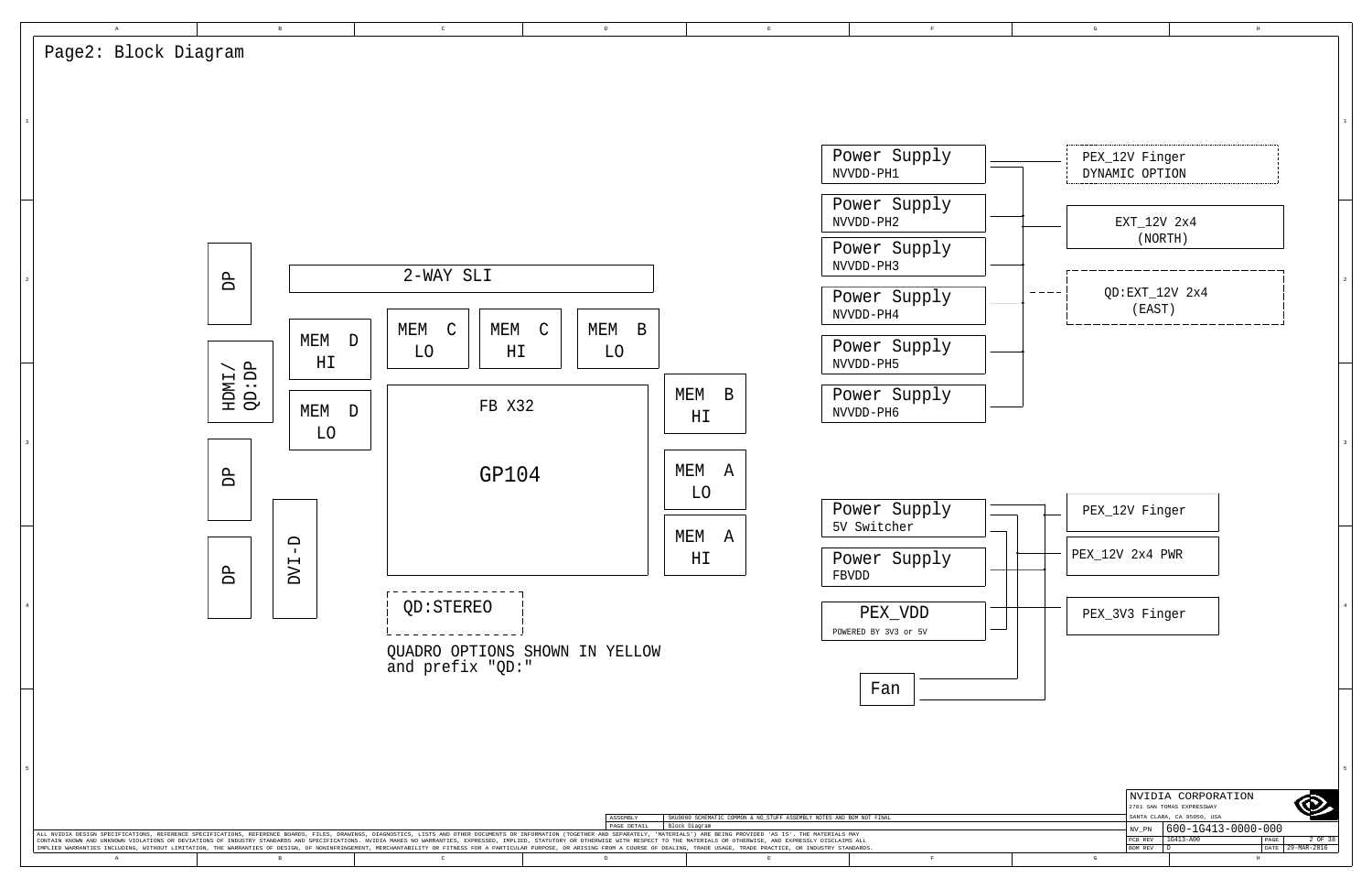H

| $\mathbb{G}% _{n}^{X}$            |                                                          |                                                                               | $\rm _H$                                                             |                              |              |
|-----------------------------------|----------------------------------------------------------|-------------------------------------------------------------------------------|----------------------------------------------------------------------|------------------------------|--------------|
|                                   |                                                          |                                                                               |                                                                      |                              |              |
|                                   |                                                          |                                                                               |                                                                      |                              | $\mathbf{1}$ |
| PEX_12V Finger<br>DYNAMIC OPTION  |                                                          |                                                                               |                                                                      |                              |              |
|                                   | EXT_12V 2x4<br>(NORTH)                                   |                                                                               |                                                                      |                              |              |
|                                   | $QD:EXT_12V 2x4$<br>$($ EAST $)$                         |                                                                               |                                                                      |                              | $\mathbf 2$  |
|                                   |                                                          |                                                                               |                                                                      |                              | 3            |
| PEX_12V Finger<br>PEX_12V 2x4 PWR |                                                          |                                                                               |                                                                      |                              |              |
| PEX_3V3 Finger                    |                                                          |                                                                               |                                                                      |                              | $\bf{4}$     |
|                                   |                                                          |                                                                               |                                                                      |                              | $\mathsf S$  |
|                                   |                                                          | NVIDIA CORPORATION<br>2701 SAN TOMAS EXPRESSWAY<br>SANTA CLARA, CA 95050, USA |                                                                      |                              |              |
| G                                 | $\text{NV\_PN}$<br>$PCB$ $REV$<br>$\mathbb D$<br>BOM REV | 1G413-A00                                                                     | 600-1G413-0000-000<br>$\overline{\text{PAGE}}$<br>DATE<br>$_{\rm H}$ | 2 OF 38<br>$29 - MAR - 2016$ |              |

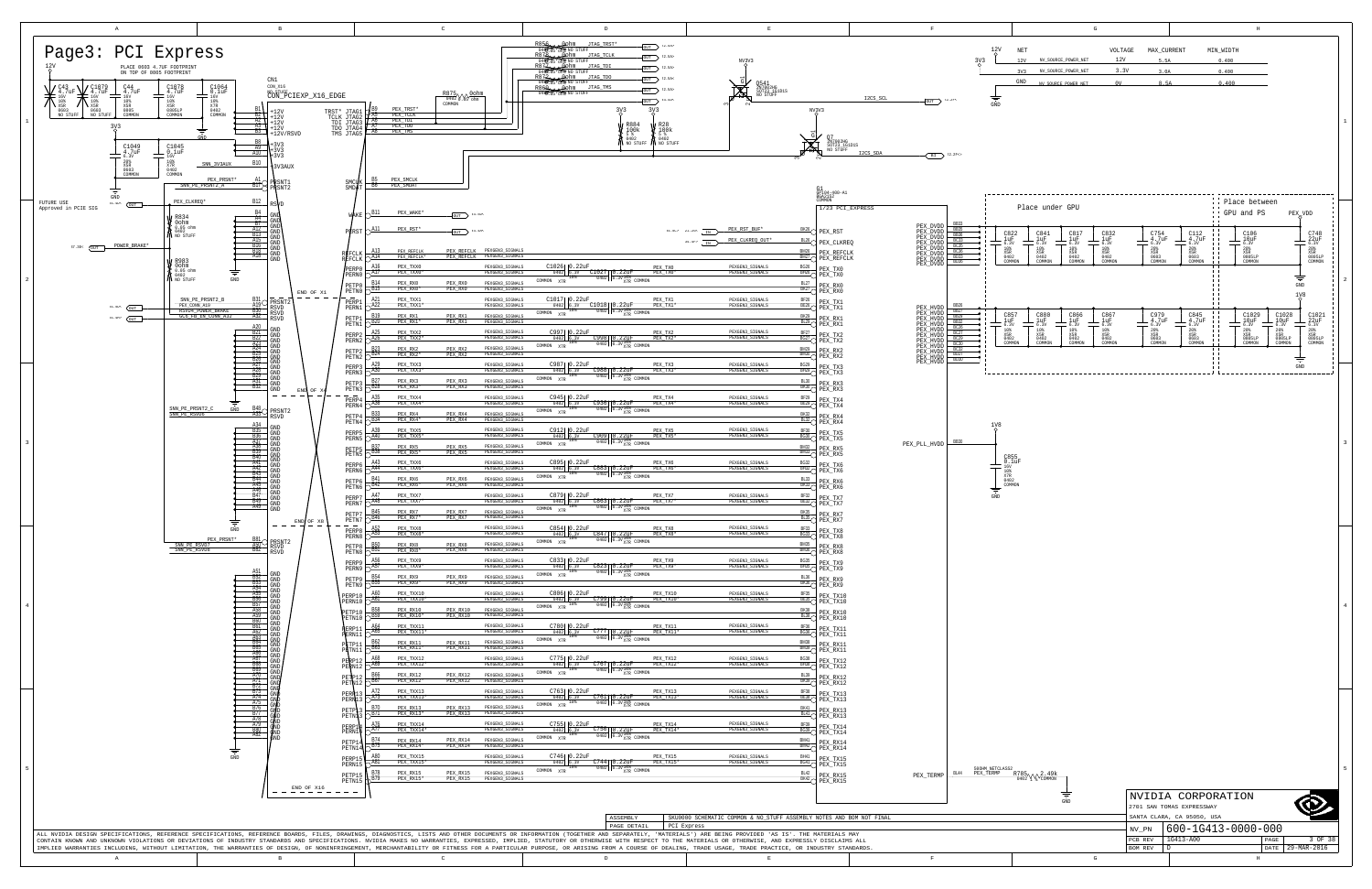<span id="page-2-4"></span><span id="page-2-3"></span><span id="page-2-1"></span>

<span id="page-2-2"></span><span id="page-2-0"></span>

|    | G                   |         |             |           | $_{\rm H}$ |
|----|---------------------|---------|-------------|-----------|------------|
|    |                     |         |             |           |            |
| ΞT |                     | VOLTAGE | MAX CURRENT | MIN WIDTH |            |
| ?V | NV_SOURCE_POWER_NET | 12V     | 5.5A        | 0.400     |            |
| 73 | NV_SOURCE_POWER_NET | 3.3V    | 3.0A        | 0.400     |            |
| ID | NV SOURCE POWER NET | 0V      | 8.5A        | 0.400     |            |
|    |                     |         |             |           |            |
|    |                     |         |             |           |            |

| 02 Y & COMMON                                          |         |                            |      |             |
|--------------------------------------------------------|---------|----------------------------|------|-------------|
| NVIDIA CORPORATION<br>GND<br>2701 SAN TOMAS EXPRESSWAY |         |                            |      |             |
|                                                        |         | SANTA CLARA, CA 95050, USA |      |             |
|                                                        | NV PN   | 600-1G413-0000-000         |      |             |
|                                                        | PCB REV | 1G413-A00                  | PAGE | 3 OF 38     |
|                                                        | BOM REV |                            | DATE | 29-MAR-2016 |
| G                                                      |         | H                          |      |             |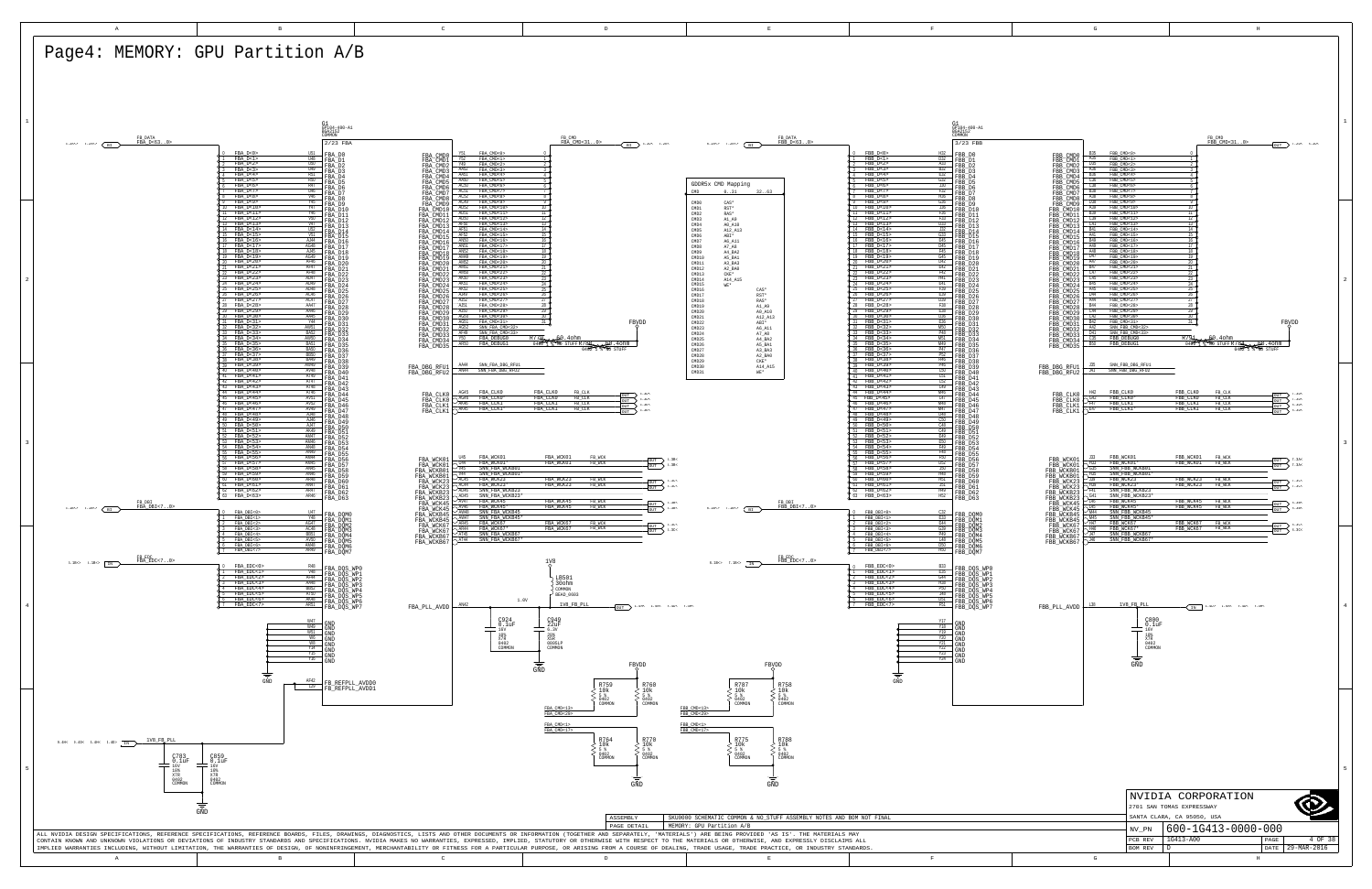D

<span id="page-3-0"></span>PCB REV | 1G413-A00

29-MAR-2016 DATE

<span id="page-3-7"></span><span id="page-3-6"></span><span id="page-3-5"></span><span id="page-3-4"></span><span id="page-3-3"></span><span id="page-3-2"></span><span id="page-3-1"></span>

<span id="page-3-12"></span><span id="page-3-11"></span><span id="page-3-9"></span><span id="page-3-8"></span>

| G                                                                                                                                                                                                                                                                                                                                                                                                                                                                                                                                                                                                                                                                                                                                                                                                                                                                                                                                                                                                                      |                                                                                                                                                  |                                                                                                                                                                                                              | $\mathbf H$                                                                  |                                                                                                                                                               |                         |
|------------------------------------------------------------------------------------------------------------------------------------------------------------------------------------------------------------------------------------------------------------------------------------------------------------------------------------------------------------------------------------------------------------------------------------------------------------------------------------------------------------------------------------------------------------------------------------------------------------------------------------------------------------------------------------------------------------------------------------------------------------------------------------------------------------------------------------------------------------------------------------------------------------------------------------------------------------------------------------------------------------------------|--------------------------------------------------------------------------------------------------------------------------------------------------|--------------------------------------------------------------------------------------------------------------------------------------------------------------------------------------------------------------|------------------------------------------------------------------------------|---------------------------------------------------------------------------------------------------------------------------------------------------------------|-------------------------|
| <b>B35</b><br>FBB_CMD<0><br>FBB_CMD0<br>A35<br>FBB_CMD<1><br>FBB_CMD1<br>D35<br>FBB CMD<2><br>FBB_CMD2<br>A36<br>FBB_CMD<3><br>FBB_CMD3<br><b>B36</b><br>FBB_CMD<4><br>FBB_CMD4<br>$rac{C36}{C38}$<br>FBB CMD<5><br>FBB_CMD5<br>FBB CMD<6><br>FBB_CMD6<br><b>B</b> 38<br>FBB_CMD<7><br>FBB_CMD7<br>A38<br>FBB_CMD<8><br>FBB_CMD8                                                                                                                                                                                                                                                                                                                                                                                                                                                                                                                                                                                                                                                                                       |                                                                                                                                                  | $\overline{0}$<br>đ<br>1<br>Φ<br>$\overline{2}$<br>đ<br>3<br>$\overline{4}$<br>Φ<br>5<br>Φ<br>6<br>7<br>R                                                                                                    | FB_CMD<br>FBB_CMD<310>                                                       | OUT $7.2D6$ . 2D<                                                                                                                                             | $\,1\,$                 |
| D38<br>FBB_CMD<9><br>FBB_CMD9<br>FBB_CMD10<br>A39<br>FBB_CMD<10><br><b>B39</b><br>FBB_CMD<11><br>FBB_CMD11<br>C39<br>FBB_CMD<12><br>FBB_CMD12<br>C <sub>41</sub><br>FBB_CMD<13><br>FBB_CMD13<br><b>B41</b><br>FBB_CMD<14><br>FBB_CMD14<br>A41<br>FBB_CMD<15><br>FBB_CMD15<br><b>B49</b><br>FBB_CMD<16><br>FBB CMD16<br>A49<br>FBB_CMD<17><br>FBB_CMD17<br>A48<br>FBB_CMD<18><br>FBB_CMD18<br>D47<br>FBB CMD<19><br>FBB_CMD19<br>FBB_CMD20<br>A47<br>FBB_CMD<20><br><b>B47</b><br>FBB_CMD<21><br>FBB CMD21<br>C47<br>FBB_CMD<22><br>FBB_CMD22<br>C45<br>FBB_CMD<23><br>FBB_CMD23<br><b>B45</b><br>FBB_CMD<24><br>FBB_CMD24<br>A45<br>FBB_CMD<25><br>FBB_CMD25<br>D44<br>FBB_CMD<26><br>FBB_CMD26<br>A44<br>FBB CMD<27><br>FBB_CMD27<br><b>B44</b><br>FBB_CMD<28><br>FBB CMD28<br>C44<br>FBB_CMD<29><br>FBB CMD29<br>C42<br>FBB_CMD<30><br>FBB_CMD30<br><b>B42</b><br>FBB_CMD<31><br>FBB_CMD31<br>A42<br>FBB_CMD32<br><b>D41</b><br>FBB_CMD33<br>C35<br>FBB_DEBUG0<br>FBB_CMD34<br><b>B50</b><br>FBB DEBUGI<br>FBB_CMD35 | SNN FBB CMD<32><br>SNN_FBB_CMD<33>                                                                                                               | 9<br>10<br>11<br>12<br>13<br>Đ<br>14<br>$\frac{15}{2}$<br>16<br>17<br>18<br>19<br>20<br>$\overline{21}$<br>$\overline{22}$<br>23<br>24<br>25<br>26<br>27<br>$\frac{28}{2}$<br>29<br>30<br>31<br>R791<br>0402 | 60.40hm<br>60<br>۵<br>0402<br><b>NO STUFF</b><br>٢                           | FBYDD<br>.4ohm                                                                                                                                                | $\overline{\mathbf{2}}$ |
| <b>J35</b><br>FBB_DBG_RFU1<br>J41<br>FBB_DBG_RFU2                                                                                                                                                                                                                                                                                                                                                                                                                                                                                                                                                                                                                                                                                                                                                                                                                                                                                                                                                                      | SNN_FBB_DBG_RFU1<br>SNN_FBB_DBG_RFU2                                                                                                             |                                                                                                                                                                                                              |                                                                              |                                                                                                                                                               |                         |
| H42<br>FBB_CLK0<br>FBB_CLK0<br>G42<br>FBB_CLK0*<br>FBB_CLK0<br>$\frac{1}{147}$<br>FBB_CLK1<br>FBB_CLK1<br>FBB_CLK1*<br>E47<br>FBB_CLK1                                                                                                                                                                                                                                                                                                                                                                                                                                                                                                                                                                                                                                                                                                                                                                                                                                                                                 |                                                                                                                                                  | FBB_CLK0<br>FBB CLK0<br>FBB_CLK1<br>FBB_CLK1                                                                                                                                                                 | FB_CLK<br>$FB$ <sup>CLK</sup><br>FB_CLK<br>FB_CLK                            | 7.3D<<br>OUT<br>7.3D<<br>OUT<br>8.3D<<br>OUT<br>8.3D<<br>OUT                                                                                                  |                         |
| J33<br>FBB_WCK01<br>FBB_WCK01<br>$\frac{\sum_{635}^{H33}}{\sum_{635}^{H35}}$<br>FBB WCK01*<br>FBB_WCK01<br>FBB WCKB01<br>FBB_WCKB01<br>$\frac{1}{139}$<br>FBB WCK23<br>FBB_WCK23<br>H39<br>FBB_WCK23*<br>FBB_WCK23<br>$\frac{1}{41}$<br>FBB_WCKB23<br>G41<br>FBB WCKB23<br>$\frac{5}{146}$<br>FBB WCK45<br>FBB_WCK45<br>L45<br>FBB_WCK45*<br>FBB_WCK45<br>$\sum_{\text{MA4}}$<br>FBB_WCKB45<br>M45<br>FBB WCKB45<br>$\frac{1}{147}$<br>FBB_WCK67<br>FBB WCK67<br>$\frac{146}{147}$<br>FBB WCK67*<br>FBB_WCK67<br>FBB_WCKB67<br>$\sqrt{146}$<br>FBB_WCKB67                                                                                                                                                                                                                                                                                                                                                                                                                                                              | SNN_FBB_WCKB01<br>SNN_FBB_WCKB01*<br>SNN_FBB_WCKB23<br>SNN_FBB_WCKB23*<br>SNN FBB WCKB45<br>SNN_FBB_WCKB45*<br>SNN_FBB_WCKB67<br>SNN_FBB_WCKB67* | FBB WCK01<br>FBB WCK01<br>FBB_WCK23<br>FBB_WCK23<br>FBB_WCK45<br>FBB_WCK45<br>FBB_WCK67<br>FBB WCK67                                                                                                         | FB_WCK<br>FB_WCK<br>FB_WCK<br>FB_WCK<br>FB_WCK<br>FB_WCK<br>FB_WCK<br>FB_WCK | 7.3A<<br>OUT<br>7.3A<<br>OUT<br>7.3C <sub>5</sub><br>OUT<br>7.3C<<br>OUT<br>8.3B<<br><b>OUT</b><br>8.3B<<br>OUT<br>8.3C<<br><b>OUT</b><br>$\sum$ 8.3C<<br>OUT | 3                       |
| L38<br>FBB_PLL_AVDD                                                                                                                                                                                                                                                                                                                                                                                                                                                                                                                                                                                                                                                                                                                                                                                                                                                                                                                                                                                                    | 1V8 FB PLL<br>C800<br>$0.1uF$ <sub>16V</sub><br>10%<br>X7R<br>0402<br>COMMON<br>GND                                                              |                                                                                                                                                                                                              | $T_N$ 4.4D> 4.5A< 9.4D< 9.4H<                                                |                                                                                                                                                               | $\overline{4}$          |
|                                                                                                                                                                                                                                                                                                                                                                                                                                                                                                                                                                                                                                                                                                                                                                                                                                                                                                                                                                                                                        |                                                                                                                                                  |                                                                                                                                                                                                              |                                                                              |                                                                                                                                                               |                         |
|                                                                                                                                                                                                                                                                                                                                                                                                                                                                                                                                                                                                                                                                                                                                                                                                                                                                                                                                                                                                                        |                                                                                                                                                  |                                                                                                                                                                                                              |                                                                              |                                                                                                                                                               |                         |
|                                                                                                                                                                                                                                                                                                                                                                                                                                                                                                                                                                                                                                                                                                                                                                                                                                                                                                                                                                                                                        |                                                                                                                                                  |                                                                                                                                                                                                              |                                                                              |                                                                                                                                                               | 5                       |
|                                                                                                                                                                                                                                                                                                                                                                                                                                                                                                                                                                                                                                                                                                                                                                                                                                                                                                                                                                                                                        |                                                                                                                                                  |                                                                                                                                                                                                              | NVIDIA CORPORATION                                                           |                                                                                                                                                               |                         |
|                                                                                                                                                                                                                                                                                                                                                                                                                                                                                                                                                                                                                                                                                                                                                                                                                                                                                                                                                                                                                        | 2701 SAN TOMAS EXPRESSWAY<br>SANTA CLARA, CA 95050, USA                                                                                          |                                                                                                                                                                                                              |                                                                              |                                                                                                                                                               |                         |
|                                                                                                                                                                                                                                                                                                                                                                                                                                                                                                                                                                                                                                                                                                                                                                                                                                                                                                                                                                                                                        | NV_PN                                                                                                                                            |                                                                                                                                                                                                              | 600-1G413-0000-000                                                           |                                                                                                                                                               |                         |

H

<span id="page-3-10"></span>G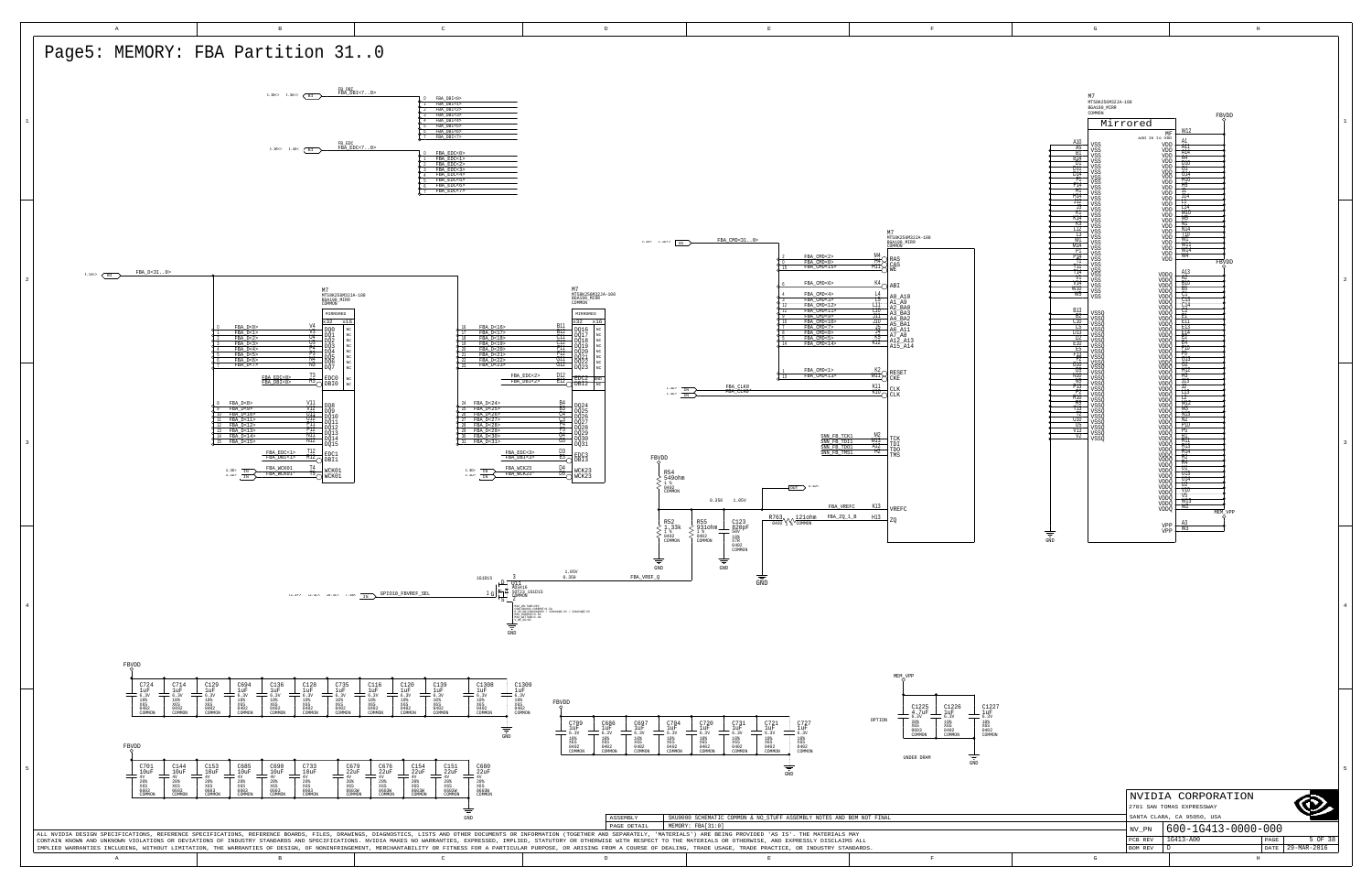D

PCB REV | 1G413-A00

29-MAR-2016 DATE

<span id="page-4-6"></span>

| M7<br>MT58K256M32JA-100<br>BGA190_MIRR<br>COMMON |                             | FBVDD                               |                  |
|--------------------------------------------------|-----------------------------|-------------------------------------|------------------|
| Mirrored                                         |                             | W12                                 | $\,1\,$          |
| A10<br>VSS                                       | MF<br>add 1k to VDD<br>VDD  | A1<br>ATT                           |                  |
| $\frac{A5}{B1}$<br>VSS<br>VSS<br>B14<br>VSS      | VDD<br>VDD<br>VDD           | A14<br>Þ<br>A4<br>þ                 |                  |
| DΤ<br>VSS<br>DTT<br>VSS<br>DT4                   | VDD<br>VDD                  | D10<br>ł<br>GТ<br>ţ<br>G14          |                  |
| VSS<br>FI<br>VSS<br>F14<br>VSS                   | VDD<br>VDD<br>VDD           | H10<br>ļ<br>Ħ5                      |                  |
| H٦<br>VSS<br>H14<br>VSS<br>J12                   | VDD<br>VDD                  | ᄁ<br>J14<br>П                       |                  |
| VSS<br>J3<br>VSS<br>КĪ<br>VSS                    | VDD<br>VDD<br>VDD           | T14<br>Þ<br>MTO                     |                  |
| KT4<br>VSS<br>K3<br>VSS<br>T12                   | VDD<br>VDD                  | M5<br>¢<br>NΤ<br>b<br>N14           |                  |
| <b>VSS</b><br>τ3<br>VSS<br>MŤ<br>VSS             | VDD<br>VDD<br>VDD           | b<br>T10<br>WŤ                      |                  |
| M14<br>VSS<br>P1<br>VSS<br>P14                   | VDD<br>VDD                  | W11<br>W14<br>W4                    |                  |
| VSS<br>Π<br>VSS<br>тп<br>VSS                     | VDD                         | FBYDD<br>С                          |                  |
| T14<br>VSS<br>V1<br>VSS<br>V14                   | VDDQ<br>VDDQ                | A13<br>A2<br><b>B10</b>             | $\boldsymbol{2}$ |
| VSS<br>W10<br>VSS<br>W5<br>VSS                   | VDDQ<br>VDDQ<br>VDDQ        | B5<br>UТ<br>Þ                       |                  |
| <b>B13</b>                                       | <b>VDDQ</b><br>VDDQ         | C13<br>¢<br>C14<br>þ<br>$_{\rm C2}$ |                  |
| <b>VSSO</b><br>B2<br>VSSQ<br>CТO<br>VSSQ         | VDDQ<br>VDDQ<br>VDDQ        | ţ<br>豇<br>EП                        |                  |
| C5<br>VSSQ<br>DT3<br>VSSO<br>כת                  | VDDQ<br>VDDO                | ţ<br>E13<br>E14<br>ŧ<br>ĒŻ          |                  |
| VSSQ<br>EТO<br>VSSQ<br>E5<br>VSSQ                | VDDQ<br><b>VDDQ</b><br>VDDO | ۰<br>E4<br>b<br>FTO<br>F5<br>þ      |                  |
| F13<br>VSSQ<br>Ŧ<br>VSSO<br>VSSO<br>VSSO<br>G10  | VDDQ<br>VDDÕ                | GJ3<br>¢<br>G2                      |                  |
| G5<br>VSSQ<br>N10<br>VSSQ                        | VDDQ<br><b>VDDQ</b><br>VDDQ | Þ<br>Ħ12<br>b<br>Ħ3<br>þ            |                  |
| N5<br>VSSQ<br>P13<br>vssõ<br>P2                  | VDDQ<br>VDDQ                | J13<br>ţ<br>J2<br>TT3               |                  |
| VSSQ<br>RTO<br>VSSQ<br>R5<br>VSSO                | VDDQ<br>VDDQ<br>VDDQ        | ţ<br>12<br>M12<br>ŧ                 |                  |
| 113<br>VSSQ<br>Т2<br>VSSQ<br>U10                 | VDDQ<br><b>VDDQ</b>         | М3<br>ŧ<br>N13<br>ŧ<br>N2           |                  |
| VSSQ<br>U5<br>VSSQ<br>V13<br>VSSQ                | VDDQ<br>VDDQ<br>VDDQ        | þ<br><b>P10</b><br>P5<br>¢          |                  |
| V2<br>VSSQ                                       | VDDQ<br>VDDQ                | R1<br>ŧ<br>R11<br>ò<br>R13          | 3                |
|                                                  | VDDQ<br>VDDQ<br>VDDQ        | R <sub>14</sub><br>R2<br>b          |                  |
|                                                  | VDDQ<br>VDDQ                | R4<br>ţ<br>UΤ<br>U13                |                  |
|                                                  | VDDO<br>VDDQ<br><b>VDDQ</b> | ¢<br>U14<br>UZ                      |                  |
|                                                  | VDDO<br>VDDO                | V10<br>V5<br>W13                    |                  |
|                                                  | VDDQ<br>VDDQ                | W2<br>MEM<br>VPP<br>c               |                  |
|                                                  | VPP                         | $\frac{A3}{W3}$                     |                  |
| ÷<br>GND                                         | VPP                         |                                     |                  |
|                                                  |                             |                                     |                  |
|                                                  |                             |                                     |                  |
|                                                  |                             |                                     |                  |
|                                                  |                             |                                     |                  |
|                                                  |                             |                                     | $\overline{4}$   |
|                                                  |                             |                                     |                  |
|                                                  |                             |                                     |                  |
|                                                  |                             |                                     |                  |
|                                                  |                             |                                     |                  |
|                                                  |                             |                                     |                  |
|                                                  |                             |                                     |                  |
|                                                  |                             |                                     |                  |
|                                                  |                             |                                     |                  |
|                                                  |                             |                                     |                  |
|                                                  |                             |                                     |                  |
|                                                  |                             |                                     |                  |
|                                                  |                             |                                     | 5                |
|                                                  |                             |                                     |                  |
|                                                  |                             | NVIDIA CORPORATION                  |                  |
|                                                  | 2701 SAN TOMAS EXPRESSWAY   | SANTA CLARA, CA 95050, USA          |                  |

H

<span id="page-4-7"></span><span id="page-4-5"></span><span id="page-4-4"></span><span id="page-4-3"></span><span id="page-4-2"></span><span id="page-4-1"></span><span id="page-4-0"></span>

G

<u>NV\_PN 600-1G413-0000-000</u>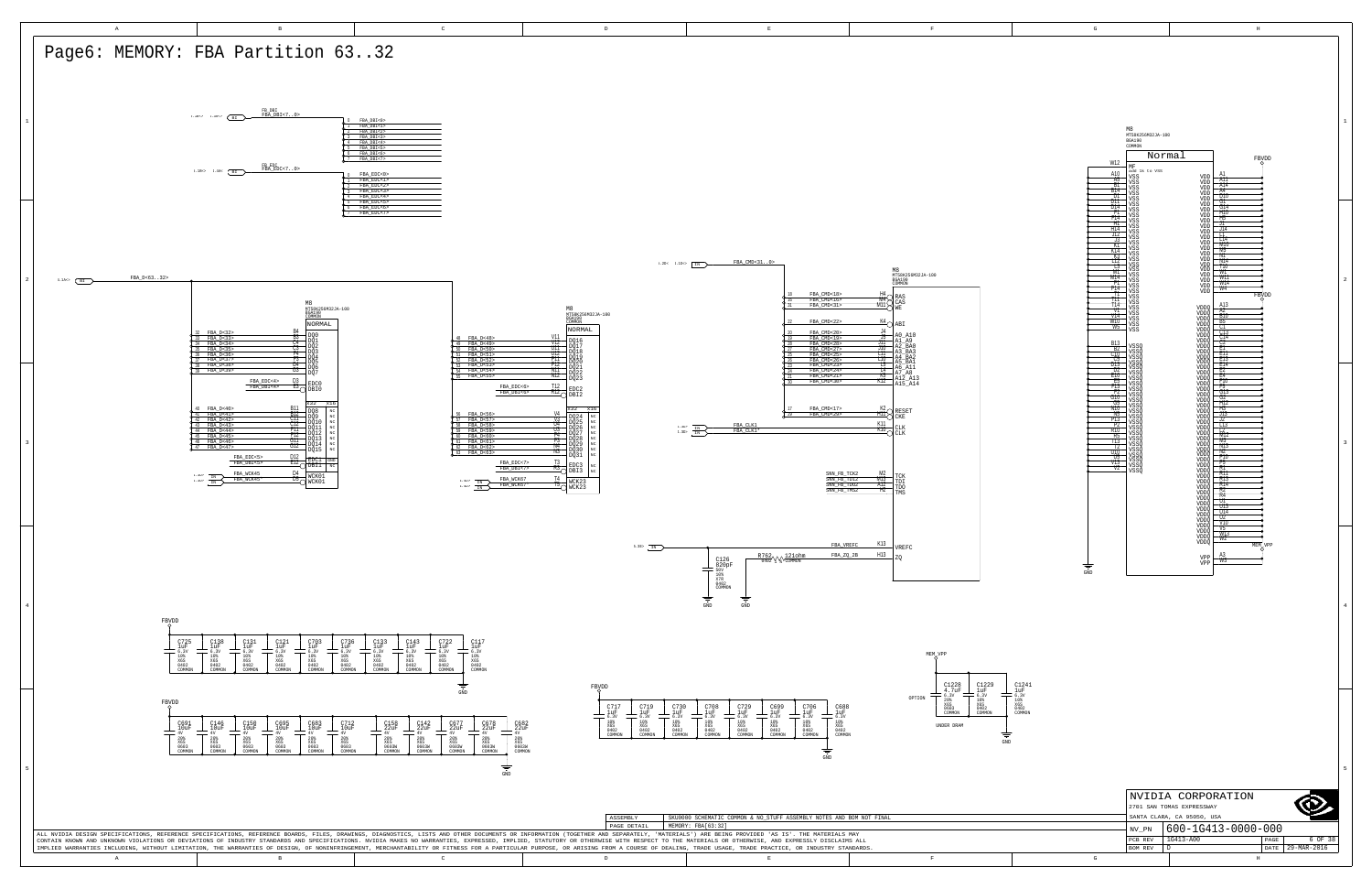D

PCB REV | 1G413-A00

29-MAR-2016 DATE

<span id="page-5-3"></span><span id="page-5-0"></span>

| W12<br>A10<br><b>A5</b><br>Β1<br>B14<br>D1<br>D11<br>D14<br>Ħ<br>F14<br>ĦΤ<br>H14<br>J12<br>73<br>КT<br>K14<br>ΤЗ<br>L12<br>T3<br>M1<br>M14<br>P1<br>P14<br>П<br>m<br>T14<br>VT<br>V14<br>W10<br>W5<br><b>B13</b><br>B2<br>C10<br>C5<br>DĪ3<br>U2<br>E10<br>E5<br>FĪ3<br>Ŧz<br>G10<br>G5<br>NTO<br>N5<br>P13<br>P2<br>R10 | M8<br>MT58K256M32JA-100<br>BGA190<br>COMMON<br>Normal<br>FBYDD<br>$\ensuremath{\text{MF}}\xspace$<br>add 1k to VSS<br>A1<br>VSS<br>VDD<br>Ä11<br><b>VSS</b><br>VDD<br>A14<br>VSS<br>VDD<br>A4<br>VSS<br>VDD<br>D10<br>VSS<br>VDD<br>ĢŢ<br>VSS<br>VDD<br>G14<br>VDD<br>VSS<br>1110<br>VSS<br>VDD<br>Ħ5<br>VSS<br>VDD<br>ᆩ<br>VSS<br>VDD<br>J14<br><b>VSS</b><br>VDD<br>ॻ<br>VSS<br>VDD<br>T14<br>VSS<br>VDD<br>M10<br>VSS<br>VDD<br>M5<br>VDD<br>VSS<br>NΤ<br>VSS<br>VDD<br>ż<br>N14<br>VSS<br>VDD<br>T10<br>VSS<br>VDD<br>W٦<br>VSS<br>VDD<br>WП<br>VSS<br>VDD<br>W14<br>VSS<br>VDD<br>W4<br>VSS<br>VDD<br>FBVDD<br>VSS<br>C<br>VSS<br>A13<br>VDDQ<br>VSS<br>A2<br>VSS<br>VDDO<br><b>B10</b><br>VSS<br>VDDO<br>B5<br>VSS<br>VDDQ<br>СŢ<br>VSS<br>VDDQ<br>ŧ<br>$\frac{1}{\sqrt{13}}$<br>VDDQ<br>VDDÔ<br>VSSQ<br>VDDQ<br>Ű,<br>VSSQ<br>VDDÕ<br>VDDÕ<br>¢<br>VSSÕ<br>VSSÕ<br>E13<br>VDDQ<br>E14<br>VSSQ<br>VDDÔ<br>E2<br>VSSQ<br>VDDQ<br>E4<br>VSSQ<br>VDDQ<br>F10<br>VSSQ<br>VDDQ<br>$rac{F5}{G13}$<br>VSSQ<br>VDDÖ<br>VSSQ<br>VDDQ<br>G2<br>VSSQ<br>VDDQ<br>ė<br>H12<br>VSSQ<br>VDDQ<br>H3<br>VSSQ<br>VDDO<br>J13<br>VSSQ<br>VDDQ<br>J2<br>VSSQ<br>VDDQ<br>φ<br>L13<br>VSSQ<br>VDDQ<br>T2 | $\mathbf 1$<br>2    |
|---------------------------------------------------------------------------------------------------------------------------------------------------------------------------------------------------------------------------------------------------------------------------------------------------------------------------|------------------------------------------------------------------------------------------------------------------------------------------------------------------------------------------------------------------------------------------------------------------------------------------------------------------------------------------------------------------------------------------------------------------------------------------------------------------------------------------------------------------------------------------------------------------------------------------------------------------------------------------------------------------------------------------------------------------------------------------------------------------------------------------------------------------------------------------------------------------------------------------------------------------------------------------------------------------------------------------------------------------------------------------------------------------------------------------------------------------------------------------------------------------------------------------|---------------------|
| R5<br>113<br>12<br>U10<br>$\frac{105}{\sqrt{13}}$<br>$_{\mathrm{V2}}$<br><b>GND</b>                                                                                                                                                                                                                                       | VSSQ<br>VSSQ<br>VDDÕ<br>VDDÕ<br>ΜŢ<br>TM 3<br>VSSQ<br>VDDQ<br>TVT3<br>VSSQ<br>VDDQ<br>'N2<br>VSSQ<br>VDDQ<br>P10<br>VSSQ<br>VDDQ<br>Ť5<br>VSSQ<br>VDDQ<br>RT<br>VSSQ<br>VDDQ<br>¢<br>R11<br>VDDQ<br>R13<br>VDDQ<br><b>R14</b><br><b>VDDQ</b><br>R2<br>VDDQ<br>Î<br>R4<br>VDDQ<br>UΤ<br>VDDQ<br>णः<br>VDDQ<br>VDDQ<br>U14<br>U2<br>VDDQ<br>V10<br>VDDQ<br>Ý5<br>VDDO<br>W13<br><b>VDDQ</b><br>W2<br>VDDQ<br>MEM VPP<br>A <sub>3</sub><br>VPP<br><u>W3 </u><br>VPP                                                                                                                                                                                                                                                                                                                                                                                                                                                                                                                                                                                                                                                                                                                         | 3                   |
|                                                                                                                                                                                                                                                                                                                           |                                                                                                                                                                                                                                                                                                                                                                                                                                                                                                                                                                                                                                                                                                                                                                                                                                                                                                                                                                                                                                                                                                                                                                                          | $\overline{4}$<br>5 |
|                                                                                                                                                                                                                                                                                                                           | NVIDIA CORPORATION<br>2701 SAN TOMAS EXPRESSWAY<br>SANTA CLARA, CA 95050, USA<br>600-1G413-0000-000<br>$\text{NV\_PN}$                                                                                                                                                                                                                                                                                                                                                                                                                                                                                                                                                                                                                                                                                                                                                                                                                                                                                                                                                                                                                                                                   |                     |

<span id="page-5-6"></span><span id="page-5-5"></span><span id="page-5-4"></span><span id="page-5-2"></span><span id="page-5-1"></span>

H

G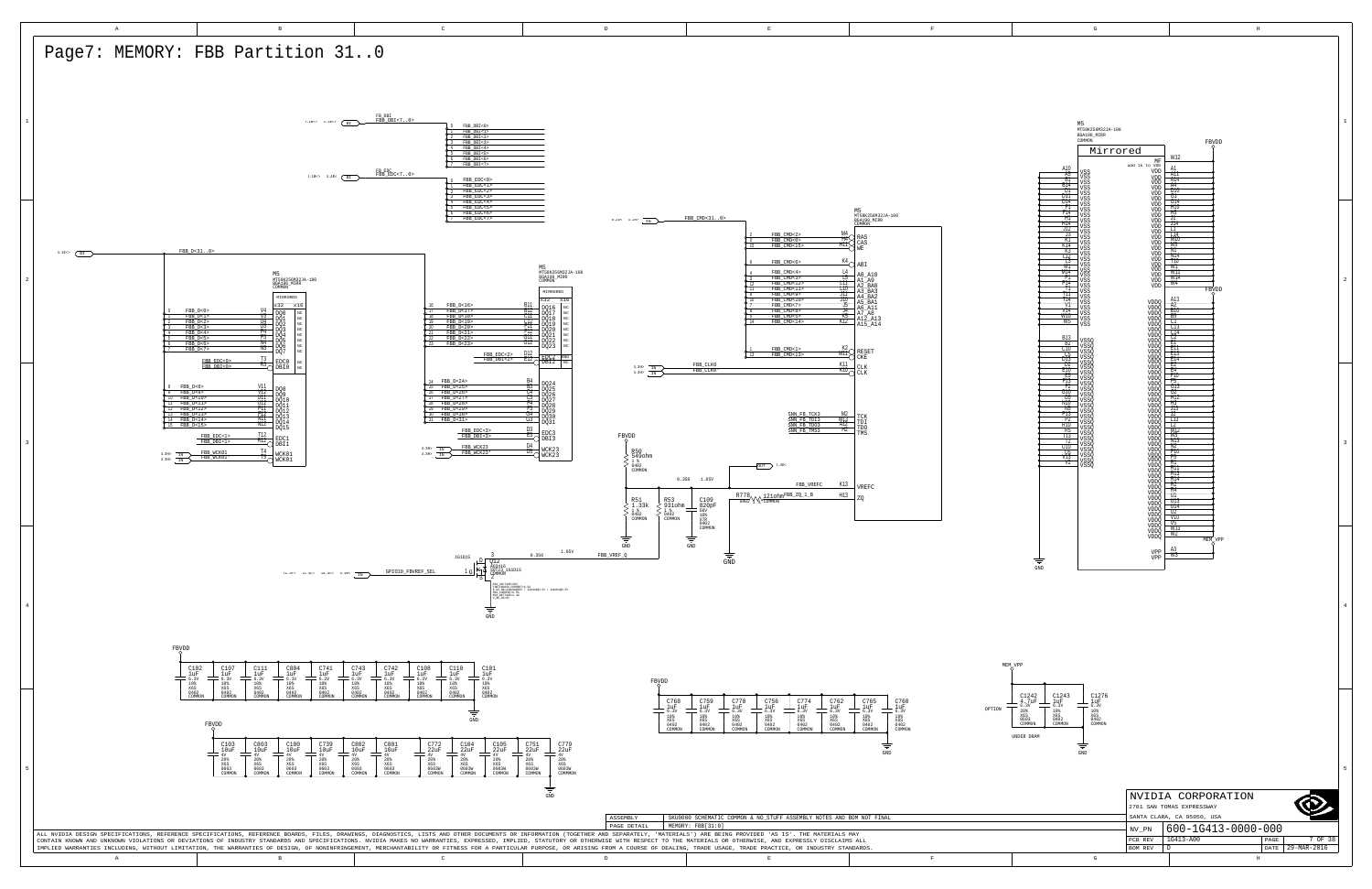|   |         | NVIDIA CORPORATION         |      |             |
|---|---------|----------------------------|------|-------------|
|   |         |                            |      |             |
|   |         | SANTA CLARA, CA 95050, USA |      |             |
|   | NV PN   | 600-1G413-0000-000         |      |             |
|   | PCB REV | 1G413-A00                  | PAGE | 7 OF 38     |
|   | BOM REV |                            | DATE | 29-MAR-2016 |
| G |         | H                          |      |             |

<span id="page-6-7"></span>

| M <sub>5</sub><br>MT58K256M32JA-100<br>BGA190_MIRR<br>COMMON<br>FBVDD                                                                                                                                                                                                                                                                                                                                                                                                                                                                                                                                                                                                                                                                                                                                                                                                                                | $\mathbf 1$ |
|------------------------------------------------------------------------------------------------------------------------------------------------------------------------------------------------------------------------------------------------------------------------------------------------------------------------------------------------------------------------------------------------------------------------------------------------------------------------------------------------------------------------------------------------------------------------------------------------------------------------------------------------------------------------------------------------------------------------------------------------------------------------------------------------------------------------------------------------------------------------------------------------------|-------------|
| Mirrored<br>W12<br>MF<br>add 1k to VDD<br>A10<br>A1<br>VSS<br>VDD<br>$\frac{\overline{A11}}{\overline{A14}}$<br>A5<br>VSS<br>VDD<br>ВT<br>VSS<br>VDD<br>B14<br>A4<br>VSS<br>VDD<br>D1<br>D10<br>VSS<br>VDD<br>ĢŢ<br>דת<br>VDD<br>VSS                                                                                                                                                                                                                                                                                                                                                                                                                                                                                                                                                                                                                                                                 |             |
| G14<br>D14<br>VDD<br>VSS<br>Ŧ<br>ĦTO<br>VDD<br>VSS<br>Ħ5<br>F14<br>VSS<br>VDD<br>ᄁ<br>ĦΙ<br>VSS<br>VDD<br>H14<br>J14<br>VDD<br>VSS<br>J12<br><del>∏</del><br>VSS<br><b>VDD</b><br>J3<br>T14<br>VSS<br>VDD<br>ΚT<br>MTO<br>VSS<br>VDD<br>K14<br>M5<br>VDD<br>VSS<br>K3<br>NΤ<br>VSS<br>VDD<br>L12<br>N14<br>VSS<br>VDD<br>T10<br>T3<br>VSS<br>VDD<br>ŴŤ<br>M<br>VSS<br>VDD<br>W11<br>M14<br>VSS<br>VDD<br>P1<br>W14<br>VSS<br>VDD<br>P14<br>W4<br>VSS<br>VDD<br>-11<br>FBVDD<br>VSS<br>Ш<br>VSS<br>A13<br>T14<br>VDDQ<br>VSS<br>VT<br>TAZ<br>VSS<br>VDDQ<br>V14<br><b>BTO</b><br>VSS<br>VDDQ<br>WTO<br>B5<br>VSS<br><b>VDDQ</b><br>W5<br>СT<br>VSS<br><b>VDDQ</b><br>$\frac{C13}{C14}$<br>VDDQ<br>VDDO<br><b>B13</b><br>$\frac{C2}{E1}$<br>VSSQ<br>VDDQ<br>Β2<br>VSSQ<br>VDDQ<br>鸛<br>C10<br>VSSQ<br>VDDQ<br>VDDQ<br>C5<br>VSSQ<br>DĪ3<br>E <sub>14</sub><br>VSSQ<br>VSSQ<br>VDDO<br>E2<br>U2<br>VDDQ | $\mathbf 2$ |
| E10<br>E4<br>VSSQ<br>VDDQ<br><b>F10</b><br>E5<br>VSSQ<br>VDDQ<br>F13<br><u>F5</u><br>vssō<br>VDDO<br>FŽ<br>G13<br>VSSQ<br>VDDQ<br>GTO<br>G2<br>VSSQ<br><b>VDDQ</b><br>G5<br>H12<br>VSSQ<br>VDDQ<br>NTO<br>Ή3<br>VSSQ<br>VDDO<br>TN5<br>JŢ3<br>VSSQ<br>VDDQ<br>P13<br>J2<br>VSSQ<br>VDDQ<br>L13<br>P2<br>VSSQ<br>VDDQ<br>R10<br>Τ2<br>vssō<br>VDDO<br>M <sub>12</sub><br>R5<br>VSSQ<br><b>VDDQ</b><br>T13<br>M3<br>VSSQ<br><b>VDDQ</b><br>-12<br>N13<br>VSSQ<br>VSSQ<br>VDDQ<br>U10<br>TV2<br>VDDQ<br>PTO<br>U5<br>VSSO<br>VDDO<br>Ť5<br>VT3<br>VSSQ<br><b>VDDQ</b><br>RT<br>$_{\mathrm{V2}}$<br>VSSQ<br><b>VDDQ</b><br>RĦ<br>VDDQ<br>R13<br>VDDO<br>R14<br>VDDQ<br>R2<br>VDDQ<br>R4<br>VDDQ<br>ण<br>VDDQ<br>ए१३<br>VDDQ<br>U14<br><b>VDDQ</b><br>U2<br>VDDO<br>V10<br>VDDO                                                                                                                           | 3           |
| $\frac{V5}{W13}$<br>VDDÕ<br>VDDQ<br>W2<br>VDDQ<br><b>MEM</b><br>VPP<br>A3<br>VPP<br>W3<br>VPP<br>$\Rightarrow$<br>$\operatorname{GND}$<br>P                                                                                                                                                                                                                                                                                                                                                                                                                                                                                                                                                                                                                                                                                                                                                          | 4           |
| C1242<br>4.7uF<br>6.3V<br>20%<br>X6S<br>$_{1uF}^{C1276}$<br>C1243<br>1uF<br>$6.30$<br>$10$<br>6.3V<br>10%<br>X6S<br>X6S<br>0603<br>COMMON<br>$0402$<br>COMMON<br>$0402$<br>COMMON<br>ER DRAM<br>GND                                                                                                                                                                                                                                                                                                                                                                                                                                                                                                                                                                                                                                                                                                  |             |

<span id="page-6-6"></span><span id="page-6-5"></span><span id="page-6-4"></span><span id="page-6-3"></span><span id="page-6-2"></span><span id="page-6-1"></span><span id="page-6-0"></span>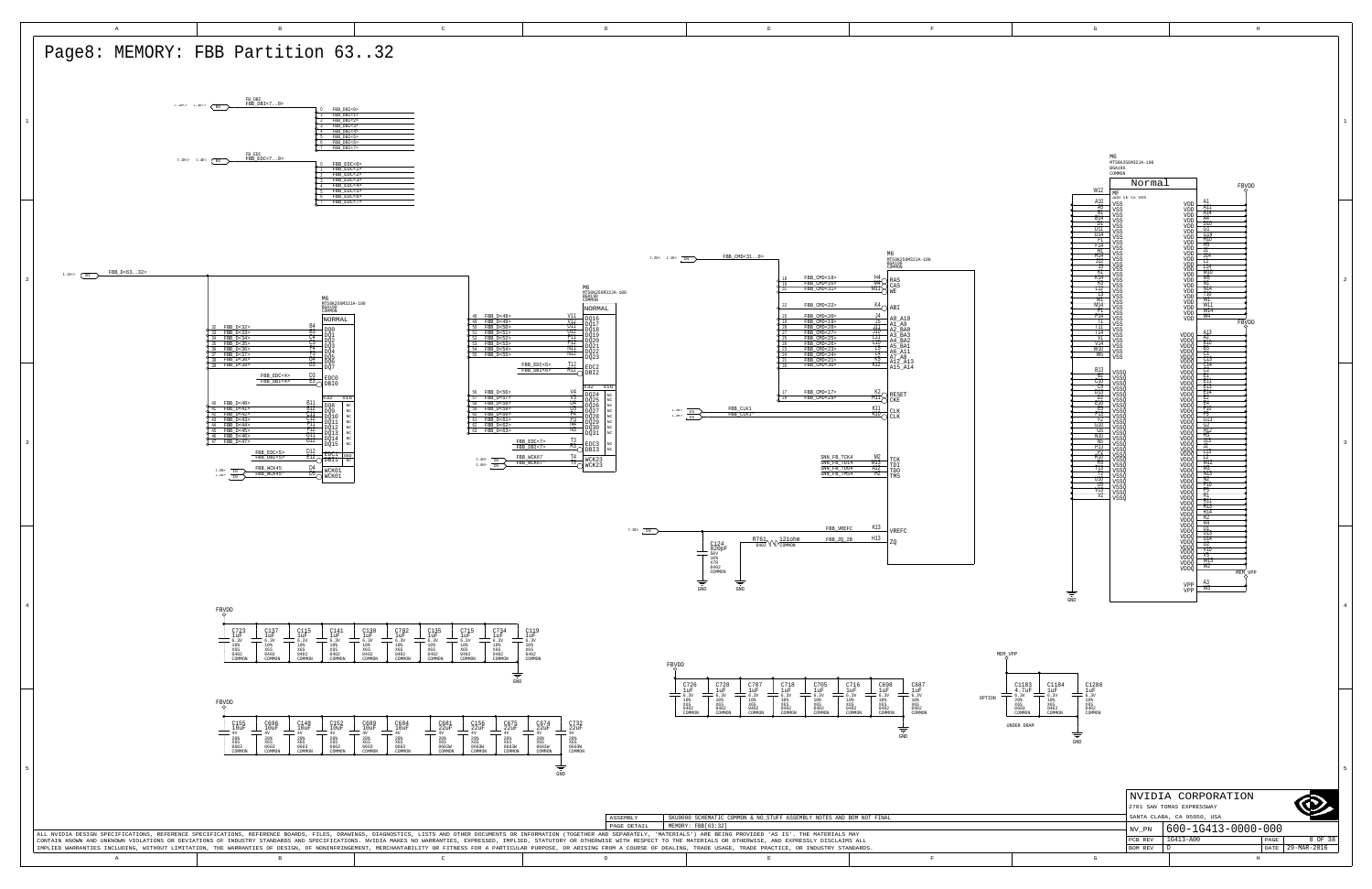D

PCB REV | 1G413-A00

29-MAR-2016 DATE

H

<span id="page-7-6"></span><span id="page-7-5"></span><span id="page-7-4"></span><span id="page-7-3"></span><span id="page-7-2"></span><span id="page-7-1"></span><span id="page-7-0"></span>



G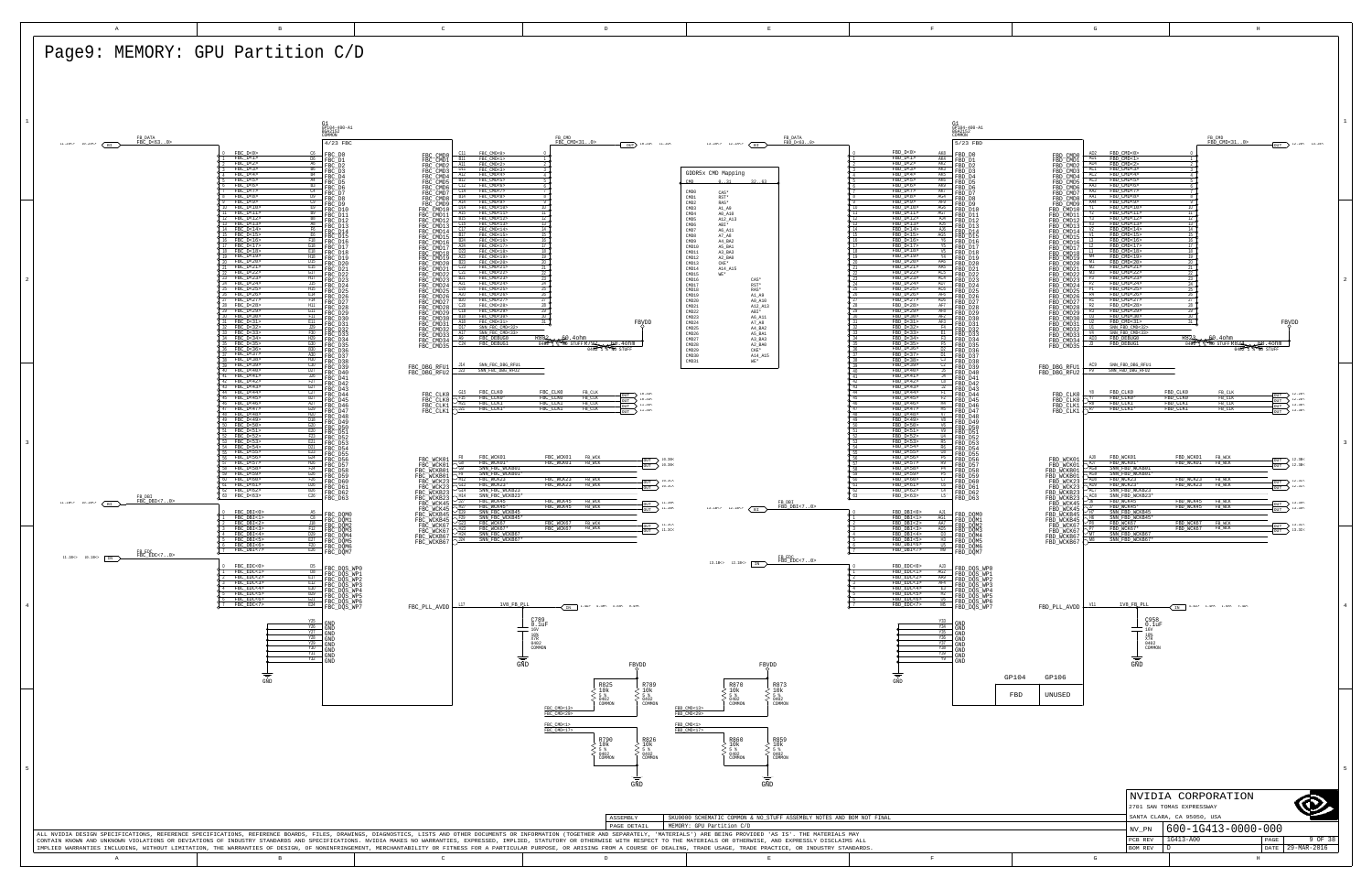<span id="page-8-10"></span><span id="page-8-8"></span><span id="page-8-6"></span><span id="page-8-5"></span><span id="page-8-4"></span><span id="page-8-3"></span><span id="page-8-2"></span><span id="page-8-0"></span>

<span id="page-8-11"></span><span id="page-8-9"></span><span id="page-8-7"></span><span id="page-8-1"></span>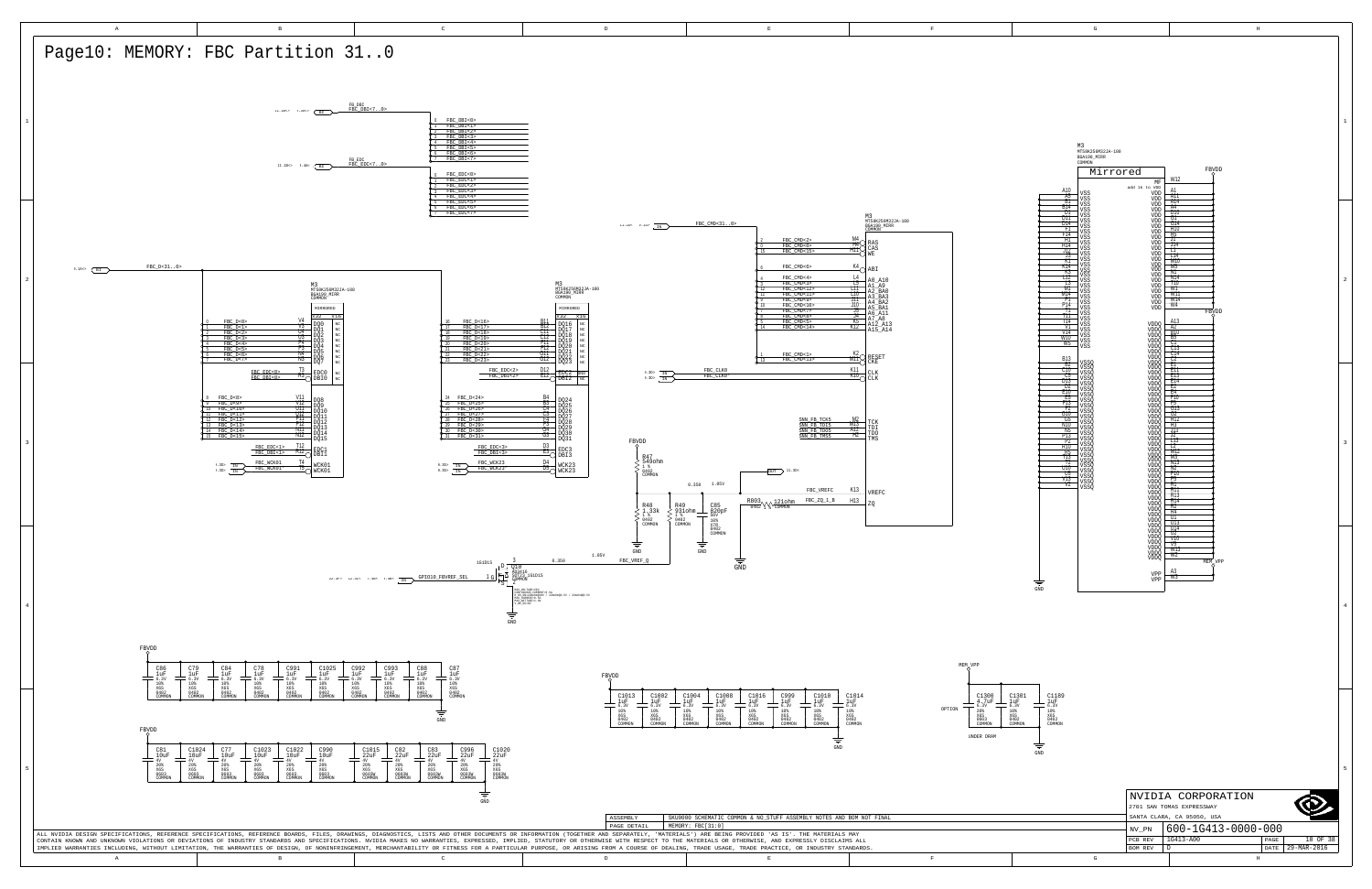|   |                | NVIDIA CORPORATION<br>2701 SAN TOMAS EXPRESSWAY<br>SANTA CLARA, CA 95050, USA |      |             |
|---|----------------|-------------------------------------------------------------------------------|------|-------------|
|   | NV PN          | 600-1G413-0000-000                                                            |      |             |
|   | PCB REV        | 1G413-A00                                                                     | PAGE | 10 OF 38    |
|   | <b>BOM REV</b> | n                                                                             | DATE | 29-MAR-2016 |
| G |                | H                                                                             |      |             |

<span id="page-9-7"></span>

|                             | M3<br>MT58K256M32JA-100<br>BGA190_MIRR<br>COMMON |                             |                                                           |                      |  |  |
|-----------------------------|--------------------------------------------------|-----------------------------|-----------------------------------------------------------|----------------------|--|--|
|                             | Mirrored                                         | MF                          | W12                                                       | FBYDD                |  |  |
| A10                         | VSS                                              | add 1k to VDD<br>VDD        | Α1<br>A11                                                 |                      |  |  |
| $\frac{A5}{B1}$<br>B14      | VSS<br>VSS                                       | VDD<br>VDD                  | A14<br>A4                                                 |                      |  |  |
| DI<br>DTT                   | <b>VSS</b><br>VSS<br>VSS                         | VDD<br>VDD<br>VDD           | D10<br>GT                                                 |                      |  |  |
| D14<br>ŦT                   | VSS<br>VSS                                       | VDD<br>VDD                  | G14<br>ĦTO                                                |                      |  |  |
| F14<br>ĦΤ                   | <b>VSS</b><br>VSS                                | VDD<br>VDD                  | Ħ5<br>ᆩ                                                   |                      |  |  |
| H14<br>J12                  | VSS<br>VSS                                       | VDD<br>VDD                  | J14<br>ᄓ<br>LT4                                           |                      |  |  |
| J3<br>КT<br>K14             | VSS<br>VSS                                       | VDD<br>VDD                  | M10<br>M5                                                 |                      |  |  |
| K3<br>L12                   | VSS<br>VSS                                       | VDD<br>VDD                  | NΤ<br>N14                                                 |                      |  |  |
| T3<br>M                     | VSS<br>VSS<br>VSS                                | VDD<br>VDD<br>VDD           | T10<br>WT                                                 |                      |  |  |
| M14<br>PТ                   | VSS<br>VSS                                       | VDD<br>VDD                  | WΠ<br>W14                                                 |                      |  |  |
| P14<br>π<br>TΠ              | VSS<br>VSS                                       | VDD                         | W4                                                        | FBVDD                |  |  |
| T14<br>VT                   | VSS<br>VSS                                       | VDDQ                        | A13<br>A2                                                 |                      |  |  |
| V14<br>W10                  | VSS<br>VSS<br>VSS                                | VDDQ<br>VDDQ<br>VDDO        | <b>B10</b><br>$\frac{1}{100}$                             |                      |  |  |
| W5                          | VSS                                              | VDDQ<br><b>VDDQ</b>         | Ţ13                                                       |                      |  |  |
| <b>B13</b><br>-B2           | VSSQ                                             | VDDÕ<br>VDDÕ                | Č14<br>C2<br>ΈТ                                           |                      |  |  |
| C10<br>C5                   | <b>VSSO</b><br>VSSQ<br>VSSQ                      | VDDO<br>VDDO<br>VDDQ        | ΈĦ<br>E13                                                 |                      |  |  |
| DJ3<br>DJ3<br>D2            | VSSQ<br>VSSŌ                                     | VDDO<br>VDDO                | E14<br>E2                                                 |                      |  |  |
| ETO<br>E5<br>F13            | <b>VSSQ</b><br>VSSQ                              | VDDQ<br>VDDQ                | E4<br>FTO<br>Ŧ5                                           |                      |  |  |
| T2<br>GTŌ                   | VSSQ<br>VSSŌ                                     | VDDQ<br>VDDO                | G13<br>77                                                 |                      |  |  |
| G5<br>N10                   | VSSQ<br>VSSQ<br>VSSQ                             | VDDQ<br><b>VDDQ</b><br>VDDQ | H12<br>713                                                |                      |  |  |
| N <sub>5</sub><br>P13<br>P) | VSSQ<br><b>VSSQ</b>                              | VDDQ<br>VDDQ<br>VDDQ        | J13<br>J2<br>$\overline{1}$ $\overline{1}$ $\overline{3}$ |                      |  |  |
| R10                         | VSSÕ<br>VSSÕ                                     | <b>VDDQ</b>                 | 12<br>M12                                                 |                      |  |  |
| $\frac{1}{113}$<br>Τ2       | VSSQ<br>VSSŌ<br><b>VSSQ</b>                      | VDDQ<br>VDDO<br>VDDQ        | M3<br>TV 13                                               |                      |  |  |
| U10<br>U5                   | VSSQ<br>VSSQ                                     | VDDQ<br>VDDQ                | N2<br>P10                                                 |                      |  |  |
| VT3<br>V2                   | VSSŌ<br>VSSQ                                     | VDDO<br>VDDQ                | P5<br>RT<br>RĦ                                            |                      |  |  |
|                             |                                                  | <b>VDDQ</b><br>VDDQ         | R13<br>R14                                                |                      |  |  |
|                             |                                                  | VDDO<br><b>VDDQ</b>         | R2<br>R4                                                  |                      |  |  |
|                             |                                                  | VDDŌ<br>VDDQ<br>VDDO        | ण<br>UT3<br>गा।                                           |                      |  |  |
|                             |                                                  | VDDO<br>VDDQ                | UZ.<br>VTO                                                |                      |  |  |
|                             |                                                  | VDDQ<br>VDDQ<br>VDDO        | $\sqrt{5}$<br>WT3                                         |                      |  |  |
|                             |                                                  | VDDQ                        | W2                                                        | MEM <sub>O</sub> VPP |  |  |
|                             |                                                  | VPP                         | A3<br>W3                                                  |                      |  |  |
|                             |                                                  | VPP                         |                                                           |                      |  |  |
|                             |                                                  |                             |                                                           |                      |  |  |
|                             |                                                  |                             |                                                           |                      |  |  |
|                             |                                                  |                             |                                                           |                      |  |  |
|                             |                                                  |                             |                                                           |                      |  |  |
|                             |                                                  |                             |                                                           |                      |  |  |
|                             |                                                  |                             |                                                           |                      |  |  |



<span id="page-9-6"></span><span id="page-9-5"></span><span id="page-9-4"></span><span id="page-9-3"></span><span id="page-9-2"></span><span id="page-9-1"></span><span id="page-9-0"></span>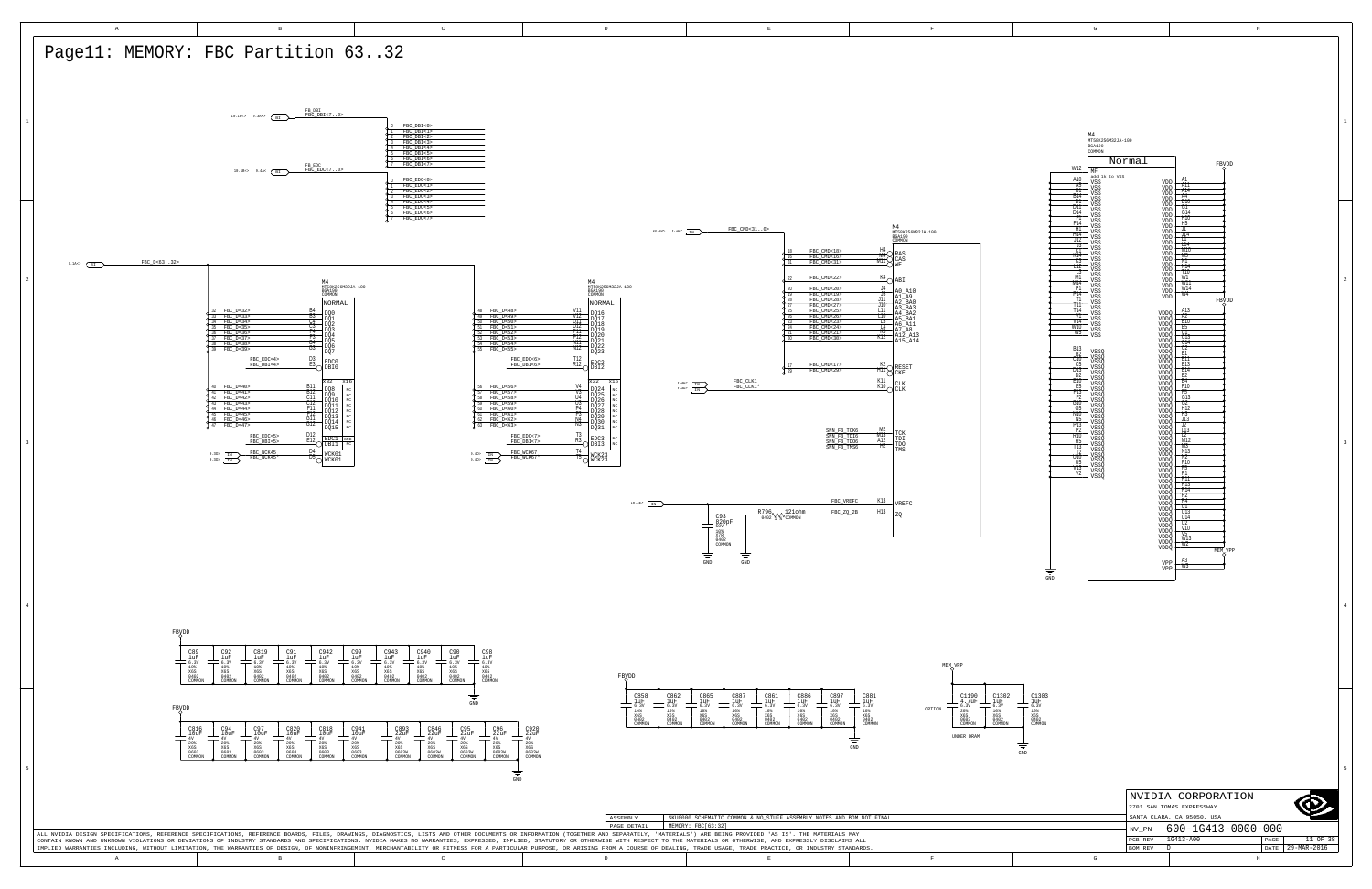W3 A3 W2 W13 V5 V10 U2 U14 U13 U1

|   |                           | NVIDIA CORPORATION         |      |             |  |  |  |  |
|---|---------------------------|----------------------------|------|-------------|--|--|--|--|
|   | 2701 SAN TOMAS EXPRESSWAY |                            |      |             |  |  |  |  |
|   |                           | SANTA CLARA, CA 95050, USA |      |             |  |  |  |  |
|   | NV PN                     | 600-1G413-0000-000         |      |             |  |  |  |  |
|   |                           |                            |      |             |  |  |  |  |
|   | PCB REV                   | $1G413 - A00$              | PAGE | 11 OF 38    |  |  |  |  |
|   | <b>BOM REV</b>            |                            | DATE | 29-MAR-2016 |  |  |  |  |
| G |                           | H                          |      |             |  |  |  |  |

<span id="page-10-2"></span>GND

| G                                                         | H                            |
|-----------------------------------------------------------|------------------------------|
|                                                           |                              |
|                                                           |                              |
|                                                           |                              |
|                                                           |                              |
|                                                           |                              |
|                                                           |                              |
|                                                           |                              |
|                                                           |                              |
| M4                                                        |                              |
| MT58K256M32JA-100<br><b>BGA190</b>                        |                              |
| COMMON                                                    |                              |
| Normal<br>W12                                             | FBYDD                        |
| MF<br>add 1k to VSS<br>A10                                | A1                           |
| VSS<br>VDD<br>A5<br>VSS<br>VDD<br>ВĪ                      | A11<br>A14                   |
| VSS<br>VDD<br>B14<br>VSS<br>VDD<br>D1                     | A4<br>D10                    |
| VSS<br>VDD<br>וזס<br>VSS<br>VDD                           | GT                           |
| D14<br>VSS<br>VDD<br>Ħ<br>VSS<br>VDD                      | G14<br>ĦΤO                   |
| F14<br>VSS<br>VDD<br>Ħ1<br>VSS<br>VDD<br>HT4              | Ħ5<br>JT<br>$\overline{114}$ |
| VSS<br>VDD<br>J12<br>VSS<br>VDD                           | П<br>T14                     |
| J3<br>VSS<br>VDD<br>ΚŤ<br>VDD<br>VSS<br>K14               | MTO<br>M5                    |
| VSS<br>VDD<br>K3<br>VSS<br>VDD<br>П2                      | NΤ<br>N14                    |
| VSS<br>VDD<br>T3<br>VSS<br>VDD<br>M1                      | T10<br>W٦                    |
| VSS<br>VDD<br>M14<br>VDD<br>VSS<br>ÏΠ                     | WT1<br>W14                   |
| VSS<br>VDD<br>P14<br>VDD<br>VSS<br>Π                      | W4<br>FBVDD                  |
| VSS<br>т<br>VSS<br>T14                                    | A13                          |
| VDDQ<br>VSS<br>VT<br>VSS<br>VDDŌ<br>V14                   | $\frac{A2}{B10}$             |
| VSS<br>VDDQ<br>WTO<br>VSS<br>VDDŌ<br>W5                   | B5                           |
| VSS<br>VDDŌ<br>VDDQ                                       | <u>ँ।</u><br>C13<br>C14      |
| VDDQ<br><b>B13</b><br>VSSQ<br>VDDQ<br>VDDQ<br>B2          | Č2<br>E1                     |
| vssō<br>C10<br>VSSQ<br>VDDŌ<br>C5                         | ĒİT<br>E13                   |
| VSSQ<br>VDDQ<br>D13<br><b>VSSQ</b><br>VDDQ<br>D2          | Ejă<br>E2                    |
| VDDQ<br>VSSQ<br>ETO<br><b>VSSO</b><br><b>VDDO</b><br>F5   | E4<br>FTO<br>F5              |
| vsso<br>VDDŌ<br>FT3<br>VSSQ<br>VDDQ<br>Ŧ2                 | G13                          |
| vssō<br>VDDQ<br>GTO<br>vsso<br><b>VDDQ</b><br>G5          | G2<br>H12                    |
| VSSQ<br><b>VDDO</b><br>NTO<br>VSSQ<br>VDDŌ<br>N5          | Ħ3<br>J13                    |
| VSSQ<br>VDDQ<br>P13<br>VSSQ<br>VDDŌ<br>Ď7                 | J2<br>ŤŦ3                    |
| VSSQ<br>VSSQ<br>VDDQ<br>VDDQ<br>R10<br>R5<br>VSSO<br>VDDQ | Γ2<br>M12                    |
| 113<br>VSSQ<br>VDDQ<br>17<br>VSSQ<br><b>VDDO</b>          | M3<br>NT3                    |
| U10<br>vssō<br>VDDQ<br>U5<br>VSSQ<br>VDDQ                 | $\frac{N2}{P10}$             |
| VŤ3<br>VSSŌ<br>VDDŌ<br>$_{\rm V2}$<br><b>VSSO</b><br>VDDQ | P5<br>RT                     |
| VDDQ<br>VDDQ                                              | R11<br>ŘÎ.                   |
| VDDQ<br><b>VDDQ</b>                                       | R14<br>R2                    |
| <b>TTDD</b>                                               | Ŕ4                           |

MEM\_VPP

2

3

4

5

1uF<br>6.3V<br>10% X6S<br>0402<br>COMMON

<span id="page-10-6"></span><span id="page-10-5"></span><span id="page-10-4"></span><span id="page-10-3"></span><span id="page-10-1"></span><span id="page-10-0"></span>

1

VDDQ VDDQ VDDQ VDDQ VDDQ VDDQ VDDQ VDDQ VDDQ VPP VPP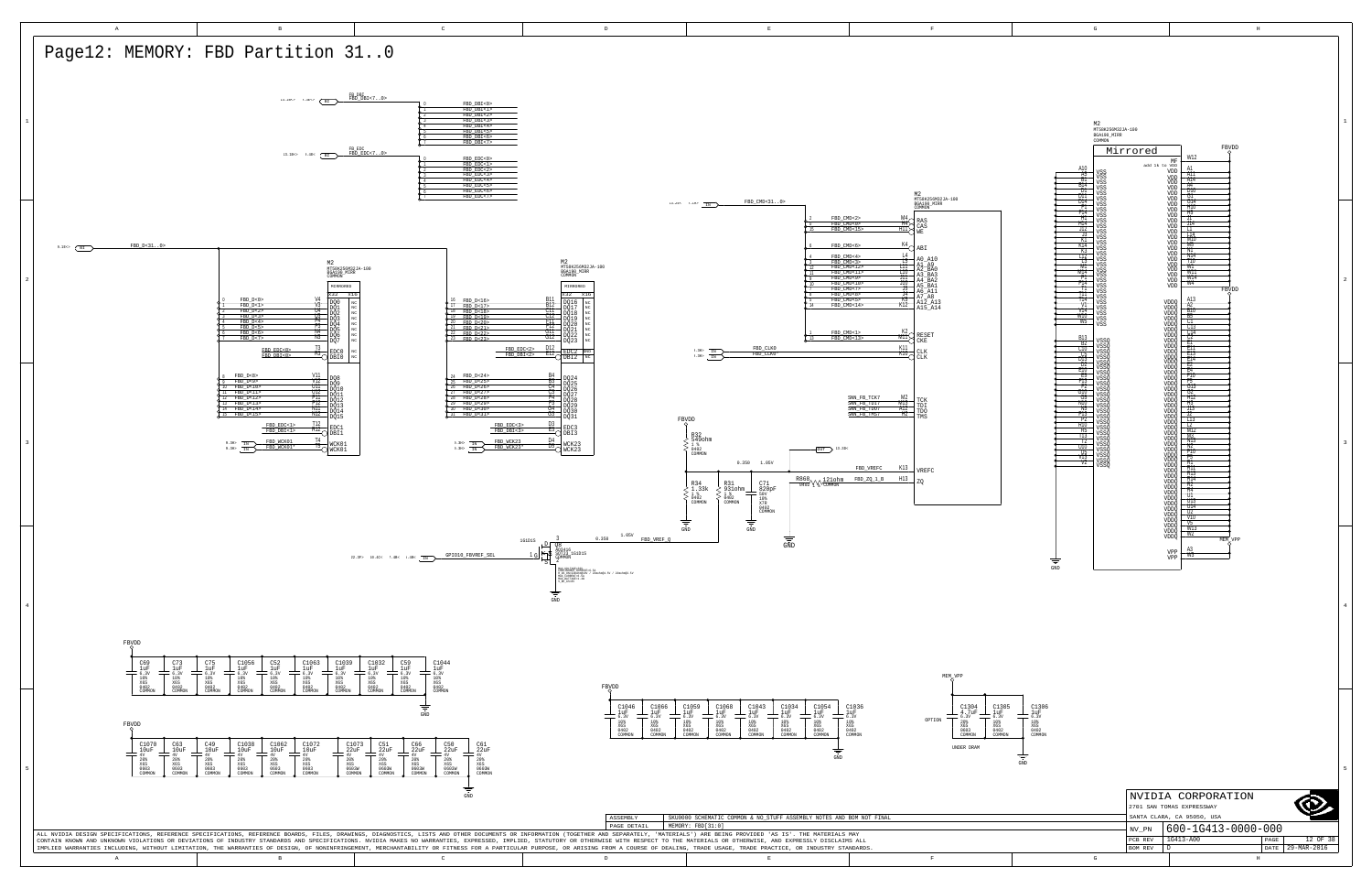GND



|   | NVIDIA CORPORATION<br>2701 SAN TOMAS EXPRESSWAY<br>SANTA CLARA, CA 95050, USA |                    |      |             |  |  |
|---|-------------------------------------------------------------------------------|--------------------|------|-------------|--|--|
|   | NV PN                                                                         | 600-1G413-0000-000 |      |             |  |  |
|   | PCB REV                                                                       | 1G413-A00          | PAGE | 12 OF 38    |  |  |
|   | <b>BOM REV</b>                                                                |                    | DATE | 29-MAR-2016 |  |  |
| G | H                                                                             |                    |      |             |  |  |

<span id="page-11-6"></span><span id="page-11-3"></span>

<span id="page-11-5"></span><span id="page-11-4"></span><span id="page-11-2"></span><span id="page-11-1"></span><span id="page-11-0"></span>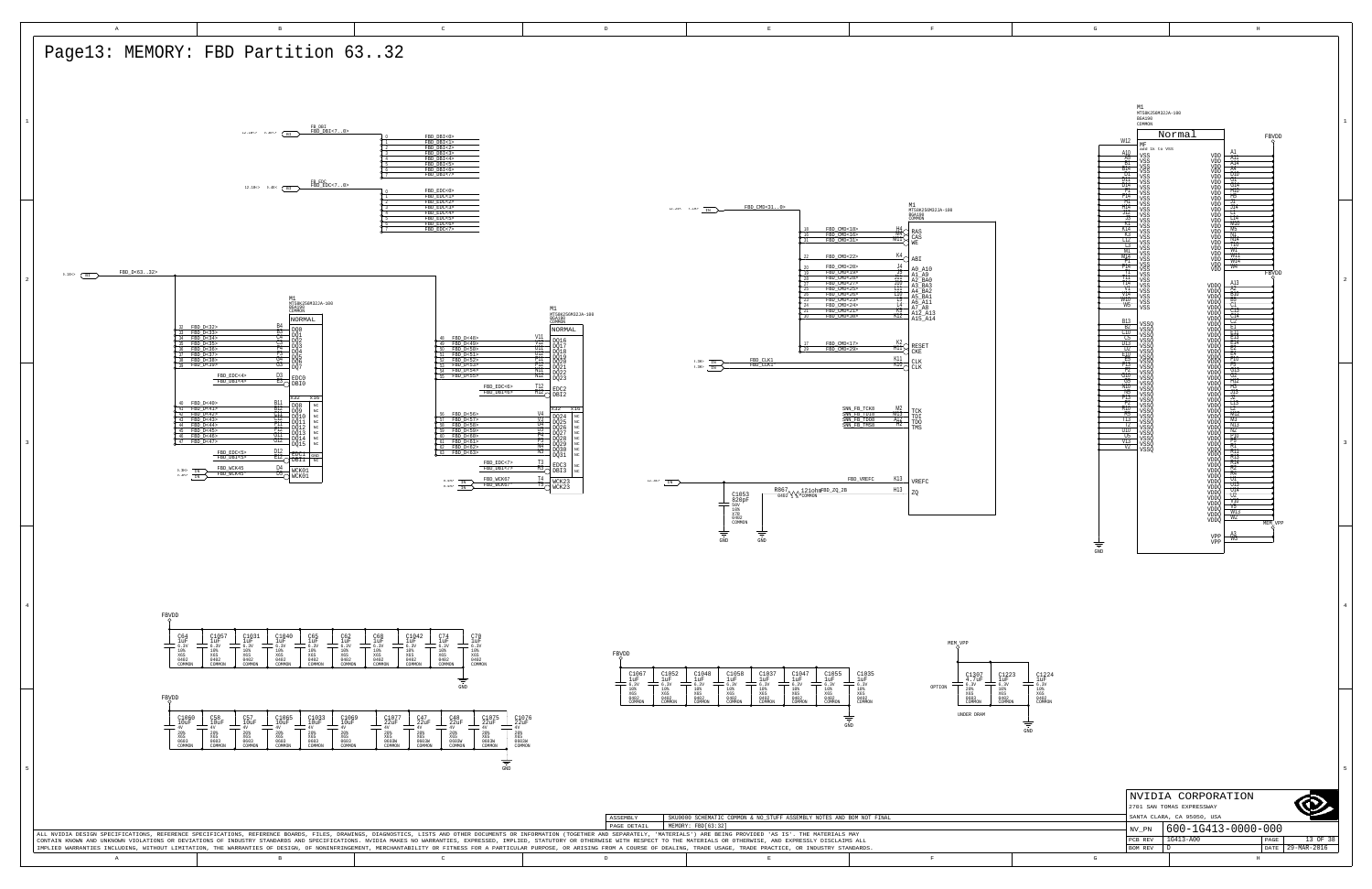<span id="page-12-0"></span>

|   |                            | NVIDIA CORPORATION |      |             |  |  |  |
|---|----------------------------|--------------------|------|-------------|--|--|--|
|   | 2701 SAN TOMAS EXPRESSWAY  |                    |      |             |  |  |  |
|   | SANTA CLARA, CA 95050, USA |                    |      |             |  |  |  |
|   | NV PN                      | 600-1G413-0000-000 |      |             |  |  |  |
|   | PCB REV                    | 1G413-A00          | PAGE | 13 OF 38    |  |  |  |
|   | <b>BOM REV</b>             | D                  | DATE | 29-MAR-2016 |  |  |  |
| G |                            | H                  |      |             |  |  |  |

<span id="page-12-4"></span>

|            | M1<br>MT58K256M32JA-100                      |                         |
|------------|----------------------------------------------|-------------------------|
|            | <b>BGA190</b><br>COMMON                      |                         |
|            |                                              |                         |
| W12        | Normal                                       | FBVDD                   |
|            | MF<br>add 1k to VSS                          |                         |
| A10<br>A5  | VSS                                          | A1<br>VDD<br>A11        |
| ВT         | VSS<br>VSS                                   | VDD<br>A14<br>VDD       |
| B14<br>D1  | VSS                                          | A4<br>VDD<br>D10        |
| DTT<br>DT4 | VSS<br>VSS                                   | VDD<br>GT<br>VDD<br>G14 |
| F1         | VSS                                          | VDD<br>Ħ10              |
| F14<br>Η١  | VSS<br>VSS                                   | VDD<br>Ħ5<br>VDD<br>T   |
| H14        | VSS<br><b>VSS</b>                            | VDD<br>114<br>VDD       |
| J12<br>-13 | VSS                                          | ₶<br>VDD<br>T14         |
| K٦         | VSS<br><b>VSS</b>                            | VDD<br>MTO<br>VDD       |
| K14<br>Ķ3  | VSS                                          | M5<br>VDD<br>NΤ         |
| ПΣ         | VSS<br><b>VSS</b>                            | VDD<br>N 14<br>VDD      |
| T3<br>MT   | VSS                                          | T10<br>VDD<br>W1        |
| M14        | VSS<br><b>VSS</b>                            | VDD<br>WT1<br>VDD       |
| P1<br>P14  | VSS                                          | W14<br>VDD<br>W4        |
| П          | VSS<br>VDD<br><b>VSS</b>                     | FBVDD                   |
| т<br>114   | všš                                          | A13                     |
| V1         | VSS<br>VDDQ<br>VSS<br>VDDO                   | A2                      |
| V14<br>WTO | VSS<br><b>VDDQ</b>                           | BŤO<br>B5               |
| W5         | VSS<br>VDDQ<br>VDDÖ<br>VSS                   | CΤ                      |
|            | VDDQ                                         | CT3<br>Č14<br>C2        |
| <b>B13</b> | VDDQ<br><b>VSSO</b><br>VDDO                  |                         |
| B2<br>ᅊ    | <b>VSSQ</b><br>VDDQ                          | ET<br>EΠ                |
| DT3        | VSSQ<br>VDDQ<br>vssō<br>VDDO                 | E13                     |
| D2         | <b>VSSQ</b><br>VDDQ                          | E14<br>E2               |
| E10<br>Ŀ5  | VDDQ<br>VDDQ<br>VSSQ<br>VSSO<br>VSSO<br>VSSO | þ<br>Ē4<br>F10          |
| F13        | VDDQ<br>VSSQ<br>VDDQ                         | F5                      |
| Ŧ2<br>G10  | VDDQ<br>VSSQ                                 | G13<br>52               |
| G5<br>N10  | <b>VSSQ</b><br>VDDQ<br>VSSQ<br>VDDQ          | HT2                     |
| N5         | VDDQ<br>VSSQ                                 | Ħ3<br>J13               |
| PTR        | VSSQ<br>VDDQ<br><b>VSSQ</b><br><b>VDDQ</b>   | 17                      |
| P2<br>R10  | VDDQ<br>VSSQ                                 | LT3<br>T                |
| R5         | vssō<br>VDDQ<br>VSSQ<br>VDDQ                 | MT2                     |
| Т13<br>Б   | <b>VSSQ</b><br>VDDQ                          | M3<br>N13               |
| UTÓ        | VSSQ<br>VDDO                                 | N)                      |
| U5<br>VT3  | vssõ<br>vssõ<br>VDDŌ<br>VDDQ                 | P10<br>P5               |
| V7         | VSSQ<br>VDDQ<br>VDDO<br><b>VSSO</b>          | ŔŤ<br>RП                |
|            | <b>VDDQ</b><br>VDDQ                          | R13                     |
|            | VDDÖ                                         | <b>R14</b><br>R7        |
|            | <b>VDDQ</b><br>VDDQ                          | R4                      |
|            | VDDO                                         | UΤ<br>UT3               |
|            | <b>VDDQ</b><br>VDDQ                          | U14                     |
|            | VDDO                                         | U2<br>V10               |
|            | VDDQ<br>VDDQ                                 | V5                      |
|            | VDDÕ                                         | W13<br>W2               |
|            | VDDÕ                                         | MEM<br>L<br>C           |
|            |                                              | A3<br>VPP               |
|            |                                              | w٦<br>VPP               |
| GND        |                                              |                         |
|            |                                              |                         |

3

4

5

<span id="page-12-6"></span><span id="page-12-5"></span><span id="page-12-3"></span><span id="page-12-2"></span><span id="page-12-1"></span>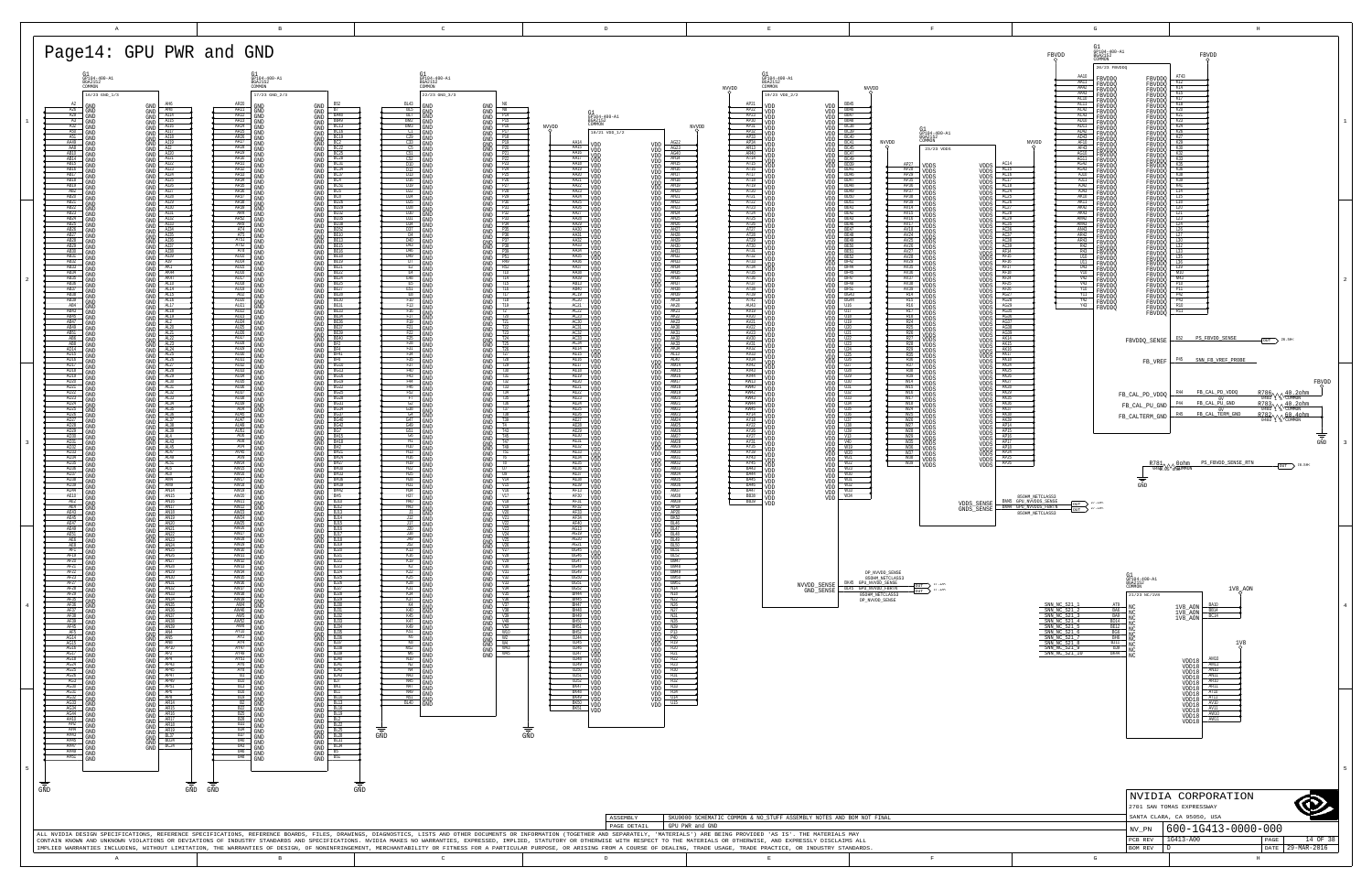<span id="page-13-3"></span><span id="page-13-2"></span><span id="page-13-1"></span><span id="page-13-0"></span>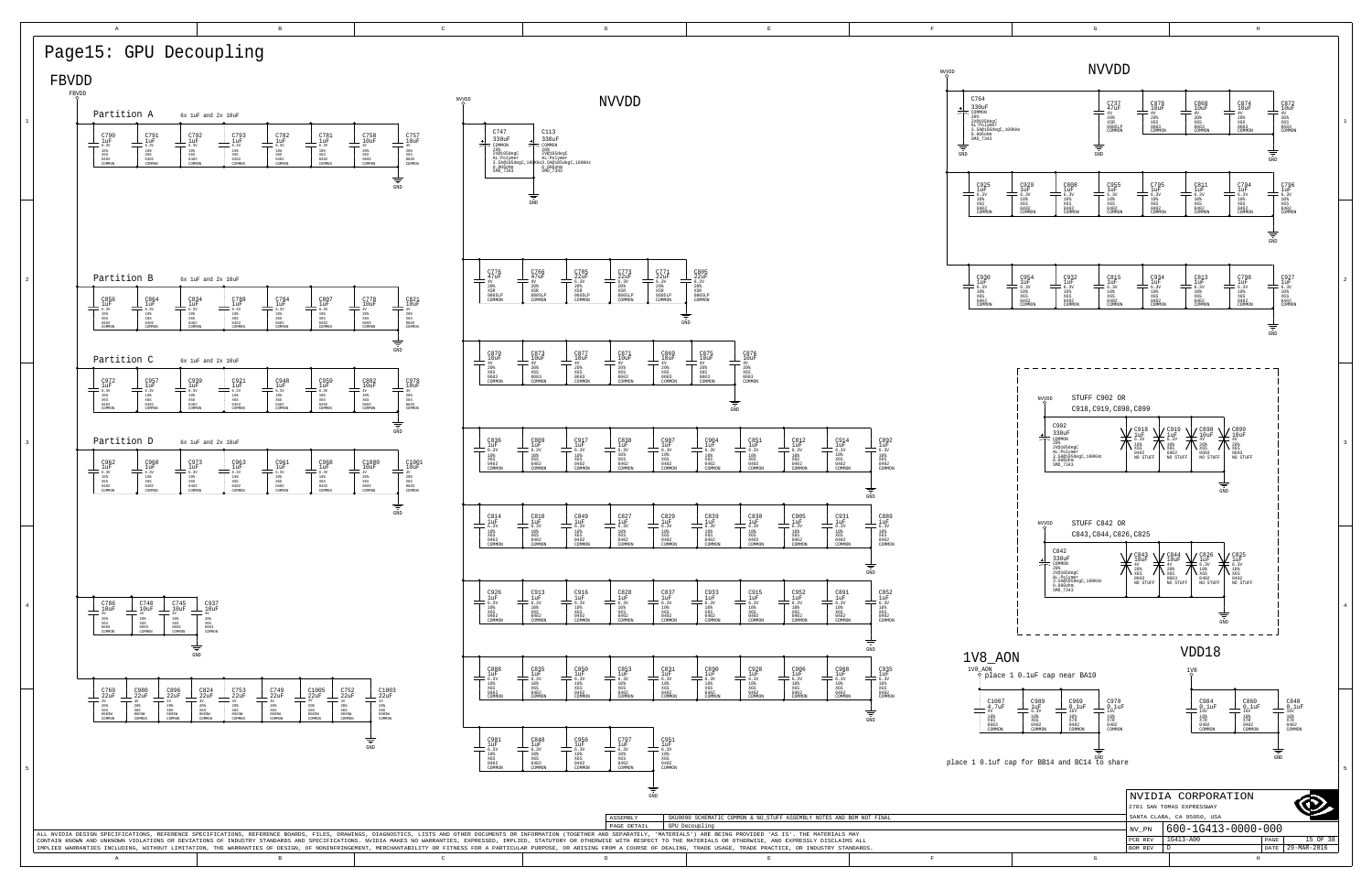

A B B C DD B B B B B B B C BEER IN THE RESERVE OF THE RESERVE OF THE RESERVE OF THE RESERVE OF THE RESERVE OF THE RESERVE OF THE RESERVE OF THE RESERVE OF THE RESERVE OF THE RESERVE OF THE RESERVE OF THE RESERVE OF THE RESERVE OF THE RESERVE OF TH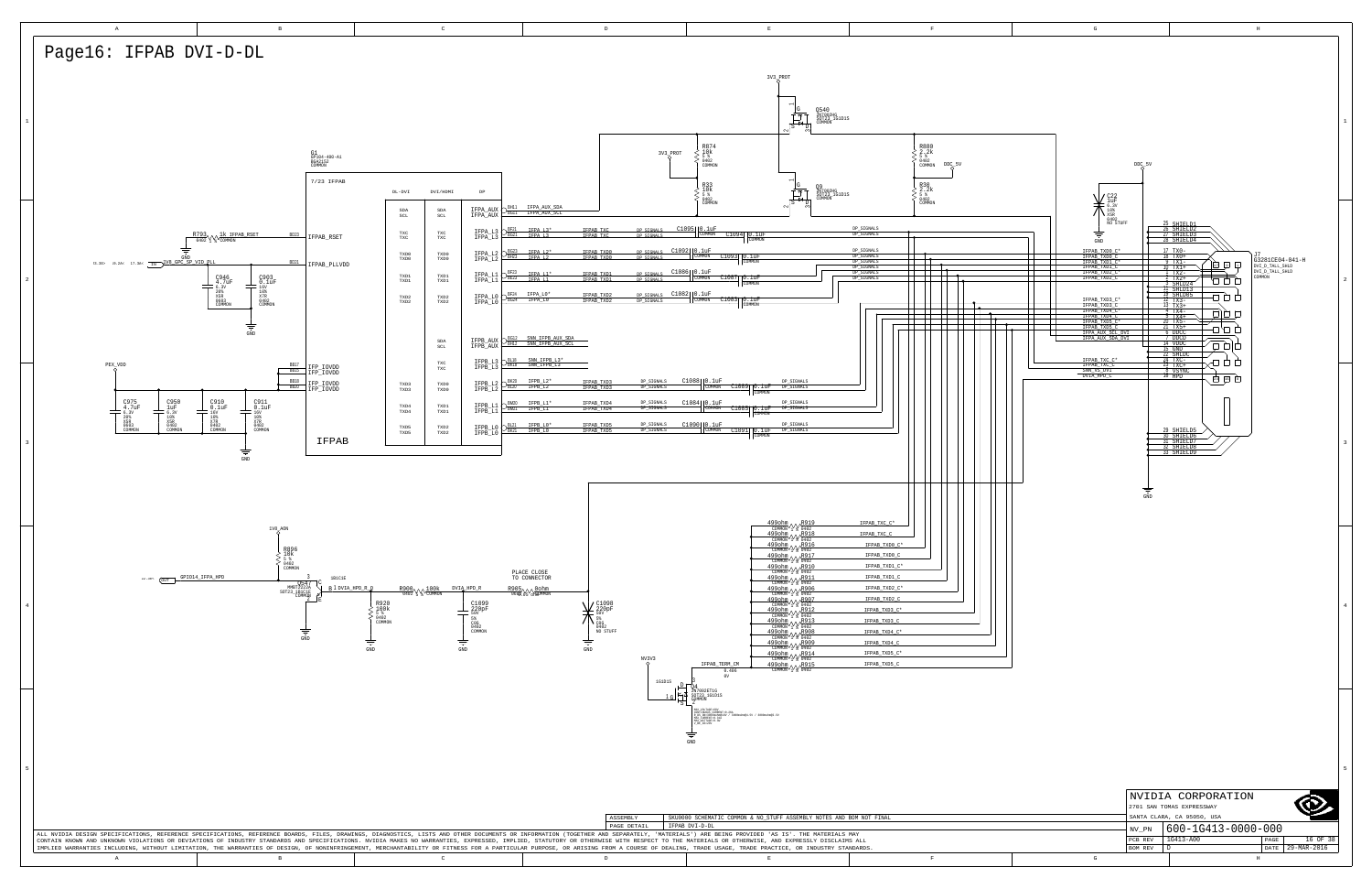<span id="page-15-1"></span><span id="page-15-0"></span>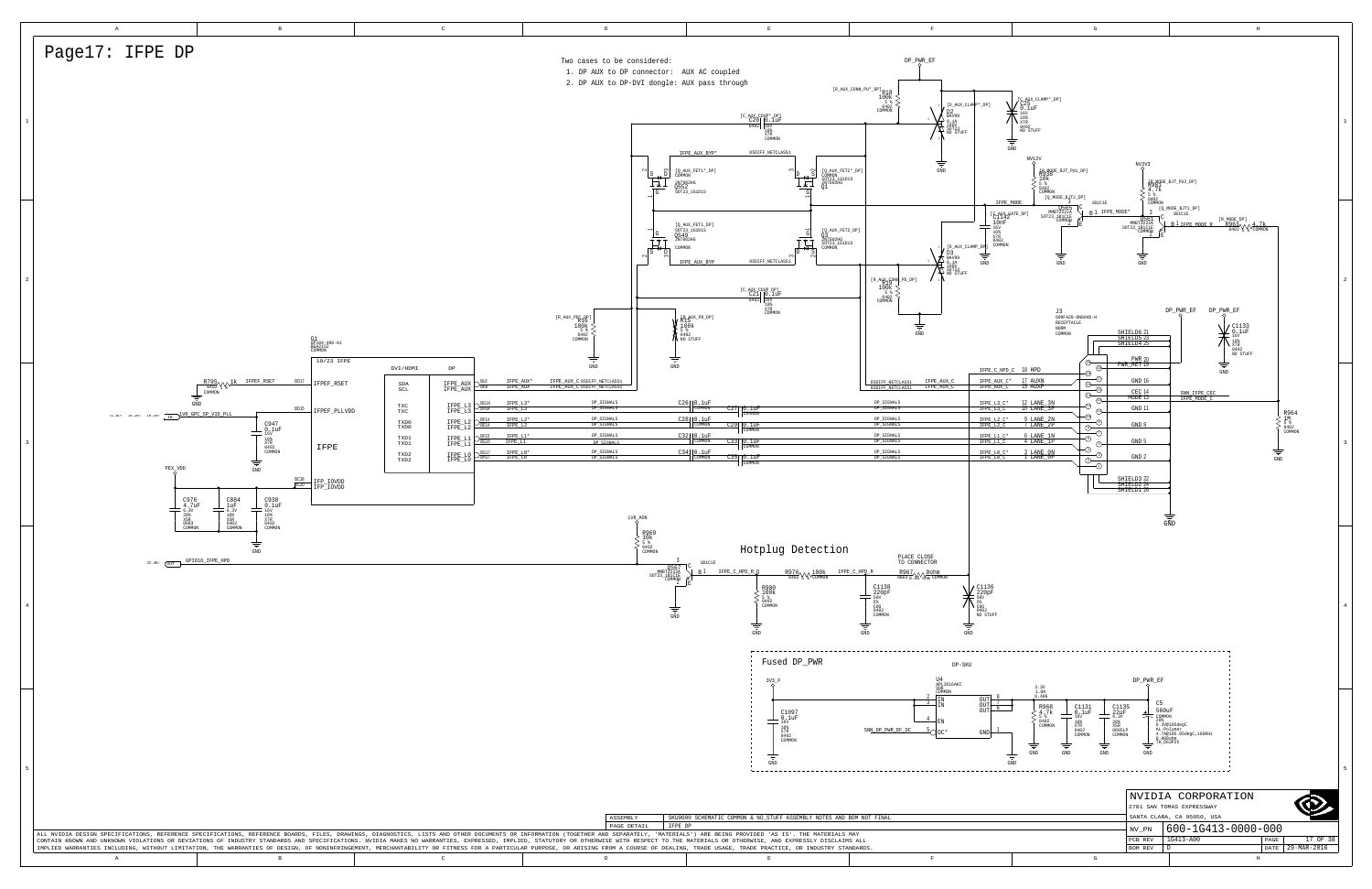<span id="page-16-1"></span><span id="page-16-0"></span>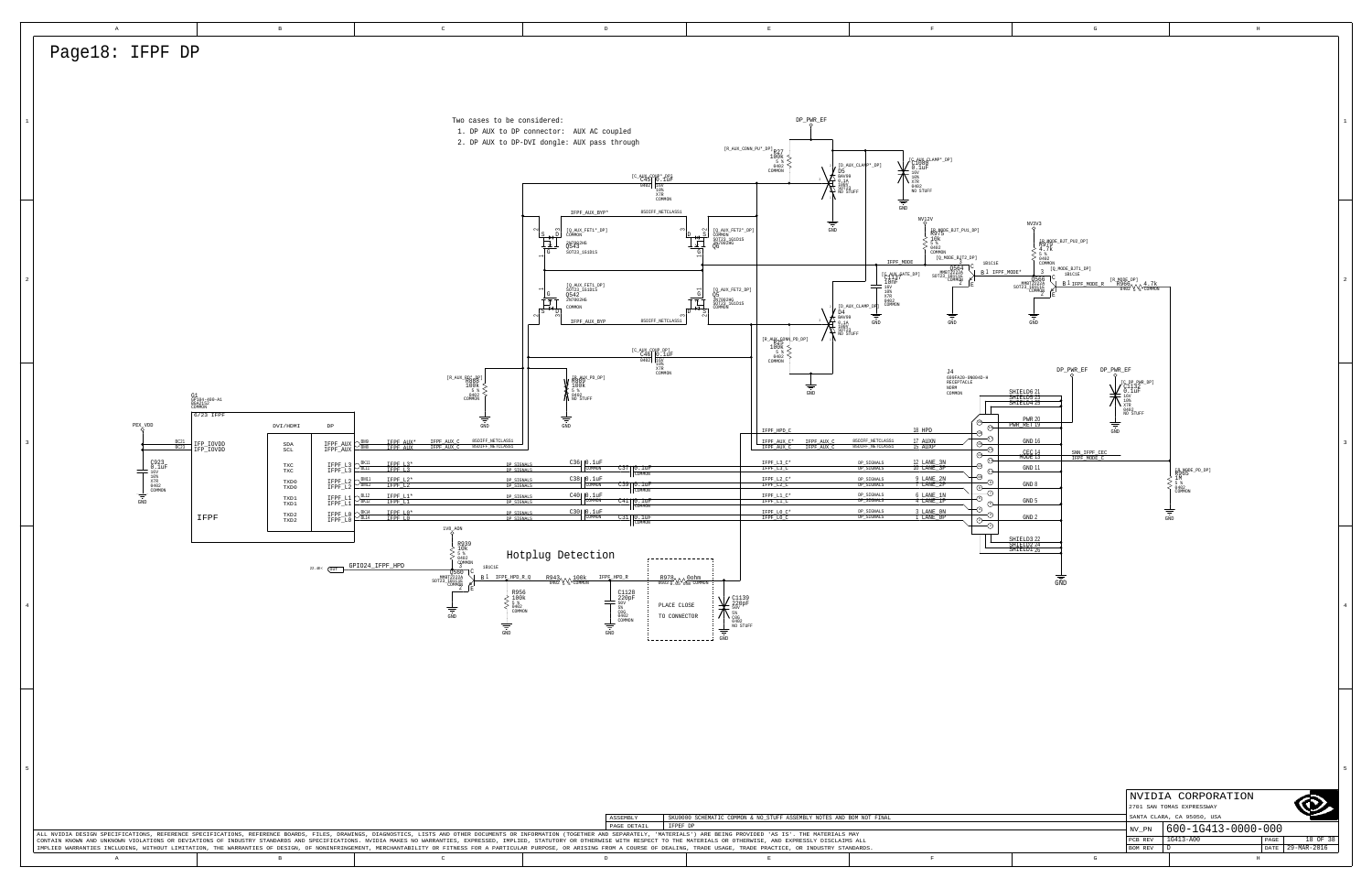<span id="page-17-0"></span>

| $\,$ A                                                                                             | $\,$ B                                                                                                                           | $\,$ C $\,$                                                                                                                                                                                                                                                                                                                                                                                                                                                     | $\mathbb D$                                                                                                                                                                                                                                                                                                                                                                                                                                                                                                                                         | $\mathbf E$                                                                                                                                                                                       | $\mathbf{F}$                                                                                                                                                                                                                                                                                                                                                                                                                                                                                                                                                      | $\mathbf G$                                                                                  | $\,$ H $\,$                                                    |
|----------------------------------------------------------------------------------------------------|----------------------------------------------------------------------------------------------------------------------------------|-----------------------------------------------------------------------------------------------------------------------------------------------------------------------------------------------------------------------------------------------------------------------------------------------------------------------------------------------------------------------------------------------------------------------------------------------------------------|-----------------------------------------------------------------------------------------------------------------------------------------------------------------------------------------------------------------------------------------------------------------------------------------------------------------------------------------------------------------------------------------------------------------------------------------------------------------------------------------------------------------------------------------------------|---------------------------------------------------------------------------------------------------------------------------------------------------------------------------------------------------|-------------------------------------------------------------------------------------------------------------------------------------------------------------------------------------------------------------------------------------------------------------------------------------------------------------------------------------------------------------------------------------------------------------------------------------------------------------------------------------------------------------------------------------------------------------------|----------------------------------------------------------------------------------------------|----------------------------------------------------------------|
| Page18: IFPF DP                                                                                    |                                                                                                                                  |                                                                                                                                                                                                                                                                                                                                                                                                                                                                 |                                                                                                                                                                                                                                                                                                                                                                                                                                                                                                                                                     |                                                                                                                                                                                                   |                                                                                                                                                                                                                                                                                                                                                                                                                                                                                                                                                                   |                                                                                              |                                                                |
|                                                                                                    |                                                                                                                                  |                                                                                                                                                                                                                                                                                                                                                                                                                                                                 |                                                                                                                                                                                                                                                                                                                                                                                                                                                                                                                                                     |                                                                                                                                                                                                   |                                                                                                                                                                                                                                                                                                                                                                                                                                                                                                                                                                   |                                                                                              |                                                                |
|                                                                                                    |                                                                                                                                  |                                                                                                                                                                                                                                                                                                                                                                                                                                                                 |                                                                                                                                                                                                                                                                                                                                                                                                                                                                                                                                                     |                                                                                                                                                                                                   |                                                                                                                                                                                                                                                                                                                                                                                                                                                                                                                                                                   |                                                                                              |                                                                |
|                                                                                                    |                                                                                                                                  |                                                                                                                                                                                                                                                                                                                                                                                                                                                                 |                                                                                                                                                                                                                                                                                                                                                                                                                                                                                                                                                     |                                                                                                                                                                                                   |                                                                                                                                                                                                                                                                                                                                                                                                                                                                                                                                                                   |                                                                                              |                                                                |
|                                                                                                    |                                                                                                                                  | Two cases to be considered:                                                                                                                                                                                                                                                                                                                                                                                                                                     |                                                                                                                                                                                                                                                                                                                                                                                                                                                                                                                                                     | $DP_PWR_EF$                                                                                                                                                                                       |                                                                                                                                                                                                                                                                                                                                                                                                                                                                                                                                                                   |                                                                                              |                                                                |
|                                                                                                    |                                                                                                                                  |                                                                                                                                                                                                                                                                                                                                                                                                                                                                 | 1. DP AUX to DP connector: AUX AC coupled                                                                                                                                                                                                                                                                                                                                                                                                                                                                                                           |                                                                                                                                                                                                   |                                                                                                                                                                                                                                                                                                                                                                                                                                                                                                                                                                   |                                                                                              |                                                                |
|                                                                                                    |                                                                                                                                  |                                                                                                                                                                                                                                                                                                                                                                                                                                                                 | 2. DP AUX to DP-DVI dongle: AUX pass through                                                                                                                                                                                                                                                                                                                                                                                                                                                                                                        |                                                                                                                                                                                                   |                                                                                                                                                                                                                                                                                                                                                                                                                                                                                                                                                                   |                                                                                              |                                                                |
|                                                                                                    |                                                                                                                                  |                                                                                                                                                                                                                                                                                                                                                                                                                                                                 |                                                                                                                                                                                                                                                                                                                                                                                                                                                                                                                                                     | ${\small \begin{array}{c} \texttt{[R\_AUX\_CONN\_PU^*\_DP]} & \texttt{R27} \\ \texttt{100k} \\ \texttt{5} \\ \texttt{0402} \\ \texttt{COMMON} \\ \texttt{COMMON} \end{array} }$<br>$D_5$<br>BAV99 | C1080 CLAMP*_DP<br>[D_AUX_CLANI                                                                                                                                                                                                                                                                                                                                                                                                                                                                                                                                   |                                                                                              |                                                                |
|                                                                                                    |                                                                                                                                  |                                                                                                                                                                                                                                                                                                                                                                                                                                                                 | $\begin{array}{r l} \text{[C_AUX\_COD*~DP]}\\ \hline \text{C45} & \text{0.1UF} \\ \hline 0402 & \text{10*} \\ \text{X7R} & \text{COMMON} \end{array}$                                                                                                                                                                                                                                                                                                                                                                                               | T 9.1A<br>$\nabla^{\frac{100V}{SOT23}}_{\text{NO STUFF}}$                                                                                                                                         | $\bigwedge_{\substack{\text{X7R}\text{0402}\text{N0}\\\text{NO STUFF}} }$                                                                                                                                                                                                                                                                                                                                                                                                                                                                                         |                                                                                              |                                                                |
|                                                                                                    |                                                                                                                                  |                                                                                                                                                                                                                                                                                                                                                                                                                                                                 |                                                                                                                                                                                                                                                                                                                                                                                                                                                                                                                                                     |                                                                                                                                                                                                   | $\frac{1}{\sqrt{2}}$                                                                                                                                                                                                                                                                                                                                                                                                                                                                                                                                              |                                                                                              |                                                                |
|                                                                                                    |                                                                                                                                  |                                                                                                                                                                                                                                                                                                                                                                                                                                                                 | $\ensuremath{\text{IFPF\_AUX\_BYP^*}}$<br>85DIFF_NETCLASS1                                                                                                                                                                                                                                                                                                                                                                                                                                                                                          | ≑                                                                                                                                                                                                 | NV12V                                                                                                                                                                                                                                                                                                                                                                                                                                                                                                                                                             | NV3V3                                                                                        |                                                                |
|                                                                                                    |                                                                                                                                  |                                                                                                                                                                                                                                                                                                                                                                                                                                                                 | $[\underbrace{\texttt{Q\_AUX\_FET1*}\_\texttt{DP}}_\texttt{COMMON}]$<br>$\begin{array}{c}\n\sqrt{1-\frac{1}{\sqrt{2}}} \\ \sqrt{1-\frac{1}{\sqrt{2}}} \\ \sqrt{1-\frac{1}{\sqrt{2}}} \\ \sqrt{1-\frac{1}{\sqrt{2}}} \\ \sqrt{1-\frac{1}{\sqrt{2}}} \\ \sqrt{1-\frac{1}{\sqrt{2}}} \\ \sqrt{1-\frac{1}{\sqrt{2}}} \\ \sqrt{1-\frac{1}{\sqrt{2}}} \\ \sqrt{1-\frac{1}{\sqrt{2}}} \\ \sqrt{1-\frac{1}{\sqrt{2}}} \\ \sqrt{1-\frac{1}{\sqrt{2}}} \\ \sqrt{1-\frac{1}{\sqrt{2}}} \\ \sqrt{1-\frac{1}{\sqrt{2}}} \\ \sqrt{1-\frac{1}{\sqrt{2}}} \\ \sqrt$ | [Q_AUX_FET2*_DP]<br>COMMON<br>SOT23_1G1D1S<br>2N700ZHG<br>Q6<br>$\operatorname{GND}$<br>ÏÏ                                                                                                        | $\begin{array}{l} \texttt{[R_MODE_BJT_PUI_DP]}\\ \texttt{R975} \\ 10\texttt{k}\\ 5\texttt{~$}} \end{array}$                                                                                                                                                                                                                                                                                                                                                                                                                                                       | RANQUE_BJT_PU2_DP]                                                                           |                                                                |
|                                                                                                    |                                                                                                                                  |                                                                                                                                                                                                                                                                                                                                                                                                                                                                 | 2N7002HG<br>Q543<br>sot23_iG1D1S                                                                                                                                                                                                                                                                                                                                                                                                                                                                                                                    |                                                                                                                                                                                                   | > 0402<br>COMMON<br>[Q_MODE_BJT2_DP]<br>IFPF_MODE<br><b>1B1C1E</b>                                                                                                                                                                                                                                                                                                                                                                                                                                                                                                | COMMON                                                                                       |                                                                |
|                                                                                                    |                                                                                                                                  |                                                                                                                                                                                                                                                                                                                                                                                                                                                                 |                                                                                                                                                                                                                                                                                                                                                                                                                                                                                                                                                     |                                                                                                                                                                                                   | $\overline{\text{MMBT2222A}}_{\substack{\text{MMB} \text{T2222A} \\ \text{SOT23\_IBIC1E} \\ \text{COMMQN}}$<br>B <sup>1</sup> IFPF_MODE*                                                                                                                                                                                                                                                                                                                                                                                                                          | $[Q \text{ MODE\_BIT\_DP}]$<br>$\Box C$                                                      |                                                                |
|                                                                                                    |                                                                                                                                  |                                                                                                                                                                                                                                                                                                                                                                                                                                                                 | [Q_AUX_FET1_DP]<br>SOT23_IGID1S<br>Q542<br>2N7002HG                                                                                                                                                                                                                                                                                                                                                                                                                                                                                                 | [Q_AUX_FET2_DP]                                                                                                                                                                                   | $\begin{picture}(130,10) \put(0,0){\line(1,0){10}} \put(15,0){\line(1,0){10}} \put(15,0){\line(1,0){10}} \put(15,0){\line(1,0){10}} \put(15,0){\line(1,0){10}} \put(15,0){\line(1,0){10}} \put(15,0){\line(1,0){10}} \put(15,0){\line(1,0){10}} \put(15,0){\line(1,0){10}} \put(15,0){\line(1,0){10}} \put(15,0){\line(1,0){10}} \put(15,0){\line($                                                                                                                                                                                                               | $B1$ IFPF MODE R R966 $\sqrt{4.7k}$<br>B1 IFPF MODE R R966 $\sqrt{4.7k}$                     |                                                                |
|                                                                                                    |                                                                                                                                  |                                                                                                                                                                                                                                                                                                                                                                                                                                                                 | $\begin{array}{c}\n\begin{array}{c}\n\text{G} \\ \text{G}\n\end{array}\n\end{array}$<br>MOMMOD                                                                                                                                                                                                                                                                                                                                                                                                                                                      | $\frac{1}{\sqrt{2}}$<br>UD<br>2N7002HG<br>SOT23_1G1D1S<br>COMMON<br>$D\overline{4}$<br>BAV99                                                                                                      | [D_AUX_CLAMP_DP                                                                                                                                                                                                                                                                                                                                                                                                                                                                                                                                                   |                                                                                              |                                                                |
|                                                                                                    |                                                                                                                                  |                                                                                                                                                                                                                                                                                                                                                                                                                                                                 | 85DIFF_NETCLASS1<br>IFPF_AUX_BYP                                                                                                                                                                                                                                                                                                                                                                                                                                                                                                                    |                                                                                                                                                                                                   | GND<br><b>GND</b>                                                                                                                                                                                                                                                                                                                                                                                                                                                                                                                                                 | $\mathop{\mathrm{GND}}$                                                                      |                                                                |
|                                                                                                    |                                                                                                                                  |                                                                                                                                                                                                                                                                                                                                                                                                                                                                 |                                                                                                                                                                                                                                                                                                                                                                                                                                                                                                                                                     | $\begin{array}{c}\texttt{[R_AUX_CCONN_PD_DP]}\\ \texttt{[RZ]}\\ 100\texttt{[R]}\\ 5\texttt{[R]}\\ 0402\\ \texttt{COMMON}\end{array}\hspace{-5mm}\xrightarrow{\texttt{[PD_DP]}\\$                  |                                                                                                                                                                                                                                                                                                                                                                                                                                                                                                                                                                   |                                                                                              |                                                                |
|                                                                                                    |                                                                                                                                  |                                                                                                                                                                                                                                                                                                                                                                                                                                                                 | $\begin{array}{r l} \texttt{[C_AUX}\texttt{COD\_DP]}\\ \hline \texttt{C46} & \texttt{0.1uF} \\ \texttt{0402} & \texttt{16V} \\ \texttt{10} \\ \texttt{x7R} & \texttt{COMMON} \end{array}$                                                                                                                                                                                                                                                                                                                                                           |                                                                                                                                                                                                   |                                                                                                                                                                                                                                                                                                                                                                                                                                                                                                                                                                   |                                                                                              |                                                                |
|                                                                                                    |                                                                                                                                  | $\begin{array}{c c} \texttt{[R_AUX\_PP*~NP]} \\ \texttt{[R_AUX\_R888]} \\ \texttt{100k} \\ \texttt{5} \\ \texttt{0402} \\ \texttt{COMMON} \end{array}$                                                                                                                                                                                                                                                                                                          | $\left\{ \begin{array}{l} \texttt{[P, AUX_PD_DP]} \\ \texttt{R889} \\ 100 \texttt{k} \\ 5\texttt{\%} \\ 0402 \\ \texttt{NO STUFF} \end{array} \right.$                                                                                                                                                                                                                                                                                                                                                                                              |                                                                                                                                                                                                   | J4<br>699FA20-0N004D-H<br>${\tt RECEPTACLE}$                                                                                                                                                                                                                                                                                                                                                                                                                                                                                                                      | $DP\_PWR\_EF$<br>$DP_PWR_EF$<br>$\int_{0.1uF}^{[\text{C-PP-PIR\_DP}]}$                       |                                                                |
|                                                                                                    | G1<br>GP104-400-A1<br>BGA2152<br>COMMON                                                                                          |                                                                                                                                                                                                                                                                                                                                                                                                                                                                 |                                                                                                                                                                                                                                                                                                                                                                                                                                                                                                                                                     | GND                                                                                                                                                                                               | NORM<br>COMMON                                                                                                                                                                                                                                                                                                                                                                                                                                                                                                                                                    | SHIELD6 21<br>SHIELD5 23<br>SHIELD4 25                                                       |                                                                |
|                                                                                                    | $6/23$ IFPF                                                                                                                      | ₹                                                                                                                                                                                                                                                                                                                                                                                                                                                               |                                                                                                                                                                                                                                                                                                                                                                                                                                                                                                                                                     |                                                                                                                                                                                                   |                                                                                                                                                                                                                                                                                                                                                                                                                                                                                                                                                                   | $\bigwedge_{\substack{10* \\ 0402 \\ 00 \text{ STUFF}}}$<br><b>PWR 20</b><br>PWR_RET 19<br>专 |                                                                |
| $\mathtt{PEX}_{\infty}\mathtt{VDD}$                                                                | DVI/HDMI<br>$_{\rm DP}$                                                                                                          | $\operatorname{GND}$                                                                                                                                                                                                                                                                                                                                                                                                                                            | $\operatorname{GND}$                                                                                                                                                                                                                                                                                                                                                                                                                                                                                                                                | IFPF_HPD_C                                                                                                                                                                                        | ⊕⊣<br>$18$ HPD<br>-0                                                                                                                                                                                                                                                                                                                                                                                                                                                                                                                                              | $\operatorname{GND}$<br>GND 16                                                               |                                                                |
|                                                                                                    | $\begin{tabular}{c c} \bf -BC21 & IFP\_IOVDD \\ \hline BC23 & IFP\_IOVDD \\ \end{tabular}$<br>IFPF_AUX<br>$_{\rm SCL}^{\rm SDA}$ | IFPF_AUX*<br>IFPF_AUX<br>IFPF_AUX_C 85DIFF_NETCLASS1<br>IFPF_AUX_C 85DIFF_NETCLASS1                                                                                                                                                                                                                                                                                                                                                                             |                                                                                                                                                                                                                                                                                                                                                                                                                                                                                                                                                     | IFPF_AUX_C* IFPF_AUX_C<br>IFPF_AUX_C IFPF_AUX_C                                                                                                                                                   | $\frac{1}{\sqrt{\frac{1}{\sqrt{\frac{1}{\sqrt{\frac{1}{\sqrt{\frac{1}{\sqrt{\frac{1}{\sqrt{\frac{1}{\sqrt{\frac{1}{\sqrt{\frac{1}{\sqrt{\frac{1}{\sqrt{\frac{1}{\sqrt{\frac{1}{\sqrt{\frac{1}{\sqrt{\frac{1}{\sqrt{\frac{1}{\sqrt{\frac{1}{\sqrt{\frac{1}{\sqrt{\frac{1}{\sqrt{\frac{1}{\sqrt{\frac{1}{\sqrt{\frac{1}{\sqrt{\frac{1}{\sqrt{\frac{1}{\sqrt{\frac{1}{\sqrt{\frac{1}{\sqrt \{1\cdot \frac{1}{\sqrt \{1\cdot \frac{1}{\sqrt \{1\cdot \frac{1}{\sqrt \{1\cdot \frac{1$<br>17 AUXN<br>15 AUXP<br>85DIFF_NETCLASS1<br>85DIFF_NETCLASS1<br>$\circledcirc$ | CEC 14<br>MODE 13<br>SNN IFPF CEC<br>IFPF MODE C                                             |                                                                |
|                                                                                                    | IFPF_L3<br>IFPF_L3<br>$_{\rm{TXC}}^{\rm{TXC}}$                                                                                   | IFPF_L3*<br>IFPF_L3<br>$\frac{\mathrm{B} \mathrm{K}11}{\mathrm{B} \mathrm{L}11}$<br>DP_SIGNALS<br>DP_SIGNALS                                                                                                                                                                                                                                                                                                                                                    | $\frac{\text{C36}}{\text{COMMON}}$                                                                                                                                                                                                                                                                                                                                                                                                                                                                                                                  | $\frac{\text{IFPF\_L3_C*}}{\text{IFPF\_L3_C}}$                                                                                                                                                    | 12 LANE 3N<br>10 LANE 3P<br>$\begin{array}{c} \texttt{DP\_SIGNALS} \\ \texttt{DP\_SIGNALS} \end{array}$<br>-0<br>$\bigcirc$<br>-0                                                                                                                                                                                                                                                                                                                                                                                                                                 | <b>GND 11</b>                                                                                | $R965^{PDDEDDP}$                                               |
| $\underbrace{\begin{array}{c}\nC923\\ 0.1uF\\ 16v\\ 10*\\ x7R\\ 0402\\ \hline\n\end{array}}_{GMD}$ | $_{\text{TXD0}}^{\text{TXD0}}$                                                                                                   | IFPF_L2*<br>IFPF_L2<br>DP_SIGNALS<br>DP_SIGNALS<br>$I$ FPF_L2 $O$ BM11<br>$I$ FPF_L2 $O$ BM12                                                                                                                                                                                                                                                                                                                                                                   | $\frac{\text{C38}}{\text{COMMON}}$                                                                                                                                                                                                                                                                                                                                                                                                                                                                                                                  | $\frac{\text{IFPF\_L2_C*}}{\text{IFPF\_L2_C}}$                                                                                                                                                    | $\begin{array}{rr}\n 9 & \text{LANE}_2\text{N} \\  \hline\n 7 & \text{LANE}_2\text{P}\n \end{array}$<br>$\begin{array}{c} \texttt{DP\_SIGNALS} \\ \texttt{DP\_SIGNALS} \end{array}$<br>$\frac{1}{\sqrt{2}}$                                                                                                                                                                                                                                                                                                                                                       | GND 8                                                                                        | $\begin{array}{l} 1M\\ 5 *\\ 0402\\ \text{COMMON} \end{array}$ |
|                                                                                                    | $_{\rm TXD1}^{\rm TXD1}$<br>$\begin{array}{c} \texttt{IFPF\_L1} \\ \texttt{IFPF\_L1} \end{array}$                                | O <sub>BK12</sub><br>$\frac{\text{IFPF\_L1*}}{\text{IFPF\_L1}}$<br>DP_SIGNALS<br>DP_STGNALS<br>DP_SIGNALS                                                                                                                                                                                                                                                                                                                                                       | $\frac{C40}{COMMON}$<br>$\frac{\text{C30}}{\text{COMMON}}$                                                                                                                                                                                                                                                                                                                                                                                                                                                                                          | $\frac{\text{IFPF\_L1_C*}}{\text{IFPF\_L1_C}}$<br>IFPF_LO_C*<br>IFPF_LO_C                                                                                                                         | $\begin{array}{r} 6 \ \mathrm{LANE\_1N} \\ \hline 4 \ \mathrm{LANE\_1P} \end{array}$<br>$\frac{\texttt{DP\_SIGNALS}}{\texttt{DP\_SIGNALS}}$<br>$\odot$<br>$\overline{\Theta}$<br>3 LANE ON<br>1 LANE OP<br>$\begin{array}{c} \texttt{DP\_SGNALS} \\ \texttt{DP\_SGNALS} \end{array}$                                                                                                                                                                                                                                                                              | GND <sub>5</sub>                                                                             |                                                                |
|                                                                                                    | $_{\tt IFPF\_L0}^{\tt IFPF\_L0}$<br>$_{\text{TXD2}}^{\text{TXD2}}$<br>IFPF                                                       | $O_{\frac{BK14}{BL14}}^{\frac{BK14}{BL14}} \frac{TPPF_1.0*}{TPPF_1.0}$<br>$1V8$ $AON$                                                                                                                                                                                                                                                                                                                                                                           | DP_STGNALS<br>$\frac{\text{C31}}{\text{COMMO}^2}$                                                                                                                                                                                                                                                                                                                                                                                                                                                                                                   |                                                                                                                                                                                                   | $\sqrt{2}$                                                                                                                                                                                                                                                                                                                                                                                                                                                                                                                                                        | GND <sub>2</sub>                                                                             | $\operatorname{GND}$                                           |
|                                                                                                    |                                                                                                                                  |                                                                                                                                                                                                                                                                                                                                                                                                                                                                 |                                                                                                                                                                                                                                                                                                                                                                                                                                                                                                                                                     |                                                                                                                                                                                                   |                                                                                                                                                                                                                                                                                                                                                                                                                                                                                                                                                                   | $\frac{{\frac{{\rm SHIELD3}}{\rm HIELD2}}}{\frac{{\rm HIELD2}}{\rm HIELD1}}$                 |                                                                |
|                                                                                                    |                                                                                                                                  | $\frac{10k}{10k}$<br>$> 10k$<br>$> 5 *$<br>$0402$<br>COMMON<br>22.4E< $\sqrt{\text{OUT} \cdot \text{GPIO24\_IFPF\_HPD}}$<br><b>1B1C1E</b>                                                                                                                                                                                                                                                                                                                       | Hotplug Detection<br>,                                                                                                                                                                                                                                                                                                                                                                                                                                                                                                                              |                                                                                                                                                                                                   |                                                                                                                                                                                                                                                                                                                                                                                                                                                                                                                                                                   |                                                                                              |                                                                |
|                                                                                                    |                                                                                                                                  | $\overline{\text{MMET2222A}}_{\substack{\text{MMB} \text{T2222A} \\ \text{SOT23\_IBICIE} \\ \text{COMMQN}}}$<br>B1 IFPE HPD RQ                                                                                                                                                                                                                                                                                                                                  | $\frac{R943}{0402}$ $\sqrt{\sqrt{100k}}$<br>$R978$<br>0603 0.05 ohm COMMON                                                                                                                                                                                                                                                                                                                                                                                                                                                                          |                                                                                                                                                                                                   |                                                                                                                                                                                                                                                                                                                                                                                                                                                                                                                                                                   | GND                                                                                          |                                                                |
|                                                                                                    |                                                                                                                                  | R956<br>100k                                                                                                                                                                                                                                                                                                                                                                                                                                                    | $\frac{1}{220}$<br>PLACE CLOSE                                                                                                                                                                                                                                                                                                                                                                                                                                                                                                                      |                                                                                                                                                                                                   |                                                                                                                                                                                                                                                                                                                                                                                                                                                                                                                                                                   |                                                                                              |                                                                |
|                                                                                                    |                                                                                                                                  | 5 %<br>0402<br>COMMON                                                                                                                                                                                                                                                                                                                                                                                                                                           | $-$ 5%<br>$C0G$<br>$0402$<br>$COMMON$<br>TO CONNECTOR                                                                                                                                                                                                                                                                                                                                                                                                                                                                                               | COG<br>0402                                                                                                                                                                                       |                                                                                                                                                                                                                                                                                                                                                                                                                                                                                                                                                                   |                                                                                              |                                                                |
|                                                                                                    |                                                                                                                                  | $\operatorname{GND}$                                                                                                                                                                                                                                                                                                                                                                                                                                            | $\mbox{GND}$<br>$\begin{tabular}{ll} \texttt{L} = & \texttt{L} = & \texttt{L} = & \texttt{L} = & \texttt{L} = & \texttt{L} = & \texttt{GND} \end{tabular}$                                                                                                                                                                                                                                                                                                                                                                                          | NO STUFF                                                                                                                                                                                          |                                                                                                                                                                                                                                                                                                                                                                                                                                                                                                                                                                   |                                                                                              |                                                                |
|                                                                                                    |                                                                                                                                  |                                                                                                                                                                                                                                                                                                                                                                                                                                                                 |                                                                                                                                                                                                                                                                                                                                                                                                                                                                                                                                                     |                                                                                                                                                                                                   |                                                                                                                                                                                                                                                                                                                                                                                                                                                                                                                                                                   |                                                                                              |                                                                |
|                                                                                                    |                                                                                                                                  |                                                                                                                                                                                                                                                                                                                                                                                                                                                                 |                                                                                                                                                                                                                                                                                                                                                                                                                                                                                                                                                     |                                                                                                                                                                                                   |                                                                                                                                                                                                                                                                                                                                                                                                                                                                                                                                                                   |                                                                                              |                                                                |
|                                                                                                    |                                                                                                                                  |                                                                                                                                                                                                                                                                                                                                                                                                                                                                 |                                                                                                                                                                                                                                                                                                                                                                                                                                                                                                                                                     |                                                                                                                                                                                                   |                                                                                                                                                                                                                                                                                                                                                                                                                                                                                                                                                                   |                                                                                              |                                                                |
|                                                                                                    |                                                                                                                                  |                                                                                                                                                                                                                                                                                                                                                                                                                                                                 |                                                                                                                                                                                                                                                                                                                                                                                                                                                                                                                                                     |                                                                                                                                                                                                   |                                                                                                                                                                                                                                                                                                                                                                                                                                                                                                                                                                   |                                                                                              |                                                                |
|                                                                                                    |                                                                                                                                  |                                                                                                                                                                                                                                                                                                                                                                                                                                                                 |                                                                                                                                                                                                                                                                                                                                                                                                                                                                                                                                                     |                                                                                                                                                                                                   |                                                                                                                                                                                                                                                                                                                                                                                                                                                                                                                                                                   |                                                                                              |                                                                |
|                                                                                                    |                                                                                                                                  |                                                                                                                                                                                                                                                                                                                                                                                                                                                                 |                                                                                                                                                                                                                                                                                                                                                                                                                                                                                                                                                     |                                                                                                                                                                                                   |                                                                                                                                                                                                                                                                                                                                                                                                                                                                                                                                                                   |                                                                                              |                                                                |
|                                                                                                    |                                                                                                                                  |                                                                                                                                                                                                                                                                                                                                                                                                                                                                 |                                                                                                                                                                                                                                                                                                                                                                                                                                                                                                                                                     |                                                                                                                                                                                                   |                                                                                                                                                                                                                                                                                                                                                                                                                                                                                                                                                                   |                                                                                              |                                                                |
|                                                                                                    |                                                                                                                                  |                                                                                                                                                                                                                                                                                                                                                                                                                                                                 |                                                                                                                                                                                                                                                                                                                                                                                                                                                                                                                                                     |                                                                                                                                                                                                   |                                                                                                                                                                                                                                                                                                                                                                                                                                                                                                                                                                   |                                                                                              |                                                                |
|                                                                                                    |                                                                                                                                  |                                                                                                                                                                                                                                                                                                                                                                                                                                                                 |                                                                                                                                                                                                                                                                                                                                                                                                                                                                                                                                                     |                                                                                                                                                                                                   |                                                                                                                                                                                                                                                                                                                                                                                                                                                                                                                                                                   |                                                                                              | NVIDIA CORPORATION<br>Q                                        |
|                                                                                                    |                                                                                                                                  |                                                                                                                                                                                                                                                                                                                                                                                                                                                                 | ASSEMBLY                                                                                                                                                                                                                                                                                                                                                                                                                                                                                                                                            | SKU0000 SCHEMATIC COMMON & NO_STUFF ASSEMBLY NOTES AND BOM NOT FINAL                                                                                                                              |                                                                                                                                                                                                                                                                                                                                                                                                                                                                                                                                                                   |                                                                                              | 2701 SAN TOMAS EXPRESSWAY<br>SANTA CLARA, CA 95050, USA        |
|                                                                                                    |                                                                                                                                  | ALL NVIDIA DESIGN SPECIFICATIONS, REFERENCE SPECIFICATIONS, REFERENCE BOARDS, FILES, DRAWINGS, DIAGNOSTICS, LISTS AND OTHER DOCUMENTS OR INFORMATION (TOGETHER AND SEPARATELY, 'MATERIALS') ARE BEING PROVIDED 'AS IS'. THE MA<br>CONTAIN KNOWN AND UNKNOWN VIOLATIONS OR DEVIATIONS OF INDUSTRY STANDARDS AND SPECIFICATIONS. NVIDIA MAKES NO WARRANTIES, EXPRESSED, IMPLIED, STATUTORY OR OTHERWISE WITH RESPECT TO THE MATERIALS OR OTHERWISE, AND EXPRESSLY | IFPEF DP<br>PAGE DETAIL                                                                                                                                                                                                                                                                                                                                                                                                                                                                                                                             |                                                                                                                                                                                                   |                                                                                                                                                                                                                                                                                                                                                                                                                                                                                                                                                                   | $\text{NV\_PN}$<br>PCB REV                                                                   | $ 600 - 1G413 - 0000 - 000$<br>1G413-A00<br>PAGE<br>18 OF 38   |
| A                                                                                                  | $\mathbf{B}$                                                                                                                     | IMPLIED WARRANTIES INCLUDING, WITHOUT LIMITATION, THE WARRANTIES OF DESIGN, OF NONINFRINGEMENT, MERCHANTABILITY OR FITNESS FOR A PARTICULAR PURPOSE, OR ARISING FROM A COURSE OF DEALING, TRADE USAGE, TRADE PRACTICE, OR INDU<br>$\mathbb{C}$                                                                                                                                                                                                                  | $\,$ D                                                                                                                                                                                                                                                                                                                                                                                                                                                                                                                                              | $\mathbf E$                                                                                                                                                                                       | $\mathbf{F}$                                                                                                                                                                                                                                                                                                                                                                                                                                                                                                                                                      | BOM REV<br>l D<br>$\mathbf{G}$                                                               | DATE 29-MAR-2016<br>$\, {\rm H}$                               |
|                                                                                                    |                                                                                                                                  |                                                                                                                                                                                                                                                                                                                                                                                                                                                                 |                                                                                                                                                                                                                                                                                                                                                                                                                                                                                                                                                     |                                                                                                                                                                                                   |                                                                                                                                                                                                                                                                                                                                                                                                                                                                                                                                                                   |                                                                                              |                                                                |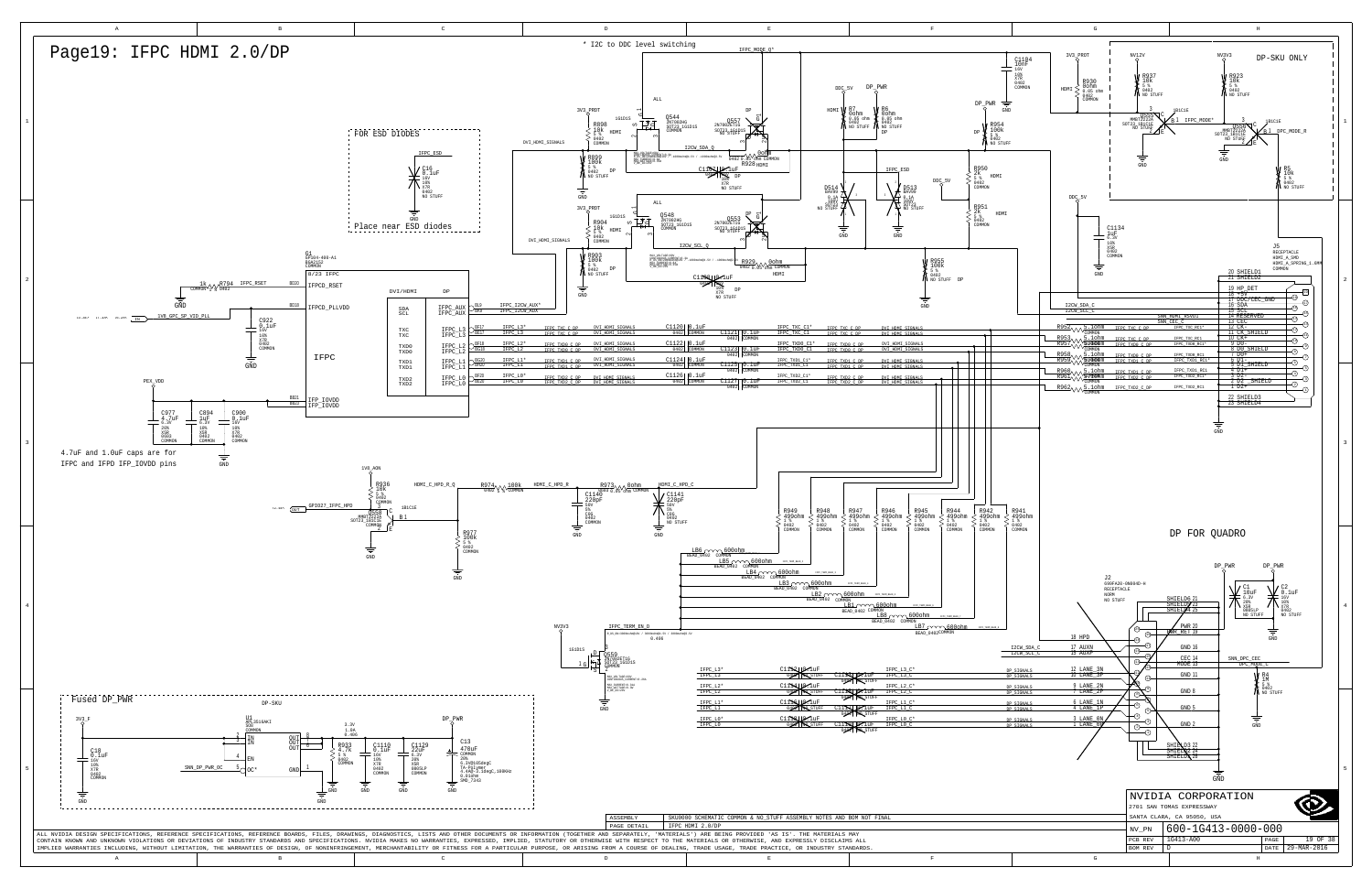<span id="page-18-1"></span><span id="page-18-0"></span>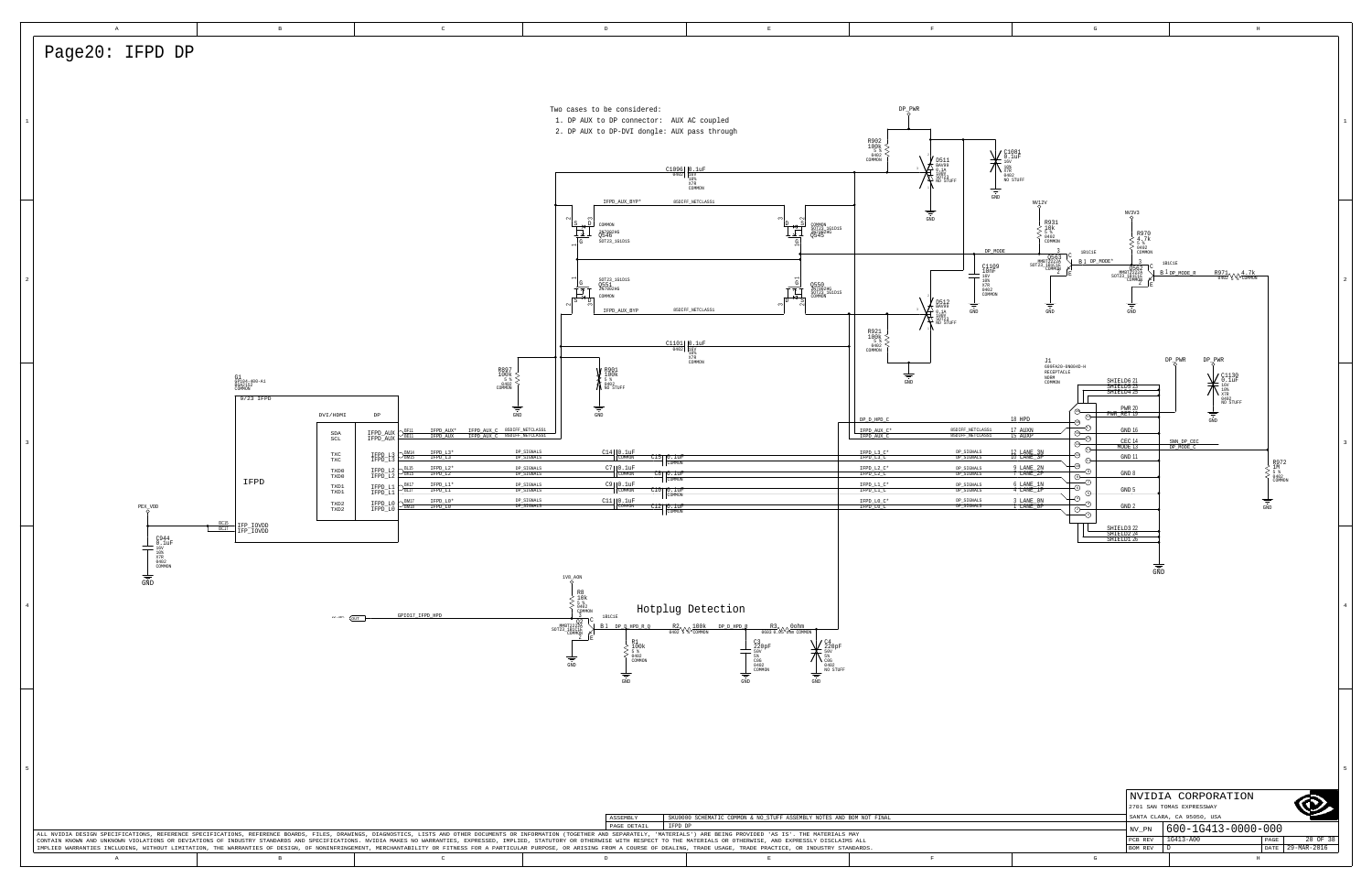<span id="page-19-0"></span>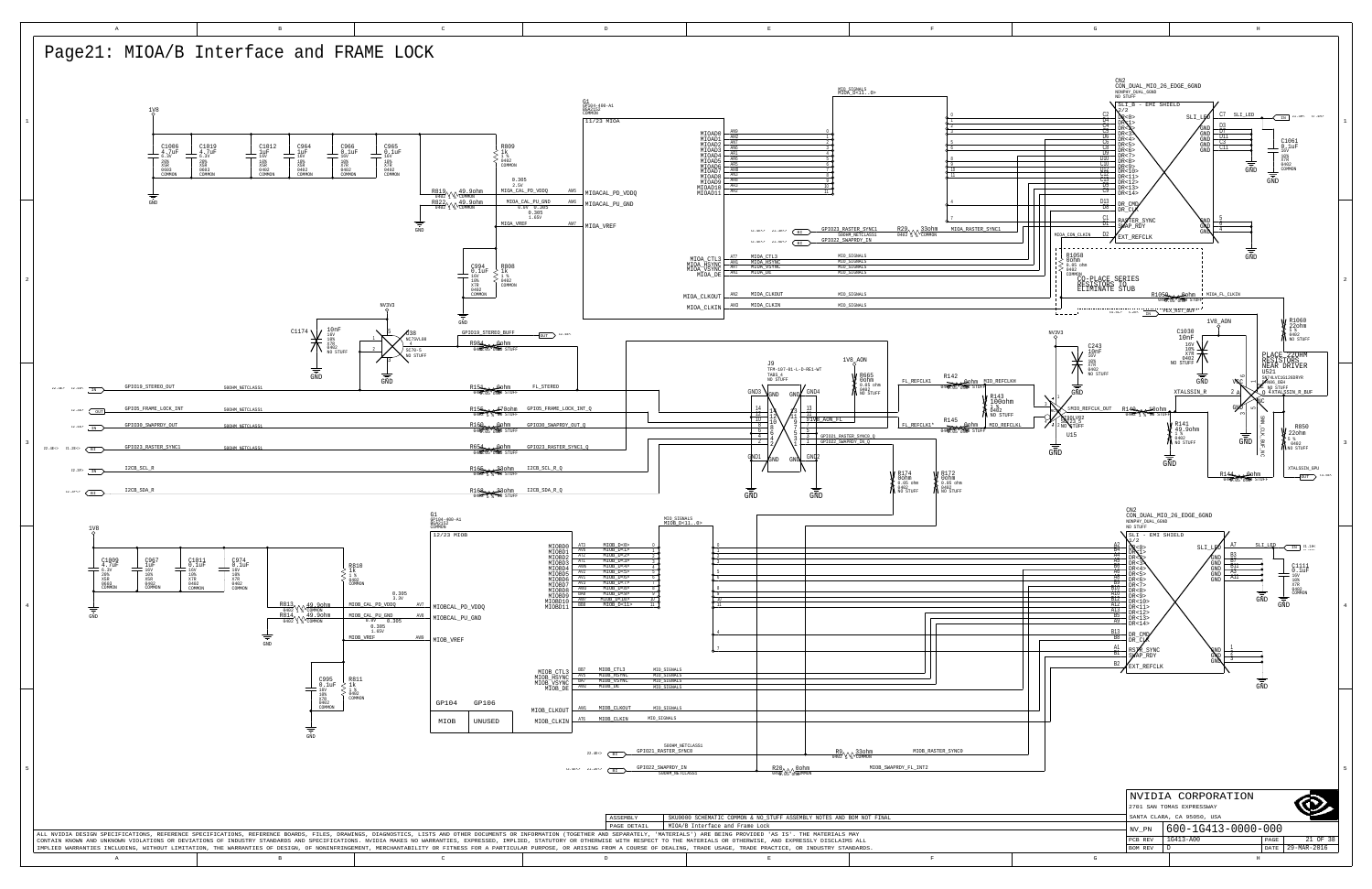<span id="page-20-7"></span><span id="page-20-5"></span><span id="page-20-4"></span><span id="page-20-0"></span>H

A B B C DD B B B B B B B C BEER IN THE RESERVE OF THE RESERVE OF THE RESERVE OF THE RESERVE OF THE RESERVE OF THE RESERVE OF THE RESERVE OF THE RESERVE OF THE RESERVE OF THE RESERVE OF THE RESERVE OF THE RESERVE OF THE RESERVE OF THE RESERVE OF TH

<span id="page-20-1"></span>

<span id="page-20-6"></span><span id="page-20-3"></span><span id="page-20-2"></span>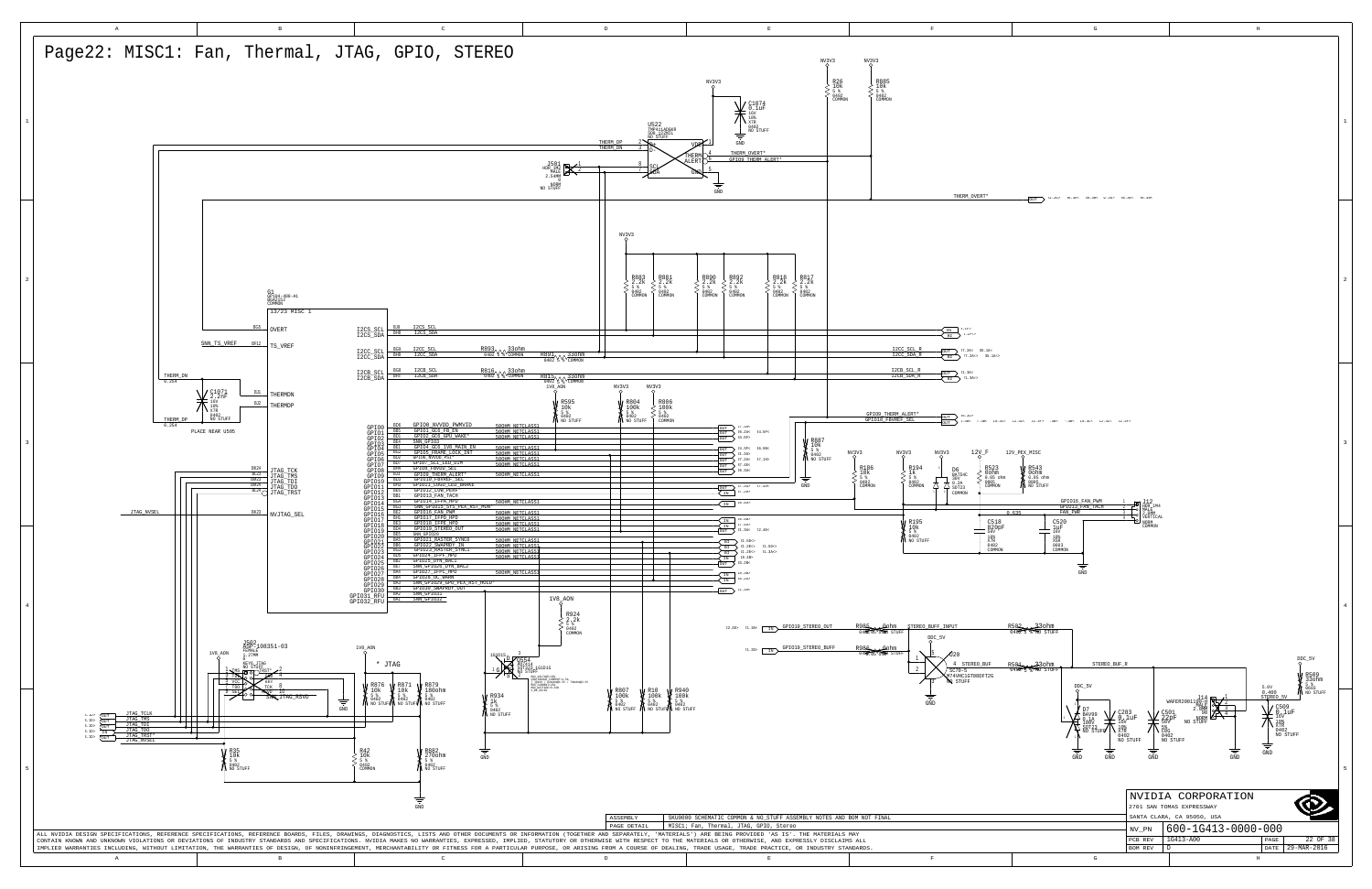<span id="page-21-5"></span><span id="page-21-4"></span><span id="page-21-3"></span><span id="page-21-2"></span><span id="page-21-1"></span><span id="page-21-0"></span>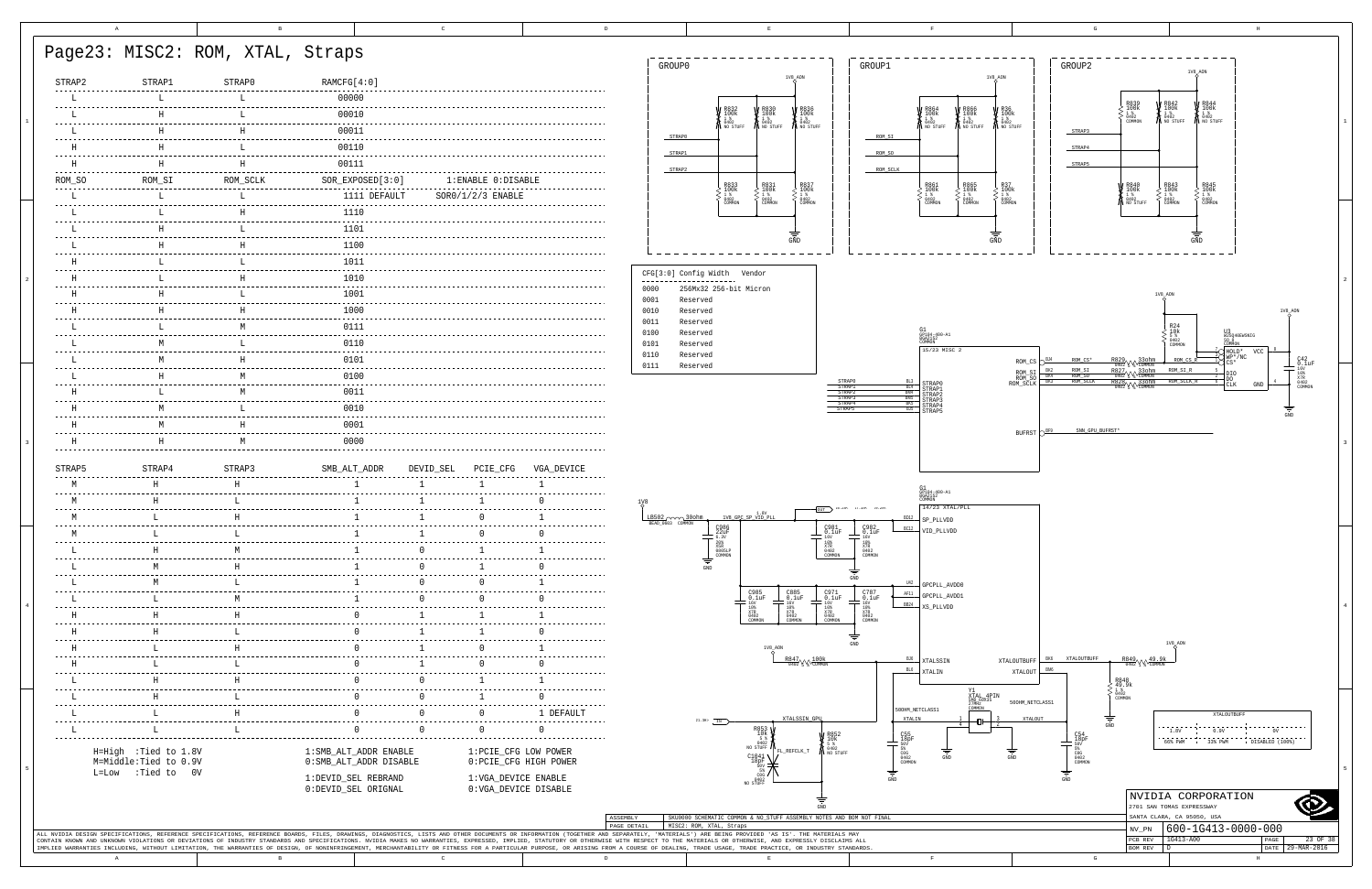| STRAP2 | STRAP1                                          | STRAP0   | RAMCFG[4:0]                                         |           |                       |                        | GROUP0                 |                                                                                                                                                                                                             |                                                                                                                                                      | 1V8_AON                                                                                                   | GROUP1                                                                                                                           |                                                           |                                                                                                                            | 1V8_AON                                        |                                                | GROUP2                                            |                                                                                                                              | 1V8_AON                                                 |
|--------|-------------------------------------------------|----------|-----------------------------------------------------|-----------|-----------------------|------------------------|------------------------|-------------------------------------------------------------------------------------------------------------------------------------------------------------------------------------------------------------|------------------------------------------------------------------------------------------------------------------------------------------------------|-----------------------------------------------------------------------------------------------------------|----------------------------------------------------------------------------------------------------------------------------------|-----------------------------------------------------------|----------------------------------------------------------------------------------------------------------------------------|------------------------------------------------|------------------------------------------------|---------------------------------------------------|------------------------------------------------------------------------------------------------------------------------------|---------------------------------------------------------|
|        |                                                 |          | 00000                                               |           |                       |                        |                        |                                                                                                                                                                                                             |                                                                                                                                                      |                                                                                                           |                                                                                                                                  |                                                           |                                                                                                                            |                                                |                                                |                                                   |                                                                                                                              |                                                         |
|        |                                                 |          | 00010                                               |           |                       |                        |                        |                                                                                                                                                                                                             |                                                                                                                                                      | R836<br>100k<br>1%<br>0402                                                                                |                                                                                                                                  | <i>R</i> 864<br>100k<br><sup>1%</sup><br>0402<br>NO STUFF |                                                                                                                            |                                                |                                                |                                                   | $\left\{ \begin{smallmatrix} \texttt{R842}\ 100\texttt{k}\ \frac{1-\texttt{8}}{0402}\ \texttt{M0} \end{smallmatrix} \right.$ |                                                         |
|        |                                                 |          | 00011                                               |           |                       |                        |                        | R832<br>100K<br>1%<br>0402<br>NO STUFF                                                                                                                                                                      | <b>V</b> R830<br>100k<br><b>A</b> <sup>1%</sup><br>10402<br>N NO STUFF                                                                               |                                                                                                           |                                                                                                                                  |                                                           | $\left\{\begin{array}{c} \text{R866} \\ 100 \text{k} \\ 1 \text{ %} \\ 040 \text{2} \\ \text{NO STUFF} \end{array}\right.$ | <b>X</b> 100k<br>1 1 %<br>M 0402<br>M NO STUFF | STRAP3                                         | 1 %<br>0402<br>COMMON                             |                                                                                                                              |                                                         |
|        |                                                 |          | 00110                                               |           |                       |                        | STRAP0                 |                                                                                                                                                                                                             |                                                                                                                                                      |                                                                                                           | ROM_SI                                                                                                                           |                                                           |                                                                                                                            |                                                | STRAP4                                         |                                                   |                                                                                                                              |                                                         |
|        |                                                 | H        | 00111                                               |           |                       |                        | STRAP1                 |                                                                                                                                                                                                             |                                                                                                                                                      |                                                                                                           | ROM_SO                                                                                                                           |                                                           |                                                                                                                            |                                                | STRAP5                                         |                                                   |                                                                                                                              |                                                         |
| ROM SO | ROM SI                                          | ROM SCLK | $SOR$ $EXPOSED[3:0]$                                |           | 1: ENABLE 0: DISABLE  |                        | STRAP2                 |                                                                                                                                                                                                             |                                                                                                                                                      |                                                                                                           | ROM_SCLK                                                                                                                         |                                                           |                                                                                                                            |                                                |                                                |                                                   |                                                                                                                              |                                                         |
|        |                                                 |          | 1111 DEFAULT                                        |           | $SOR0/1/2/3$ ENABLE   |                        |                        | R833<br>100k                                                                                                                                                                                                | R831<br>100k<br>$\begin{array}{l} 1 \text{ } * \\ 0402 \\ \text{COMMON} \end{array}$                                                                 | R837<br>100k<br>$\begin{smallmatrix}1&\$&\0&4&0&2\end{smallmatrix}$                                       |                                                                                                                                  |                                                           | R865<br>100k<br>$\frac{18}{0402}$                                                                                          | R37<br>100k<br>0402                            |                                                | $\begin{smallmatrix}1 & 8\0 402\end{smallmatrix}$ |                                                                                                                              |                                                         |
|        |                                                 |          | 1110                                                |           |                       |                        |                        | $0402$<br>COMMON                                                                                                                                                                                            |                                                                                                                                                      | COMMON                                                                                                    |                                                                                                                                  | 1<br>0402<br>COMMON                                       |                                                                                                                            | COMMON                                         |                                                | NO STUFF                                          | 1 %<br>0402<br>COMMON                                                                                                        |                                                         |
|        |                                                 |          | 1101                                                |           |                       |                        |                        |                                                                                                                                                                                                             |                                                                                                                                                      |                                                                                                           |                                                                                                                                  |                                                           |                                                                                                                            |                                                |                                                |                                                   |                                                                                                                              |                                                         |
|        |                                                 |          | 1100                                                |           |                       |                        |                        |                                                                                                                                                                                                             |                                                                                                                                                      | GND                                                                                                       |                                                                                                                                  |                                                           |                                                                                                                            | GND                                            |                                                |                                                   |                                                                                                                              |                                                         |
|        |                                                 |          | 1011                                                |           |                       |                        |                        |                                                                                                                                                                                                             |                                                                                                                                                      |                                                                                                           |                                                                                                                                  |                                                           |                                                                                                                            |                                                |                                                |                                                   |                                                                                                                              |                                                         |
|        |                                                 | H        | 1010                                                |           |                       |                        | ---------------------- | CFG[3:0] Config Width Vendor                                                                                                                                                                                |                                                                                                                                                      |                                                                                                           |                                                                                                                                  |                                                           |                                                                                                                            |                                                |                                                |                                                   |                                                                                                                              |                                                         |
|        |                                                 | т.       | 1001                                                |           |                       |                        | 0000                   | 256Mx32 256-bit Micron                                                                                                                                                                                      |                                                                                                                                                      |                                                                                                           |                                                                                                                                  |                                                           |                                                                                                                            |                                                |                                                |                                                   | 1V8 AON                                                                                                                      |                                                         |
|        |                                                 |          | 1000                                                |           |                       |                        | 0001<br>0010           | Reserved<br>Reserved                                                                                                                                                                                        |                                                                                                                                                      |                                                                                                           |                                                                                                                                  |                                                           |                                                                                                                            |                                                |                                                |                                                   |                                                                                                                              |                                                         |
|        |                                                 |          | 0111                                                |           |                       |                        | 0011                   | Reserved                                                                                                                                                                                                    |                                                                                                                                                      |                                                                                                           |                                                                                                                                  |                                                           |                                                                                                                            |                                                |                                                |                                                   |                                                                                                                              |                                                         |
|        |                                                 |          | 0110                                                |           |                       |                        | 0100<br>0101           | Reserved<br>Reserved                                                                                                                                                                                        |                                                                                                                                                      |                                                                                                           |                                                                                                                                  | P104-400-A1                                               |                                                                                                                            |                                                |                                                |                                                   |                                                                                                                              |                                                         |
|        |                                                 |          | 0101                                                |           |                       |                        | 0110                   | Reserved                                                                                                                                                                                                    |                                                                                                                                                      |                                                                                                           |                                                                                                                                  | 15/23 MISC 2                                              |                                                                                                                            |                                                |                                                |                                                   |                                                                                                                              |                                                         |
|        |                                                 |          | 0100                                                |           |                       |                        | 0111                   | Reserved                                                                                                                                                                                                    |                                                                                                                                                      |                                                                                                           |                                                                                                                                  |                                                           |                                                                                                                            |                                                |                                                |                                                   |                                                                                                                              |                                                         |
|        |                                                 |          | 0011                                                |           |                       |                        |                        |                                                                                                                                                                                                             |                                                                                                                                                      |                                                                                                           |                                                                                                                                  | STRAP0<br>STRAP1<br>STRAP2                                |                                                                                                                            |                                                |                                                |                                                   |                                                                                                                              |                                                         |
|        |                                                 |          | 0010                                                |           |                       |                        |                        |                                                                                                                                                                                                             |                                                                                                                                                      |                                                                                                           |                                                                                                                                  | STRAP3<br>STRAP4<br>≀ת בקידי                              |                                                                                                                            |                                                |                                                |                                                   |                                                                                                                              |                                                         |
|        |                                                 |          |                                                     |           |                       |                        |                        |                                                                                                                                                                                                             |                                                                                                                                                      |                                                                                                           |                                                                                                                                  |                                                           |                                                                                                                            |                                                |                                                |                                                   |                                                                                                                              |                                                         |
|        |                                                 |          |                                                     |           |                       |                        |                        |                                                                                                                                                                                                             |                                                                                                                                                      |                                                                                                           |                                                                                                                                  |                                                           |                                                                                                                            |                                                |                                                |                                                   |                                                                                                                              |                                                         |
|        | H                                               | M        | 0000                                                |           |                       |                        |                        |                                                                                                                                                                                                             |                                                                                                                                                      |                                                                                                           |                                                                                                                                  |                                                           |                                                                                                                            | <b>BUFRST</b>                                  |                                                | SNN GPU BUFRST*                                   |                                                                                                                              |                                                         |
|        |                                                 |          |                                                     |           |                       |                        |                        |                                                                                                                                                                                                             |                                                                                                                                                      |                                                                                                           |                                                                                                                                  |                                                           |                                                                                                                            |                                                |                                                |                                                   |                                                                                                                              |                                                         |
| STRAP5 | STRAP4                                          | STRAP3   | SMB ALT ADDR                                        | DEVID_SEL | PCIE CFG              | VGA DEVICE             |                        |                                                                                                                                                                                                             |                                                                                                                                                      |                                                                                                           |                                                                                                                                  |                                                           |                                                                                                                            |                                                |                                                |                                                   |                                                                                                                              |                                                         |
|        |                                                 |          |                                                     |           |                       |                        |                        |                                                                                                                                                                                                             |                                                                                                                                                      |                                                                                                           |                                                                                                                                  |                                                           |                                                                                                                            |                                                |                                                |                                                   |                                                                                                                              |                                                         |
|        |                                                 |          |                                                     |           |                       |                        |                        |                                                                                                                                                                                                             |                                                                                                                                                      |                                                                                                           |                                                                                                                                  | 31<br>3P104-400-A1<br>BGA2152<br>14/23 XTAL/PLL           |                                                                                                                            |                                                |                                                |                                                   |                                                                                                                              |                                                         |
|        |                                                 |          |                                                     |           |                       |                        |                        |                                                                                                                                                                                                             |                                                                                                                                                      |                                                                                                           |                                                                                                                                  | P PLLVDD                                                  |                                                                                                                            |                                                |                                                |                                                   |                                                                                                                              |                                                         |
|        |                                                 |          |                                                     |           |                       |                        |                        |                                                                                                                                                                                                             |                                                                                                                                                      | C981                                                                                                      | $^{C982}_{0.1uF}$                                                                                                                | VID_PLLVDI                                                |                                                                                                                            |                                                |                                                |                                                   |                                                                                                                              |                                                         |
|        |                                                 |          |                                                     |           |                       |                        |                        | $\begin{array}{r} \begin{array}{r} \text{C30b} \\ \text{22uF} \\ \text{6.3v} \\ \text{20s} \\ \text{20s} \\ \text{20s} \\ \text{20s} \\ \text{20s} \\ \text{2000} \\ \text{COMMON} \end{array} \end{array}$ |                                                                                                                                                      | $^{10\%}_{X7R}$<br>0402<br>?OMMON                                                                         | $\begin{array}{r} -16 \mathrm{V} \\ 10 \mathrm{\phantom{0}8} \\ 10 \mathrm{\phantom{0}8} \\ 0402 \\ \mathrm{COMMON} \end{array}$ |                                                           |                                                                                                                            |                                                |                                                |                                                   |                                                                                                                              |                                                         |
|        |                                                 |          |                                                     |           |                       |                        |                        | $\operatorname{GND}$                                                                                                                                                                                        |                                                                                                                                                      |                                                                                                           |                                                                                                                                  |                                                           |                                                                                                                            |                                                |                                                |                                                   |                                                                                                                              |                                                         |
|        |                                                 |          |                                                     |           |                       |                        |                        |                                                                                                                                                                                                             |                                                                                                                                                      |                                                                                                           |                                                                                                                                  | GPCPLL AVDD0                                              |                                                                                                                            |                                                |                                                |                                                   |                                                                                                                              |                                                         |
|        |                                                 |          |                                                     |           |                       |                        |                        |                                                                                                                                                                                                             |                                                                                                                                                      | $^{C971}_{C110}$                                                                                          | $C_{0.1uF}^{787}$                                                                                                                | AF11<br>GPCPLL AVDD1<br><b>BB24</b><br>XS PLLVDD          |                                                                                                                            |                                                |                                                |                                                   |                                                                                                                              |                                                         |
|        |                                                 |          |                                                     |           |                       |                        |                        |                                                                                                                                                                                                             | $\begin{array}{c}\n 16V \\  \hline\n 16V \\  108 \\  108 \\  108 \\  10402 \\  100000N\n\end{array}$<br>$-16V$<br>$10%$<br>$X7R$<br>$0402$<br>COMMON | $\begin{tabular}{c} T & 16V \\ \hline T & 10% \\ \hline X7R & 0402 \\ \hline \text{COMMON} \end{tabular}$ | $=$ $\frac{16 \text{V}}{10 \text{%}}$<br>$\frac{X7 \text{R}}{0402}$<br>COMMON                                                    |                                                           |                                                                                                                            |                                                |                                                |                                                   |                                                                                                                              |                                                         |
|        |                                                 |          |                                                     |           |                       |                        |                        |                                                                                                                                                                                                             |                                                                                                                                                      |                                                                                                           |                                                                                                                                  |                                                           |                                                                                                                            |                                                |                                                |                                                   |                                                                                                                              |                                                         |
|        |                                                 |          |                                                     |           |                       |                        |                        |                                                                                                                                                                                                             |                                                                                                                                                      |                                                                                                           |                                                                                                                                  |                                                           |                                                                                                                            |                                                |                                                |                                                   | 1V8_AON                                                                                                                      |                                                         |
|        |                                                 |          |                                                     |           |                       |                        |                        |                                                                                                                                                                                                             |                                                                                                                                                      |                                                                                                           |                                                                                                                                  | BJ6<br>XTALSSIN<br>BL <sub>6</sub><br>XTALIN              |                                                                                                                            | XTALOUTBUFF<br>XTALOUT                         | XTALOUTBUFI                                    |                                                   |                                                                                                                              |                                                         |
|        |                                                 |          |                                                     |           |                       |                        |                        |                                                                                                                                                                                                             |                                                                                                                                                      |                                                                                                           |                                                                                                                                  |                                                           |                                                                                                                            |                                                |                                                |                                                   |                                                                                                                              |                                                         |
|        |                                                 |          |                                                     |           |                       |                        |                        |                                                                                                                                                                                                             |                                                                                                                                                      |                                                                                                           |                                                                                                                                  |                                                           |                                                                                                                            | 500HM_NETCLASS1                                |                                                |                                                   |                                                                                                                              |                                                         |
|        |                                                 |          |                                                     |           |                       | 1 DEFAULT              |                        |                                                                                                                                                                                                             |                                                                                                                                                      |                                                                                                           |                                                                                                                                  | 500HM_NETCLASS1<br>XTALIN                                 | Y1<br>XTAL 4PIN<br>SMD 60X35<br>27MHz<br>2010201<br>COMMON                                                                 |                                                |                                                |                                                   |                                                                                                                              |                                                         |
|        |                                                 |          |                                                     |           |                       |                        |                        | $.3H>$ IN                                                                                                                                                                                                   |                                                                                                                                                      |                                                                                                           |                                                                                                                                  |                                                           |                                                                                                                            |                                                |                                                |                                                   |                                                                                                                              |                                                         |
|        | H=High : Tied to 1.8V<br>M=Middle: Tied to 0.9V |          | 1: SMB_ALT_ADDR ENABLE<br>$0:$ SMB_ALT_ADDR DISABLE |           | 1: PCIE_CFG LOW POWER | 0: PCIE_CFG HIGH POWER |                        |                                                                                                                                                                                                             | $\begin{matrix} 5 & 8 \\ 5 & 0 \\ 0 & 402 \\ \text{NO STUFF} \end{matrix}$                                                                           | FL_REFCLK_T                                                                                               | $R852$<br>$10k$<br>$5%$<br>$0402$<br>NO STURI                                                                                    | $_{0402}^{\circ}$<br>COMMON                               |                                                                                                                            |                                                | $^{C54}_{18pF}$<br>5%<br>COG<br>0402<br>COMMON |                                                   |                                                                                                                              |                                                         |
|        | L=Low : Tied to 0V                              |          | 1:DEVID_SEL REBRAND                                 |           | 1:VGA_DEVICE ENABLE   |                        |                        |                                                                                                                                                                                                             | $\begin{array}{c} c_{1041}^{1041} \\ \frac{1}{200} \\ \frac{1}{200} \end{array}$                                                                     |                                                                                                           |                                                                                                                                  |                                                           |                                                                                                                            |                                                |                                                |                                                   |                                                                                                                              |                                                         |
|        |                                                 |          | 0:DEVID_SEL ORIGNAL                                 |           | 0:VGA_DEVICE DISABLE  |                        |                        |                                                                                                                                                                                                             |                                                                                                                                                      |                                                                                                           |                                                                                                                                  |                                                           |                                                                                                                            |                                                |                                                |                                                   | NVIDIA CORPORATION                                                                                                           | بمعؤه معتروه ومعتكم ويولوهما<br>0.9V<br>66% PWM 33% PWM |

CONTAIN KNOWN AND UNKNOWN VIOLATIONS OR DEVIATIONS OF INDUSTRY STANDARDS AND SPECIFICATIONS. NVIDIA MAKES NO MARRANTIES, EXPRESSED, INPLIED, STATUTORY OR OTHERNISE WITH RESPECT TO THE MATERIALS OR OTHERNISE, AND EXPRESSIV

<span id="page-22-1"></span>A B B C DD B B B B B B B C BEER IN THE RESERVE OF THE RESERVE OF THE RESERVE OF THE RESERVE OF THE RESERVE OF THE RESERVE OF THE RESERVE OF THE RESERVE OF THE RESERVE OF THE RESERVE OF THE RESERVE OF THE RESERVE OF THE RESERVE OF THE RESERVE OF TH

<span id="page-22-0"></span>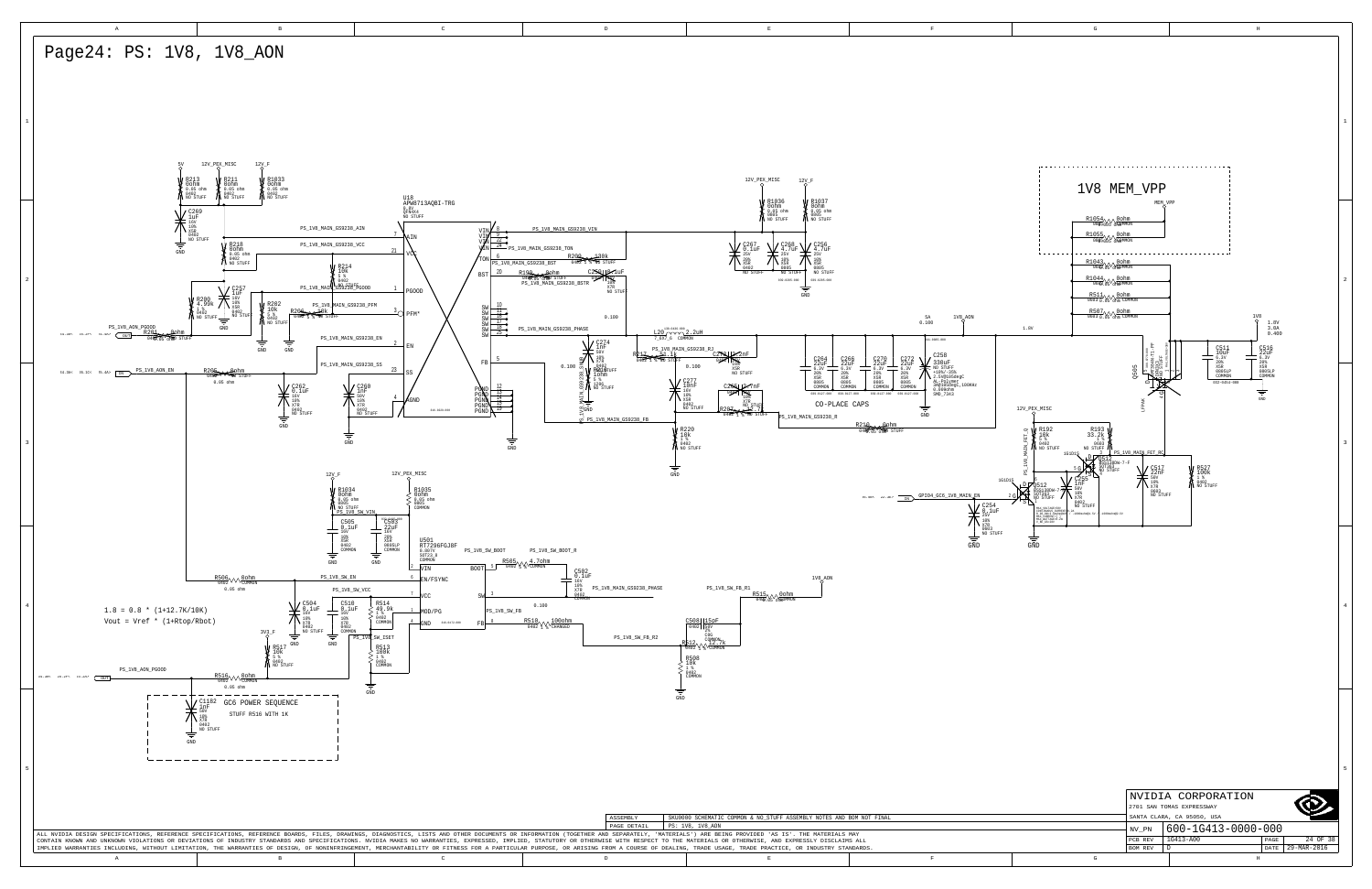<span id="page-23-3"></span><span id="page-23-2"></span><span id="page-23-1"></span><span id="page-23-0"></span>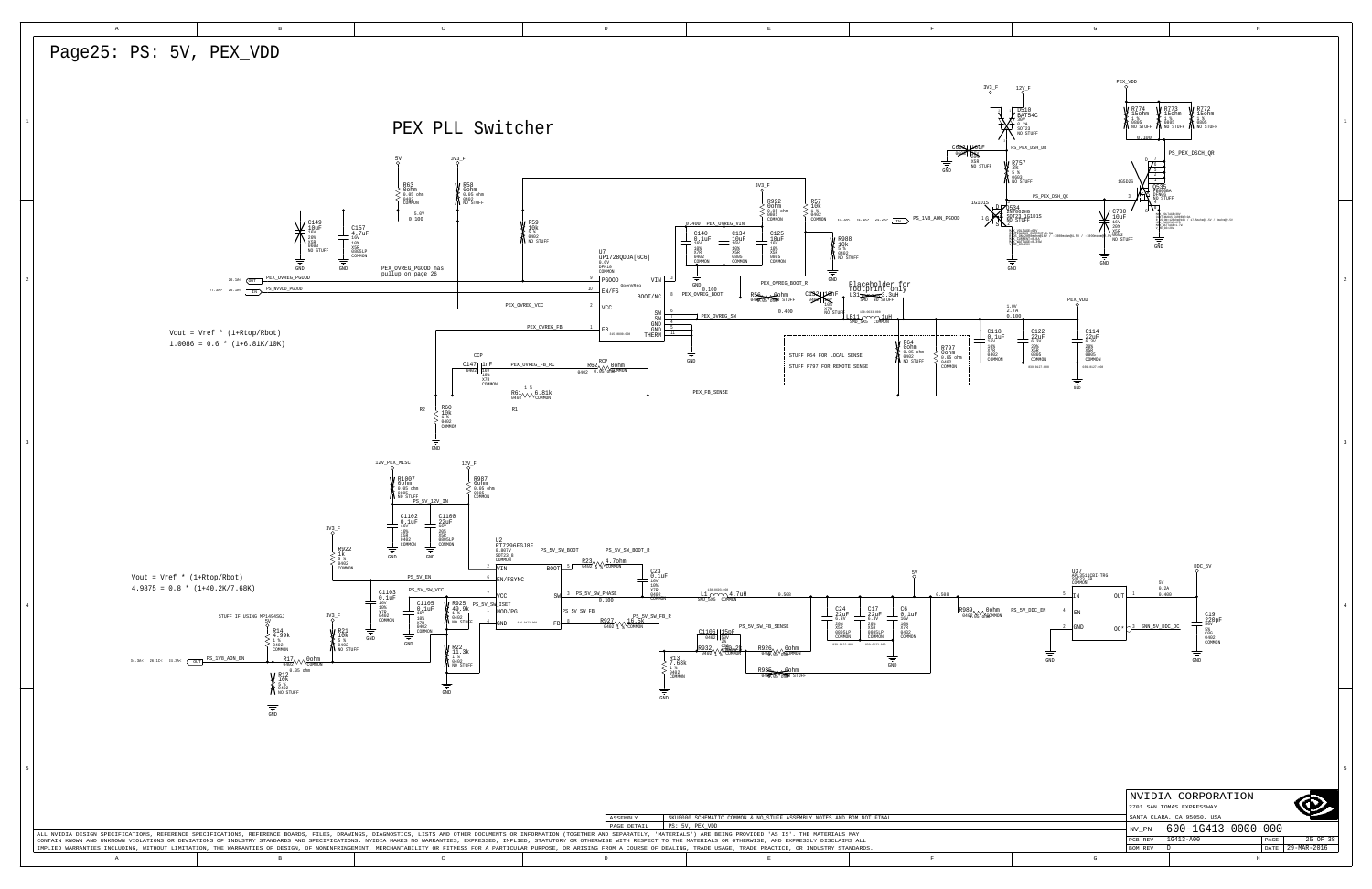<span id="page-24-2"></span><span id="page-24-1"></span>

<span id="page-24-0"></span>

|   |                           | NVIDIA CORPORATION         |      |             |  |  |  |
|---|---------------------------|----------------------------|------|-------------|--|--|--|
|   | 2701 SAN TOMAS EXPRESSWAY |                            |      |             |  |  |  |
|   |                           | SANTA CLARA, CA 95050, USA |      |             |  |  |  |
|   | NV PN                     | 600-1G413-0000-000         |      |             |  |  |  |
|   |                           |                            |      |             |  |  |  |
|   | PCB REV                   | 1G413-A00                  | PAGE | 25 OF 38    |  |  |  |
|   | <b>BOM REV</b>            |                            | DATE | 29-MAR-2016 |  |  |  |
| G |                           | H                          |      |             |  |  |  |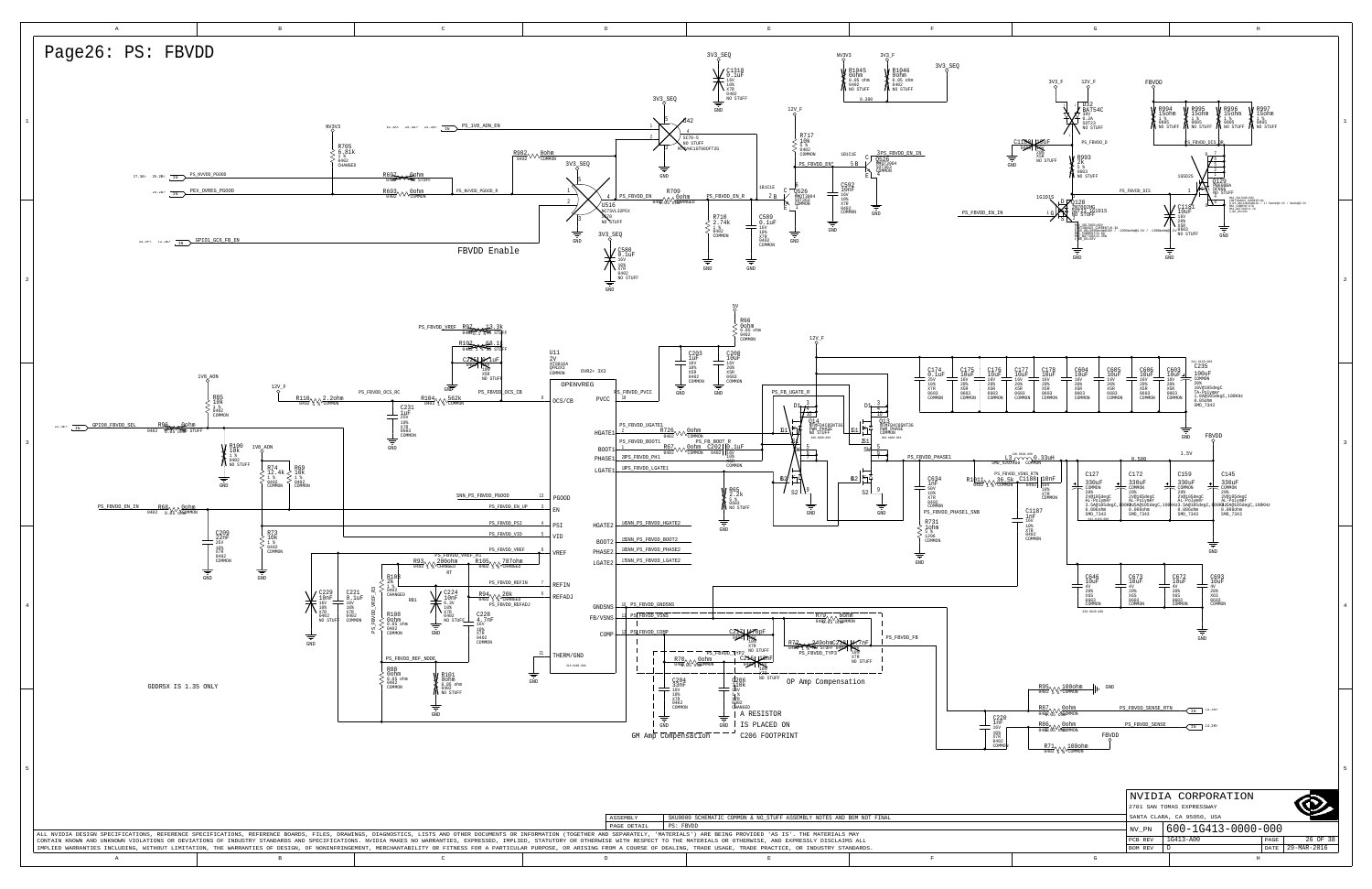<span id="page-25-4"></span><span id="page-25-3"></span><span id="page-25-2"></span><span id="page-25-1"></span><span id="page-25-0"></span>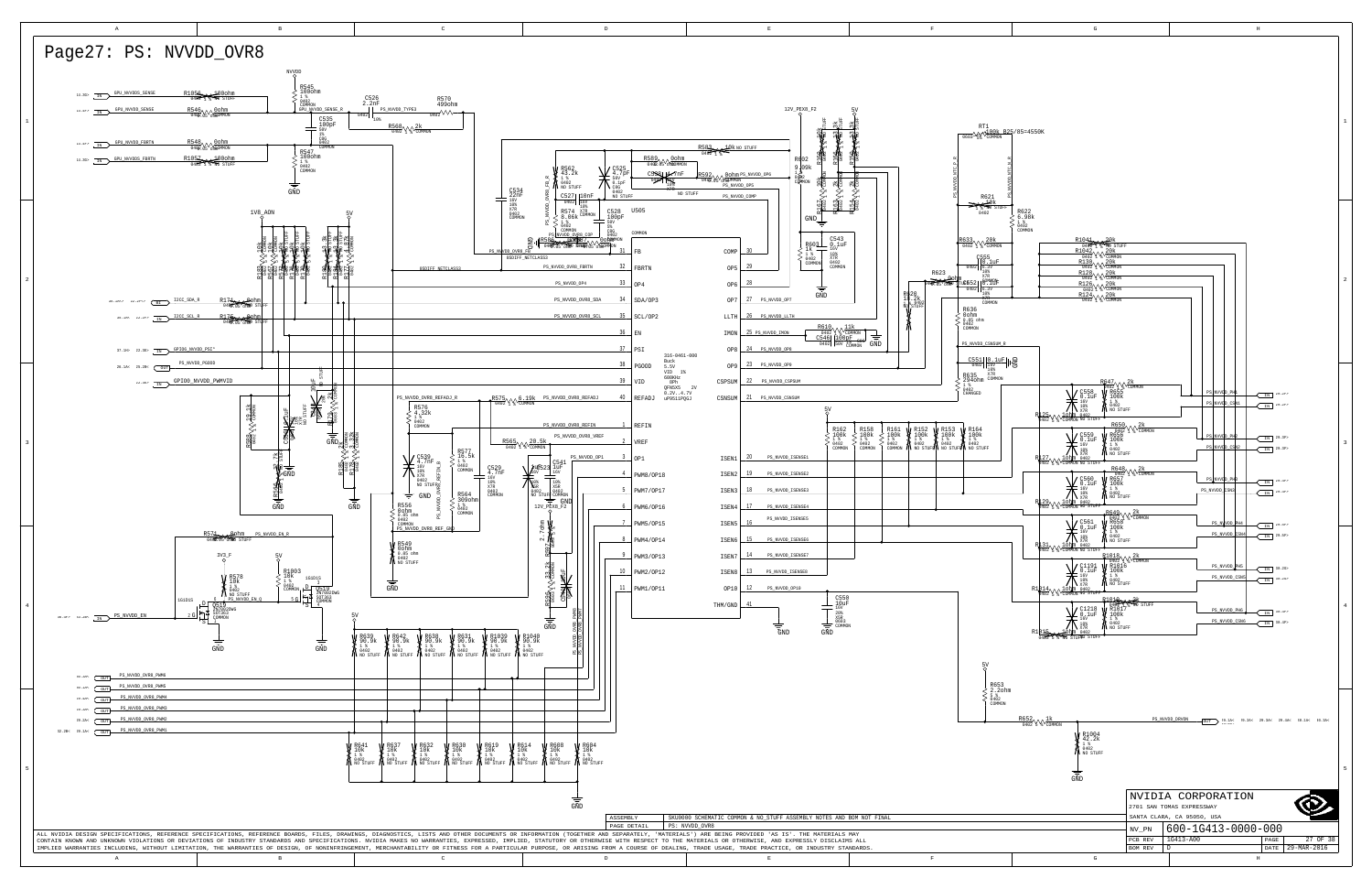<span id="page-26-4"></span>

| T1<br>$\sqrt{\frac{100k}{100000}}$ B25/85=4550K                                                                                                                                                                                                                                                                                                                                                                                                                                                                                                                                                                                                                                                                                                                                                                                                                                                                                                                                                                                                             | $\mathbf{1}$            |
|-------------------------------------------------------------------------------------------------------------------------------------------------------------------------------------------------------------------------------------------------------------------------------------------------------------------------------------------------------------------------------------------------------------------------------------------------------------------------------------------------------------------------------------------------------------------------------------------------------------------------------------------------------------------------------------------------------------------------------------------------------------------------------------------------------------------------------------------------------------------------------------------------------------------------------------------------------------------------------------------------------------------------------------------------------------|-------------------------|
| 叫<br>×<br>NTC_<br>NVVDD <sub>.</sub><br>g,<br>2621<br>$\frac{10k}{\pi 0 \text{ stups}}$                                                                                                                                                                                                                                                                                                                                                                                                                                                                                                                                                                                                                                                                                                                                                                                                                                                                                                                                                                     |                         |
| , സം<br>402<br>R622<br>6.98k<br>1%<br>ξ<br>0402<br>COMMON<br>$\sqrt{\frac{20k}{20M}m}}$<br>$\frac{\text{R1044}_{0407} \times 20 \text{k}}{\text{0407}}$<br>355<br>0.1uF<br>6.3V<br>10%<br>20MMON<br>6.3V<br>6.3V<br>5.3V<br>10%<br>20MMON                                                                                                                                                                                                                                                                                                                                                                                                                                                                                                                                                                                                                                                                                                                                                                                                                   | $\overline{\mathbf{c}}$ |
| COMMON<br>n<br>CSNSUM_R                                                                                                                                                                                                                                                                                                                                                                                                                                                                                                                                                                                                                                                                                                                                                                                                                                                                                                                                                                                                                                     |                         |
| $\left \left \frac{0.1uF}{\frac{16V}{108}}\right \right  \cdot \frac{f}{C}$<br>10%<br>X7R<br>0 COMMON<br>$\begin{array}{l} \text{R647}\small{\text{1402}}\normalsize{\text{1\textwidth}}\normalsize{\textwidth} \begin{picture}(1,0) \put(0,0) \put(0,0) \put(0,0) \put(0,0) \put(0,0) \put(0,0) \put(0,0) \put(0,0) \put(0,0) \put(0,0) \put(0,0) \put(0,0) \put(0,0) \put(0,0) \put(0,0) \put(0,0) \put(0,0) \put(0,0) \put(0,0) \put(0,0) \put(0,0) \put(0,0) \put(0,0) \put(0,0$<br>C558<br>PS<br>NVVDD_PH<br>IN $29.2P$<br>$\frac{0.558}{0.10}$<br>PS NVVDD_CSN1<br>$\begin{picture}(125,10) \put(0,0){\line(1,0){10}} \put(15,0){\line(1,0){10}} \put(15,0){\line(1,0){10}} \put(15,0){\line(1,0){10}} \put(15,0){\line(1,0){10}} \put(15,0){\line(1,0){10}} \put(15,0){\line(1,0){10}} \put(15,0){\line(1,0){10}} \put(15,0){\line(1,0){10}} \put(15,0){\line(1,0){10}} \put(15,0){\line(1,0){10}} \put(15,0){\line($<br>IN $^{29.2P}$                                                                                                               |                         |
| $\left\{\begin{array}{l} \text{R650}\small\text{/}\small\text{V}\normalsize\text{R656} \\ \text{0402}\small\text{/}\small\text{R656} \\ \text{R656} \\ 100\text{k} \\ 1402 \\ \text{NO STUFF} \end{array}\right.$<br>$\frac{\text{C559}}{\text{16V}}$<br>= $\frac{16 \text{V}}{10 \text{m}}$<br>PS NVVID PH2<br>$IN$ 29.3F><br>PS NVVDD_CSN2<br><b>JFF</b><br>$\bigotimes_{\substack{R\underbrace{1\,2\,7}{1\,2\,7}}{\textcolor{red}{\textbf{N}}\, \underbrace{1\,0\,1\,m}_{\textbf{COMMON N0}}}}\; \underbrace{^{1\,6\,V}}_{\textbf{STUFF}}$<br>IN 29.3F><br>$\frac{\sum_{\text{16V}}^{\text{C560}}}{\sum_{\text{16V}}^{\text{16V}}}$<br>PS NVVDD_PH3<br>$IN$ 29.4F<br>PS_NVVDD_CSN3<br>$\begin{picture}(125,10) \put(0,0){\line(1,0){10}} \put(15,0){\line(1,0){10}} \put(15,0){\line(1,0){10}} \put(15,0){\line(1,0){10}} \put(15,0){\line(1,0){10}} \put(15,0){\line(1,0){10}} \put(15,0){\line(1,0){10}} \put(15,0){\line(1,0){10}} \put(15,0){\line(1,0){10}} \put(15,0){\line(1,0){10}} \put(15,0){\line(1,0){10}} \put(15,0){\line($<br>$IN$ 29.4F> | 3                       |
| $\left\{\begin{array}{l} \mathbb{R}649\sqrt{\sqrt{2k}}\\ \mathbb{Q}402\sqrt{\sqrt{2k}}\\ \mathbb{R}658\\ 100k\\ \frac{140}{9402}\\ \text{NO STUFF} \end{array}\right.$<br>$\sum_{\substack{P\mid 31 \\ P\mid 31 \\ 402}}\underbrace{\bigvee_{\substack{S\in V \\ 101 \\ 101 \\ 102 \\ 101 \\ \text{condion N}}}}_{\substack{S561 \\ 108 \\ 102 \\ 103 \\ \text{source}} }$<br>PS_NWVDD_PH4<br>$\sqrt{IN}$ 29.5F<br>PS_NVVDD_CSN4<br>$IN$ 29.5F<br>$\begin{array}{l} \mathbb{R}^{1018}_{0402} \uparrow \, \sqrt{2k} \\ \hline 0402 \uparrow \, \sqrt{2000000} \\ \mathbb{R}^{100k} \\ 1 \, \frac{1 \, \frac{1}{8}}{9402} \\ \hline \end{array}$<br>C1191<br>PS_NVVDD_PH5<br>$IN$ 30.2G<br>0.1uF<br>16V                                                                                                                                                                                                                                                                                                                                                       |                         |
| PS_NVVDD_CSN5<br>$IN$ 30.2G<br>10%<br>NO STUFF<br>X7R<br>$R1014$ $\sqrt{\sqrt{2}}$<br><b>lohm</b> 0402<br>COMMON NO STUFF<br>$\begin{matrix}\n & 1019 \\  & 040217 \\  & 10017 \\  & 1001 \\  & 18 \\  & 143\n \end{matrix}$<br>21.<br>NO STUFF<br>$_{0.1uF}^{C1218}$<br>PS_NVVDD_PH6<br>$IN$ 30.4F><br>16V<br>PS_NVVDD_CSN6<br>30.4F<br><b>A</b> 0402<br>M NO STUFF<br>$\texttt{IN}^-$<br>10%<br>X7R<br>R1015<br>0402<br>STURNO STUFF<br>ΜŌ                                                                                                                                                                                                                                                                                                                                                                                                                                                                                                                                                                                                                | $\bf{4}$                |
| 5y<br>R653<br>2.2ohm<br>5%<br>0402<br>COMMON                                                                                                                                                                                                                                                                                                                                                                                                                                                                                                                                                                                                                                                                                                                                                                                                                                                                                                                                                                                                                |                         |
| PS_NVVDD_DRVON<br>$rac{R652}{0402}$ $\sqrt{\frac{1k}{2000000}}$<br>$\overbrace{\text{OUT}} \quad \, \overbrace{\text{33.2B}}^{29\text{ - }1\text{Ac}} \quad \, 29\text{ - }2\text{Ac} \quad \, 29\text{ - }3\text{Ac} \quad \, 29\text{ - }4\text{Ac} \quad \, 30\text{ - }1\text{Ac} \quad \, 30\text{ - }3\text{Ac}$<br>W R1004<br>$\frac{42.2k}{1.3}$<br>0402<br>NO STUFF<br>GND                                                                                                                                                                                                                                                                                                                                                                                                                                                                                                                                                                                                                                                                         | 5                       |
| NVIDIA CORPORATION<br>2701 SAN TOMAS EXPRESSWAY<br>SANTA CLARA, CA 95050, USA                                                                                                                                                                                                                                                                                                                                                                                                                                                                                                                                                                                                                                                                                                                                                                                                                                                                                                                                                                               |                         |
| 600-1G413-0000-000<br>NV_PN<br>1G413-A00<br>27 OF 38<br>PAGE<br>PCB REV<br>29-MAR-2016<br>BOM REV<br>D<br>DATE                                                                                                                                                                                                                                                                                                                                                                                                                                                                                                                                                                                                                                                                                                                                                                                                                                                                                                                                              |                         |

H

<span id="page-26-7"></span><span id="page-26-3"></span><span id="page-26-2"></span><span id="page-26-1"></span><span id="page-26-0"></span>

<span id="page-26-6"></span><span id="page-26-5"></span>G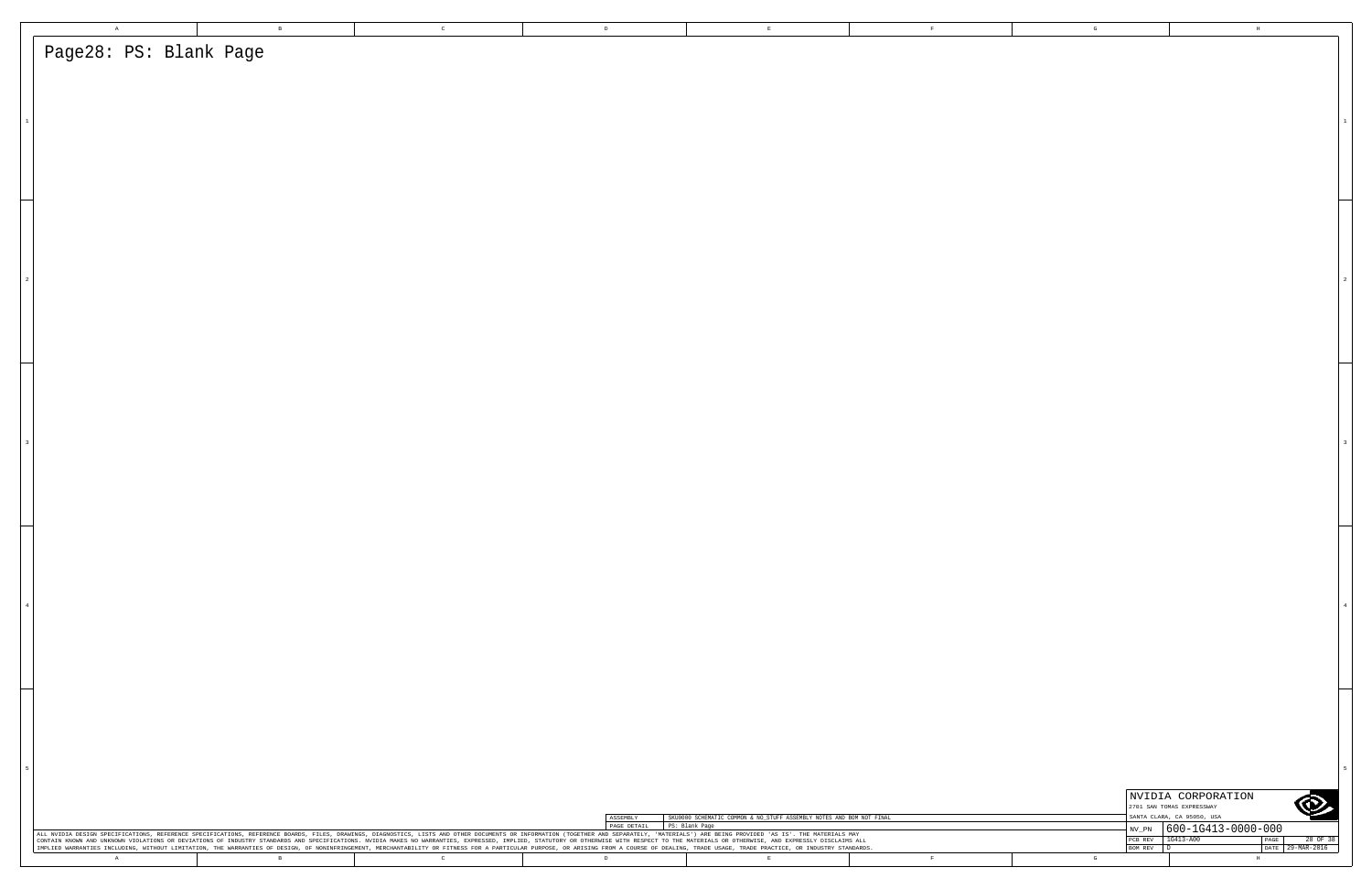| $\,$ A $\,$                                                                                                                                                                                                                                                                                                                                                                                                                                                     | $\,$ B | $\mathbb C$  | $\,$ D $\,$  |                | $\mathbf E$                                                          | $\mathbf{F}$ | $\mathbf G$                          | $\,$ H $\,$                                             |               |
|-----------------------------------------------------------------------------------------------------------------------------------------------------------------------------------------------------------------------------------------------------------------------------------------------------------------------------------------------------------------------------------------------------------------------------------------------------------------|--------|--------------|--------------|----------------|----------------------------------------------------------------------|--------------|--------------------------------------|---------------------------------------------------------|---------------|
| Page28: PS: Blank Page                                                                                                                                                                                                                                                                                                                                                                                                                                          |        |              |              |                |                                                                      |              |                                      |                                                         |               |
|                                                                                                                                                                                                                                                                                                                                                                                                                                                                 |        |              |              |                |                                                                      |              |                                      |                                                         |               |
|                                                                                                                                                                                                                                                                                                                                                                                                                                                                 |        |              |              |                |                                                                      |              |                                      |                                                         |               |
|                                                                                                                                                                                                                                                                                                                                                                                                                                                                 |        |              |              |                |                                                                      |              |                                      |                                                         |               |
|                                                                                                                                                                                                                                                                                                                                                                                                                                                                 |        |              |              |                |                                                                      |              |                                      |                                                         |               |
|                                                                                                                                                                                                                                                                                                                                                                                                                                                                 |        |              |              |                |                                                                      |              |                                      |                                                         |               |
|                                                                                                                                                                                                                                                                                                                                                                                                                                                                 |        |              |              |                |                                                                      |              |                                      |                                                         |               |
|                                                                                                                                                                                                                                                                                                                                                                                                                                                                 |        |              |              |                |                                                                      |              |                                      |                                                         |               |
|                                                                                                                                                                                                                                                                                                                                                                                                                                                                 |        |              |              |                |                                                                      |              |                                      |                                                         |               |
|                                                                                                                                                                                                                                                                                                                                                                                                                                                                 |        |              |              |                |                                                                      |              |                                      |                                                         |               |
|                                                                                                                                                                                                                                                                                                                                                                                                                                                                 |        |              |              |                |                                                                      |              |                                      |                                                         |               |
|                                                                                                                                                                                                                                                                                                                                                                                                                                                                 |        |              |              |                |                                                                      |              |                                      |                                                         |               |
|                                                                                                                                                                                                                                                                                                                                                                                                                                                                 |        |              |              |                |                                                                      |              |                                      |                                                         |               |
|                                                                                                                                                                                                                                                                                                                                                                                                                                                                 |        |              |              |                |                                                                      |              |                                      |                                                         |               |
|                                                                                                                                                                                                                                                                                                                                                                                                                                                                 |        |              |              |                |                                                                      |              |                                      |                                                         |               |
|                                                                                                                                                                                                                                                                                                                                                                                                                                                                 |        |              |              |                |                                                                      |              |                                      |                                                         |               |
|                                                                                                                                                                                                                                                                                                                                                                                                                                                                 |        |              |              |                |                                                                      |              |                                      |                                                         |               |
|                                                                                                                                                                                                                                                                                                                                                                                                                                                                 |        |              |              |                |                                                                      |              |                                      |                                                         |               |
|                                                                                                                                                                                                                                                                                                                                                                                                                                                                 |        |              |              |                |                                                                      |              |                                      |                                                         |               |
|                                                                                                                                                                                                                                                                                                                                                                                                                                                                 |        |              |              |                |                                                                      |              |                                      |                                                         |               |
|                                                                                                                                                                                                                                                                                                                                                                                                                                                                 |        |              |              |                |                                                                      |              |                                      |                                                         |               |
|                                                                                                                                                                                                                                                                                                                                                                                                                                                                 |        |              |              |                |                                                                      |              |                                      |                                                         |               |
|                                                                                                                                                                                                                                                                                                                                                                                                                                                                 |        |              |              |                |                                                                      |              |                                      |                                                         |               |
|                                                                                                                                                                                                                                                                                                                                                                                                                                                                 |        |              |              |                |                                                                      |              |                                      |                                                         |               |
|                                                                                                                                                                                                                                                                                                                                                                                                                                                                 |        |              |              |                |                                                                      |              |                                      |                                                         |               |
|                                                                                                                                                                                                                                                                                                                                                                                                                                                                 |        |              |              |                |                                                                      |              |                                      |                                                         |               |
|                                                                                                                                                                                                                                                                                                                                                                                                                                                                 |        |              |              |                |                                                                      |              |                                      |                                                         |               |
|                                                                                                                                                                                                                                                                                                                                                                                                                                                                 |        |              |              |                |                                                                      |              |                                      |                                                         |               |
|                                                                                                                                                                                                                                                                                                                                                                                                                                                                 |        |              |              |                |                                                                      |              |                                      |                                                         |               |
|                                                                                                                                                                                                                                                                                                                                                                                                                                                                 |        |              |              |                |                                                                      |              |                                      |                                                         |               |
|                                                                                                                                                                                                                                                                                                                                                                                                                                                                 |        |              |              |                |                                                                      |              |                                      |                                                         |               |
|                                                                                                                                                                                                                                                                                                                                                                                                                                                                 |        |              |              |                |                                                                      |              |                                      |                                                         |               |
|                                                                                                                                                                                                                                                                                                                                                                                                                                                                 |        |              |              |                |                                                                      |              |                                      |                                                         |               |
|                                                                                                                                                                                                                                                                                                                                                                                                                                                                 |        |              |              |                |                                                                      |              |                                      |                                                         |               |
|                                                                                                                                                                                                                                                                                                                                                                                                                                                                 |        |              |              |                |                                                                      |              |                                      |                                                         |               |
|                                                                                                                                                                                                                                                                                                                                                                                                                                                                 |        |              |              |                |                                                                      |              |                                      |                                                         |               |
|                                                                                                                                                                                                                                                                                                                                                                                                                                                                 |        |              |              |                |                                                                      |              |                                      |                                                         |               |
|                                                                                                                                                                                                                                                                                                                                                                                                                                                                 |        |              |              |                |                                                                      |              |                                      |                                                         |               |
|                                                                                                                                                                                                                                                                                                                                                                                                                                                                 |        |              |              |                |                                                                      |              |                                      | NVIDIA CORPORATION                                      |               |
|                                                                                                                                                                                                                                                                                                                                                                                                                                                                 |        |              | ASSEMBLY     |                | SKU0000 SCHEMATIC COMMON & NO_STUFF ASSEMBLY NOTES AND BOM NOT FINAL |              |                                      | 2701 SAN TOMAS EXPRESSWAY<br>SANTA CLARA, CA 95050, USA | O             |
| ALL NVIDIA DESIGN SPECIFICATIONS, REFERENCE SPECIFICATIONS, REFERENCE BOARDS, FILES, DRAWINGS, DIAGNOSTICS, LISTS AND OTHER DOCUMENTS OR INFORMATION (TOGETHER AND SEPARATELY, 'MATERIALS') ARE BEING PROVIDED 'AS IS'. THE MA<br>CONTAIN KNOWN AND UNKNOWN VIOLATIONS OR DEVIATIONS OF INDUSTRY STANDARDS AND SPECIFICATIONS. NVIDIA MAKES NO WARRANTIES, EXPRESSED, IMPLIED, STATUTORY OR OTHERNISE WITH RESPECT TO THE MATERIALS OR OTHERNISE, AND EXPRESSLY |        |              | PAGE DETAIL  | PS: Blank Page |                                                                      |              | $\text{NV\_PN}$<br>PCB REV 1G413-A00 | $ 600 - 1G413 - 0000 - 000$                             |               |
| IMPLIED WARRANTIES INCLUDING, WITHOUT LIMITATION, THE WARRANTIES OF DESIGN, OF NONINFRINGEMENT, MERCHANTABILITY OR FITNESS FOR A PARTICULAR PURPOSE, OR ARISING FROM A COURSE OF DEALING, TRADE USAGE, TRADE PRACTICE, OR INDU<br>A                                                                                                                                                                                                                             | $\,$ B | $\mathbb{C}$ | $\mathbb{D}$ |                | $\mathbf E$                                                          | $\mathbf{F}$ | BOM REV D<br>$\mathbf G$             | H                                                       | PAGE 28 OF 38 |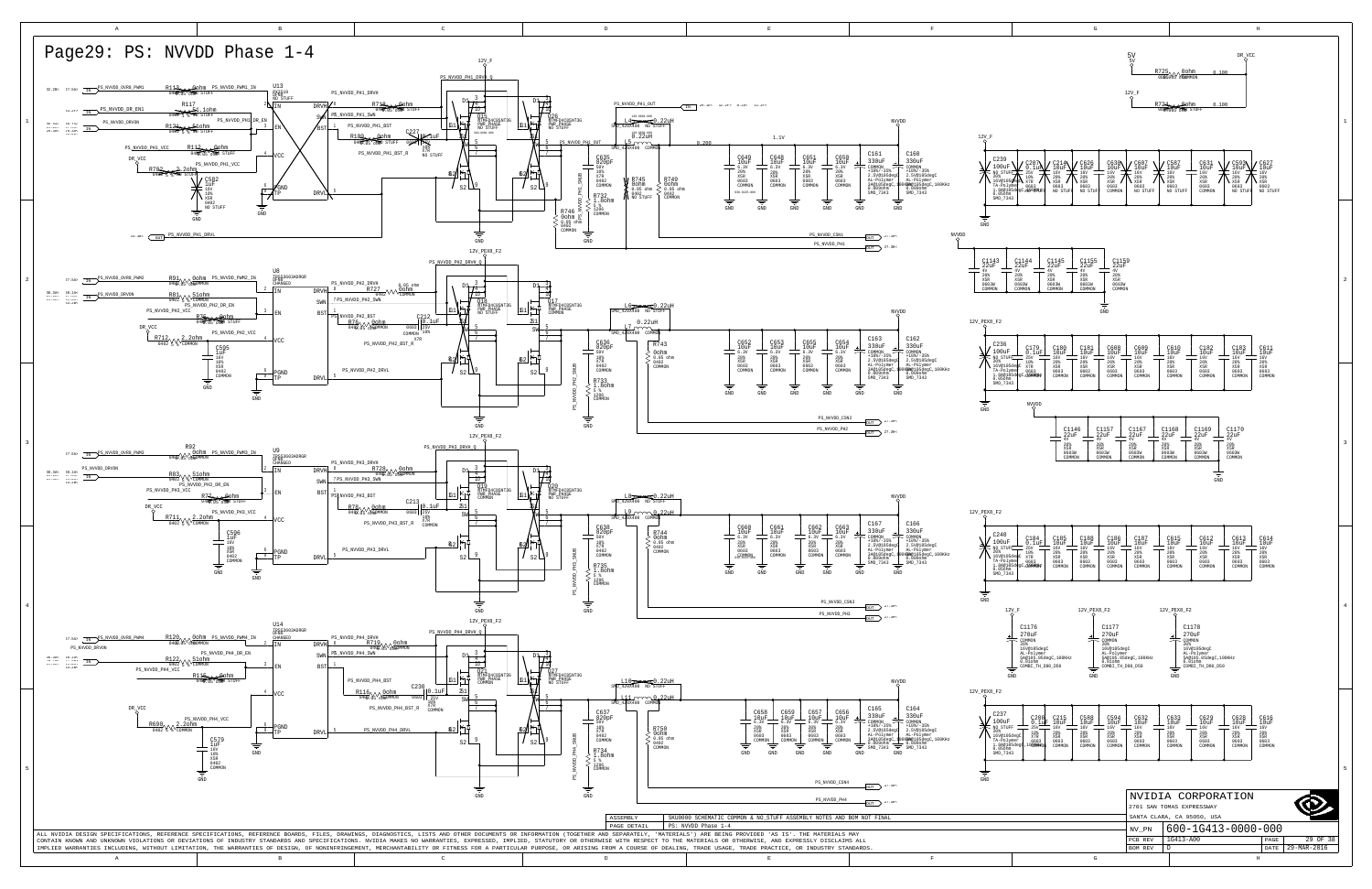<span id="page-28-8"></span><span id="page-28-7"></span><span id="page-28-6"></span><span id="page-28-5"></span><span id="page-28-4"></span><span id="page-28-3"></span><span id="page-28-2"></span><span id="page-28-1"></span><span id="page-28-0"></span>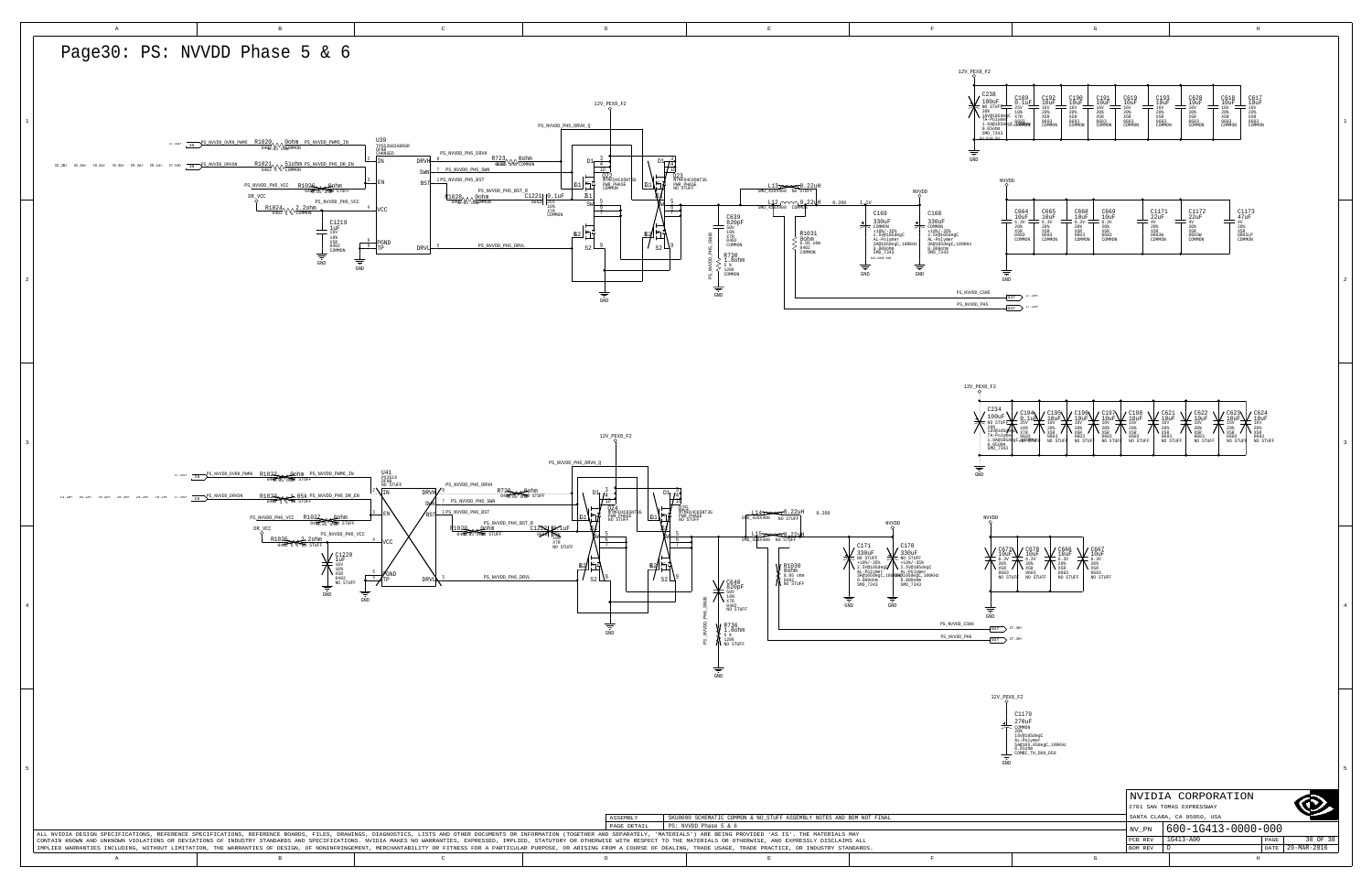D

PCB REV | 1G413-A00

BOM REV

29-MAR-2016 DATE

<span id="page-29-2"></span>

|                                                 |                                                                     | $\mathbb{G}$                                                                                         |                                                                                                             | $\rm H$                                                                                                 |             |
|-------------------------------------------------|---------------------------------------------------------------------|------------------------------------------------------------------------------------------------------|-------------------------------------------------------------------------------------------------------------|---------------------------------------------------------------------------------------------------------|-------------|
|                                                 |                                                                     |                                                                                                      |                                                                                                             |                                                                                                         |             |
|                                                 |                                                                     |                                                                                                      |                                                                                                             |                                                                                                         |             |
| F2                                              |                                                                     |                                                                                                      |                                                                                                             |                                                                                                         |             |
| C238<br>100uF                                   |                                                                     |                                                                                                      |                                                                                                             | C620<br>10uF                                                                                            |             |
|                                                 | $_{25V}^{C189}$<br>$_{10uF}^{C192}$<br>20%<br>X5R                   | $_{10uF}^{C190}$<br>$_{10uF}^{C191}$<br>20%<br>20%<br>X5R                                            | $_{10uF}^{C619}$<br>$_{10\mathrm{uF}}^\mathrm{C193}$<br>$_{16\mathrm{V}}^\mathrm{019}$<br>20%<br>20%<br>X5R | $_{10uF}^{C618}$<br>$_{10uF}^{C617}$<br>$_{16V}^{L60}$<br>16V<br>20%<br>20%<br>20%<br>X5R<br>X5R<br>X5R |             |
|                                                 | 0603<br>COMMON                                                      | X5R<br>0603<br>0603<br>COMMON<br>COMMON                                                              | X5R<br>0603<br>0603<br>COMMON<br>COMMON                                                                     | 0603<br>0603<br>0603<br>COMMON<br>COMMON<br>COMMON                                                      | $\mathbf 1$ |
|                                                 |                                                                     |                                                                                                      |                                                                                                             |                                                                                                         |             |
|                                                 |                                                                     |                                                                                                      |                                                                                                             |                                                                                                         |             |
| NVVDD                                           |                                                                     |                                                                                                      |                                                                                                             |                                                                                                         |             |
|                                                 |                                                                     |                                                                                                      |                                                                                                             |                                                                                                         |             |
|                                                 | C664<br>10uF<br>C665<br>10uF                                        | C668<br>10uF<br>C669<br>10uF                                                                         | $_{22\mathrm{uF}}^\mathrm{C1171}$                                                                           | $_{22\mathrm{uF}}^\mathrm{C1172}$<br>$_{47uF}^{C1173}$                                                  |             |
|                                                 | 6.3V<br>6.3V<br>$20%$<br>X5R<br>$^{208}_{X5R}$                      | 6.3V<br>6.3V<br>20%<br>$20%$<br>X5R                                                                  | $4\mathrm{V}$<br>$20\%$                                                                                     | $4\mathrm{V}$<br>$4\mathrm{V}$<br>$20%$<br>$X5R$<br>20%                                                 |             |
|                                                 | 0603<br>0603<br>COMMON<br>COMMON                                    | X5R<br>0603<br>0603<br>COMMON<br>COMMON                                                              | X5R<br>0603W<br>COMMON                                                                                      | X5R<br>0603W<br>0805LP<br>COMMON<br>COMMON                                                              |             |
|                                                 |                                                                     |                                                                                                      |                                                                                                             |                                                                                                         |             |
|                                                 |                                                                     |                                                                                                      |                                                                                                             |                                                                                                         |             |
| $\operatorname{GND}$<br>SN5                     |                                                                     |                                                                                                      |                                                                                                             |                                                                                                         | $\,2\,$     |
| H5                                              | $_{\text{OUT}}$ $^{27.4\text{H}\text{-}}$<br>$_{\text{OUT}}$ 27.4H< |                                                                                                      |                                                                                                             |                                                                                                         |             |
|                                                 |                                                                     |                                                                                                      |                                                                                                             |                                                                                                         |             |
|                                                 |                                                                     |                                                                                                      |                                                                                                             |                                                                                                         |             |
|                                                 |                                                                     |                                                                                                      |                                                                                                             |                                                                                                         |             |
|                                                 |                                                                     |                                                                                                      |                                                                                                             |                                                                                                         |             |
| K8_F2                                           |                                                                     |                                                                                                      |                                                                                                             |                                                                                                         |             |
|                                                 |                                                                     |                                                                                                      |                                                                                                             |                                                                                                         |             |
| C234<br>$\frac{100uF}{\frac{100uF}{n}}$         | $\frac{720194}{250}$<br>L,                                          | $\frac{\sum_{10\text{uF}}^{C196}}{160}$<br>$\frac{\text{C197}}{\text{10uF}}$                         | $_{10uF}^{C198}$<br>$\frac{\text{C621}}{\text{10uF}}$                                                       | $_{10uF}^{C622}$<br>C623<br>10uF<br>$_{10uF}^{C624}$<br>L.                                              |             |
| $20$ $\frac{20}{16}$ $\sqrt{160}$               | $\sqrt{\frac{25 \text{V}}{X7 \text{R}}}}$                           | $C195$<br>$10uF$<br>$16V$<br>$20%$<br>$X5R$<br>$9603$<br>16V<br>20%<br>X5R<br>16V<br>20%<br>X5R<br>١ | 16V<br>16V<br>$_{X5R}^{20\%}$<br>$^{20}_{X5R}$                                                              | È,<br>$16\mathrm{V}$<br>16V<br>20%<br>X5R<br>16V<br>20%<br>X5R<br>$_{\rm X5R}^{208}$<br>∖               |             |
| TA-Polymei<br>1.8A@105de<br>0.05ohm<br>SMD_7343 |                                                                     | 0603<br>NO STUFF<br>0603<br>NO STUFI<br>0603<br>NO STUFF                                             | 0603<br>NO STUFF<br>0603                                                                                    | 0603<br>0603<br>0603<br>NO STUFF<br>NO STUFF<br>NO STUFI<br>NO STUFF                                    | 3           |
|                                                 |                                                                     |                                                                                                      |                                                                                                             |                                                                                                         |             |
| $\overline{ }$                                  |                                                                     |                                                                                                      |                                                                                                             |                                                                                                         |             |
|                                                 |                                                                     |                                                                                                      |                                                                                                             |                                                                                                         |             |
|                                                 |                                                                     |                                                                                                      |                                                                                                             |                                                                                                         |             |
| NVVDD                                           |                                                                     |                                                                                                      |                                                                                                             |                                                                                                         |             |
|                                                 |                                                                     |                                                                                                      |                                                                                                             |                                                                                                         |             |
| C671<br>10uF                                    | $_{10uF}^{C670}$<br>L<br>$6.3V$<br>$20%$                            | $_{10uF}^{C666}$<br>C667<br>10uF<br>$6.3V$<br>$20%$<br>6.3V                                          |                                                                                                             |                                                                                                         |             |
| $6.3V$<br>$20%$<br>X5R /<br>0603                | X5R<br>0603<br>NO STUFF                                             | 20%<br>X5R<br>X5R<br>0603<br>NO STUFF<br>0603                                                        |                                                                                                             |                                                                                                         |             |
| NO STUFI                                        |                                                                     | NO STUFF                                                                                             |                                                                                                             |                                                                                                         |             |
|                                                 |                                                                     |                                                                                                      |                                                                                                             |                                                                                                         | $\,4$       |
| ₹<br>$\operatorname{GND}$                       |                                                                     |                                                                                                      |                                                                                                             |                                                                                                         |             |
| $\overline{\text{OUT}}$ 27.4H                   |                                                                     |                                                                                                      |                                                                                                             |                                                                                                         |             |
| $OUT$ $27.4H<$                                  |                                                                     |                                                                                                      |                                                                                                             |                                                                                                         |             |
|                                                 |                                                                     |                                                                                                      |                                                                                                             |                                                                                                         |             |
|                                                 |                                                                     |                                                                                                      |                                                                                                             |                                                                                                         |             |
| 12V_PEX8_F2                                     |                                                                     |                                                                                                      |                                                                                                             |                                                                                                         |             |
|                                                 | C1179                                                               |                                                                                                      |                                                                                                             |                                                                                                         |             |
|                                                 | 270uF<br>COMMON                                                     |                                                                                                      |                                                                                                             |                                                                                                         |             |
|                                                 | 20%<br>16V@105degC<br>AL-Polymer<br>5A@105.05degC,100KHz            |                                                                                                      |                                                                                                             |                                                                                                         |             |
|                                                 | $0.01$ ohm<br>COMBI_TH_D80_D50                                      |                                                                                                      |                                                                                                             |                                                                                                         |             |
| $\operatorname{GND}$                            |                                                                     |                                                                                                      |                                                                                                             |                                                                                                         | 5           |
|                                                 |                                                                     |                                                                                                      |                                                                                                             |                                                                                                         |             |
|                                                 |                                                                     |                                                                                                      |                                                                                                             | NVIDIA CORPORATION<br>2701 SAN TOMAS EXPRESSWAY                                                         |             |
|                                                 |                                                                     |                                                                                                      |                                                                                                             | SANTA CLARA, CA 95050, USA                                                                              |             |
|                                                 |                                                                     |                                                                                                      | NV_PN                                                                                                       | 600-1G413-0000-000                                                                                      |             |

H

<span id="page-29-1"></span><span id="page-29-0"></span>

A B B C DD B B B B B B B C BEER IN THE RESERVE OF THE RESERVE OF THE RESERVE OF THE RESERVE OF THE RESERVE OF THE RESERVE OF THE RESERVE OF THE RESERVE OF THE RESERVE OF THE RESERVE OF THE RESERVE OF THE RESERVE OF THE RESERVE OF THE RESERVE OF TH

<span id="page-29-3"></span>

G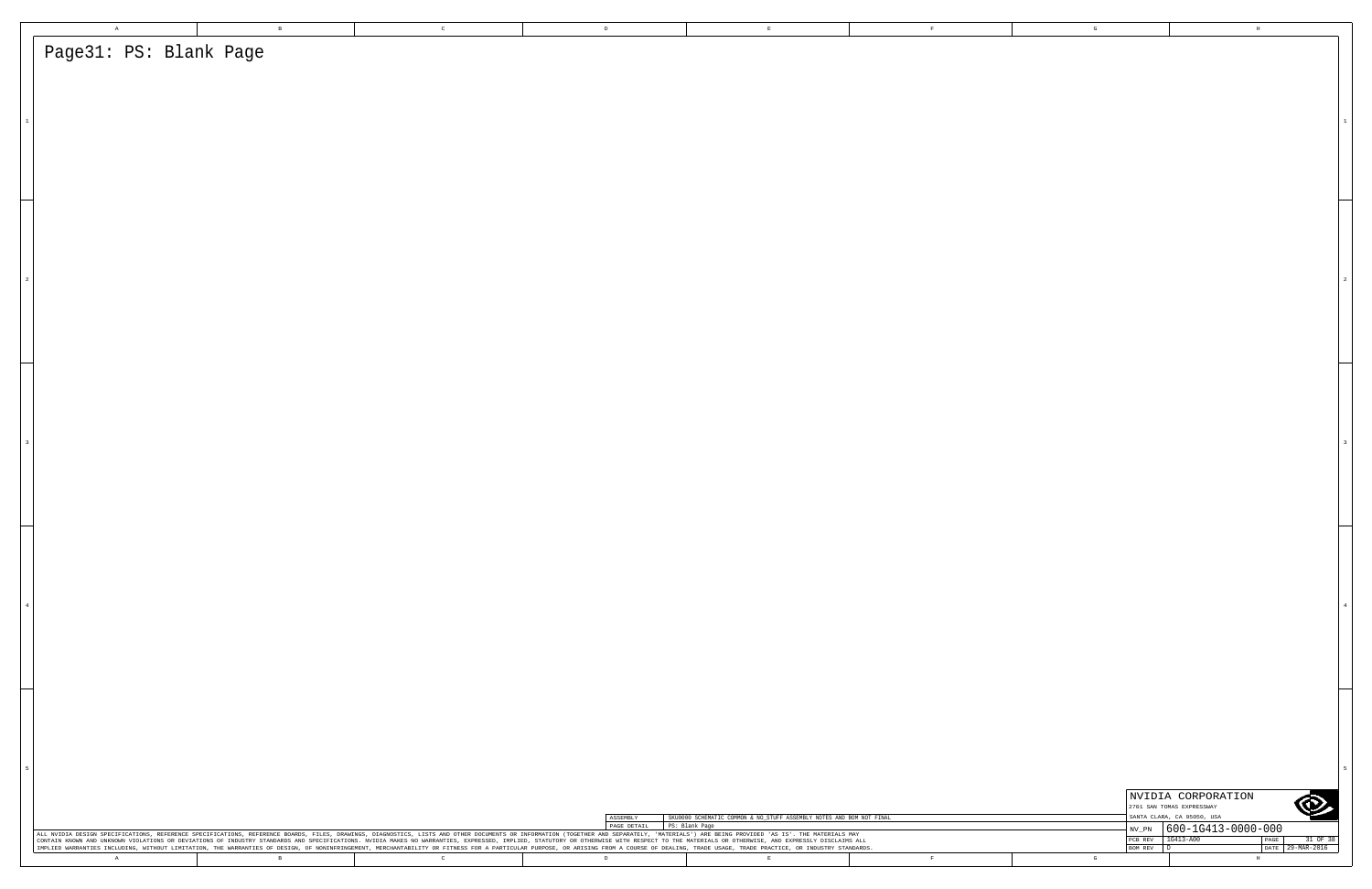| $\mathbbm{A}$                                                                                                                                                                                                                                                                                                                                                                                                                                                                                                                                                                                                                                                                                     | $\,$ B $\,$ | $\mathbf C$  | $\mathbb D$                            |                                                                      | $\mathbf{E}$ | $\mathbf{F}$ | $\mathbb{G}$ |                                                                           | $\mathbf{H}$                      |
|---------------------------------------------------------------------------------------------------------------------------------------------------------------------------------------------------------------------------------------------------------------------------------------------------------------------------------------------------------------------------------------------------------------------------------------------------------------------------------------------------------------------------------------------------------------------------------------------------------------------------------------------------------------------------------------------------|-------------|--------------|----------------------------------------|----------------------------------------------------------------------|--------------|--------------|--------------|---------------------------------------------------------------------------|-----------------------------------|
| Page31: PS: Blank Page                                                                                                                                                                                                                                                                                                                                                                                                                                                                                                                                                                                                                                                                            |             |              |                                        |                                                                      |              |              |              |                                                                           |                                   |
|                                                                                                                                                                                                                                                                                                                                                                                                                                                                                                                                                                                                                                                                                                   |             |              |                                        |                                                                      |              |              |              |                                                                           |                                   |
|                                                                                                                                                                                                                                                                                                                                                                                                                                                                                                                                                                                                                                                                                                   |             |              |                                        |                                                                      |              |              |              |                                                                           |                                   |
|                                                                                                                                                                                                                                                                                                                                                                                                                                                                                                                                                                                                                                                                                                   |             |              |                                        |                                                                      |              |              |              |                                                                           |                                   |
|                                                                                                                                                                                                                                                                                                                                                                                                                                                                                                                                                                                                                                                                                                   |             |              |                                        |                                                                      |              |              |              |                                                                           |                                   |
|                                                                                                                                                                                                                                                                                                                                                                                                                                                                                                                                                                                                                                                                                                   |             |              |                                        |                                                                      |              |              |              |                                                                           |                                   |
|                                                                                                                                                                                                                                                                                                                                                                                                                                                                                                                                                                                                                                                                                                   |             |              |                                        |                                                                      |              |              |              |                                                                           |                                   |
|                                                                                                                                                                                                                                                                                                                                                                                                                                                                                                                                                                                                                                                                                                   |             |              |                                        |                                                                      |              |              |              |                                                                           |                                   |
|                                                                                                                                                                                                                                                                                                                                                                                                                                                                                                                                                                                                                                                                                                   |             |              |                                        |                                                                      |              |              |              |                                                                           |                                   |
|                                                                                                                                                                                                                                                                                                                                                                                                                                                                                                                                                                                                                                                                                                   |             |              |                                        |                                                                      |              |              |              |                                                                           |                                   |
|                                                                                                                                                                                                                                                                                                                                                                                                                                                                                                                                                                                                                                                                                                   |             |              |                                        |                                                                      |              |              |              |                                                                           |                                   |
|                                                                                                                                                                                                                                                                                                                                                                                                                                                                                                                                                                                                                                                                                                   |             |              |                                        |                                                                      |              |              |              |                                                                           |                                   |
|                                                                                                                                                                                                                                                                                                                                                                                                                                                                                                                                                                                                                                                                                                   |             |              |                                        |                                                                      |              |              |              |                                                                           |                                   |
|                                                                                                                                                                                                                                                                                                                                                                                                                                                                                                                                                                                                                                                                                                   |             |              |                                        |                                                                      |              |              |              |                                                                           |                                   |
|                                                                                                                                                                                                                                                                                                                                                                                                                                                                                                                                                                                                                                                                                                   |             |              |                                        |                                                                      |              |              |              |                                                                           |                                   |
|                                                                                                                                                                                                                                                                                                                                                                                                                                                                                                                                                                                                                                                                                                   |             |              |                                        |                                                                      |              |              |              |                                                                           |                                   |
|                                                                                                                                                                                                                                                                                                                                                                                                                                                                                                                                                                                                                                                                                                   |             |              |                                        |                                                                      |              |              |              |                                                                           |                                   |
|                                                                                                                                                                                                                                                                                                                                                                                                                                                                                                                                                                                                                                                                                                   |             |              |                                        |                                                                      |              |              |              |                                                                           |                                   |
|                                                                                                                                                                                                                                                                                                                                                                                                                                                                                                                                                                                                                                                                                                   |             |              |                                        |                                                                      |              |              |              |                                                                           |                                   |
|                                                                                                                                                                                                                                                                                                                                                                                                                                                                                                                                                                                                                                                                                                   |             |              |                                        |                                                                      |              |              |              |                                                                           |                                   |
|                                                                                                                                                                                                                                                                                                                                                                                                                                                                                                                                                                                                                                                                                                   |             |              |                                        |                                                                      |              |              |              |                                                                           |                                   |
|                                                                                                                                                                                                                                                                                                                                                                                                                                                                                                                                                                                                                                                                                                   |             |              |                                        |                                                                      |              |              |              |                                                                           |                                   |
|                                                                                                                                                                                                                                                                                                                                                                                                                                                                                                                                                                                                                                                                                                   |             |              |                                        |                                                                      |              |              |              |                                                                           |                                   |
|                                                                                                                                                                                                                                                                                                                                                                                                                                                                                                                                                                                                                                                                                                   |             |              |                                        |                                                                      |              |              |              |                                                                           |                                   |
|                                                                                                                                                                                                                                                                                                                                                                                                                                                                                                                                                                                                                                                                                                   |             |              |                                        |                                                                      |              |              |              |                                                                           |                                   |
|                                                                                                                                                                                                                                                                                                                                                                                                                                                                                                                                                                                                                                                                                                   |             |              |                                        |                                                                      |              |              |              |                                                                           |                                   |
|                                                                                                                                                                                                                                                                                                                                                                                                                                                                                                                                                                                                                                                                                                   |             |              |                                        |                                                                      |              |              |              |                                                                           |                                   |
|                                                                                                                                                                                                                                                                                                                                                                                                                                                                                                                                                                                                                                                                                                   |             |              |                                        |                                                                      |              |              |              |                                                                           |                                   |
|                                                                                                                                                                                                                                                                                                                                                                                                                                                                                                                                                                                                                                                                                                   |             |              |                                        |                                                                      |              |              |              |                                                                           |                                   |
|                                                                                                                                                                                                                                                                                                                                                                                                                                                                                                                                                                                                                                                                                                   |             |              |                                        |                                                                      |              |              |              |                                                                           |                                   |
|                                                                                                                                                                                                                                                                                                                                                                                                                                                                                                                                                                                                                                                                                                   |             |              |                                        |                                                                      |              |              |              |                                                                           |                                   |
|                                                                                                                                                                                                                                                                                                                                                                                                                                                                                                                                                                                                                                                                                                   |             |              |                                        |                                                                      |              |              |              |                                                                           |                                   |
|                                                                                                                                                                                                                                                                                                                                                                                                                                                                                                                                                                                                                                                                                                   |             |              |                                        |                                                                      |              |              |              |                                                                           |                                   |
|                                                                                                                                                                                                                                                                                                                                                                                                                                                                                                                                                                                                                                                                                                   |             |              |                                        |                                                                      |              |              |              |                                                                           |                                   |
|                                                                                                                                                                                                                                                                                                                                                                                                                                                                                                                                                                                                                                                                                                   |             |              |                                        |                                                                      |              |              |              |                                                                           |                                   |
|                                                                                                                                                                                                                                                                                                                                                                                                                                                                                                                                                                                                                                                                                                   |             |              |                                        |                                                                      |              |              |              | NVIDIA CORPORATION                                                        |                                   |
|                                                                                                                                                                                                                                                                                                                                                                                                                                                                                                                                                                                                                                                                                                   |             |              | ASSEMBLY<br>PAGE DETAIL PS: Blank Page | SKU0000 SCHEMATIC COMMON & NO_STUFF ASSEMBLY NOTES AND BOM NOT FINAL |              |              |              | 2701 SAN TOMAS EXPRESSWAY<br>SANTA CLARA, CA 95050, USA                   | O                                 |
| ALL NVIDIA DESIGN SPECIFICATIONS, REFERENCE SPECIFICATIONS, REFERENCE BOARDS, FILES, DRAWINGS, DIAGNOSTICS, LISTS AND OTHER DOCUMENTS OR INFORMATION (TOGETHER AND SEPARATELY, 'MATERIALS') ARE BEING PROVIDED 'AS IS'. THE MA<br>CONTAIN KNOWN AND UNKNOWN VIOLATIONS OR DEVIATIONS OF INDUSTRY STANDARDS AND SPECIFICATIONS. NVIDIA MAKES NO WARRANTIES, EXPRESSED, IMPLIED, STATUTORY OR OTHERWISE WITH RESPECT TO THE MATERIALS OR OTHERWISE, AND EXPRESSLY<br>IMPLIED WARRANTIES INCLUDING, WITHOUT LIMITATION, THE WARRANTIES OF DESIGN, OF NONINFRINGEMENT, MERCHANTABILITY OR FITNESS FOR A PARTICULAR PURPOSE, OR ARISING FROM A COURSE OF DEALING, TRADE USAGE, TRADE PRACTICE, OR INDU |             |              |                                        |                                                                      |              |              | BOM REV D    | $\frac{1}{2}$ NV_PN $\Big  600 - 10413 - 0000 - 000$<br>PCB REV 1G413-A00 | PAGE 31 OF 38<br>DATE 29-MAR-2016 |
| A                                                                                                                                                                                                                                                                                                                                                                                                                                                                                                                                                                                                                                                                                                 | $\,$ B $\,$ | $\mathbb{C}$ | D                                      |                                                                      | $\mathbf E$  | $\mathbb{F}$ | $\mathbf{G}$ |                                                                           | $\;$ H $\;$                       |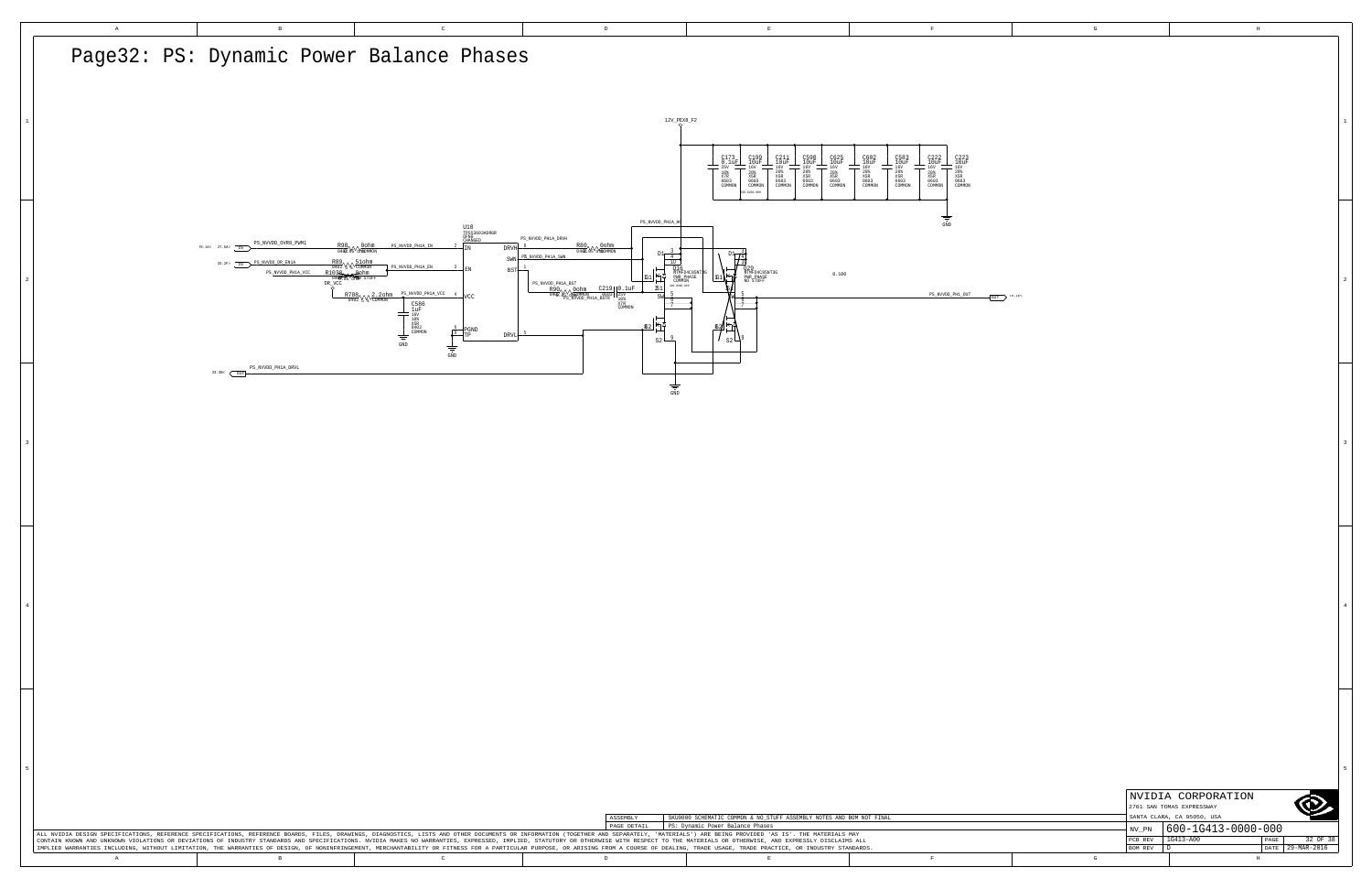|   | NVIDIA CORPORATION         |                    |      |             |  |  |  |  |
|---|----------------------------|--------------------|------|-------------|--|--|--|--|
|   | 2701 SAN TOMAS EXPRESSWAY  |                    |      |             |  |  |  |  |
|   | SANTA CLARA, CA 95050, USA |                    |      |             |  |  |  |  |
|   | NV PN                      | 600-1G413-0000-000 |      |             |  |  |  |  |
|   | PCB REV                    | $1G413 - A00$      | PAGE | 32 OF 38    |  |  |  |  |
|   | <b>BOM REV</b>             |                    | DATE | 29-MAR-2016 |  |  |  |  |
| G |                            | Н                  |      |             |  |  |  |  |

<span id="page-31-2"></span><span id="page-31-0"></span>

<span id="page-31-1"></span>3

4

5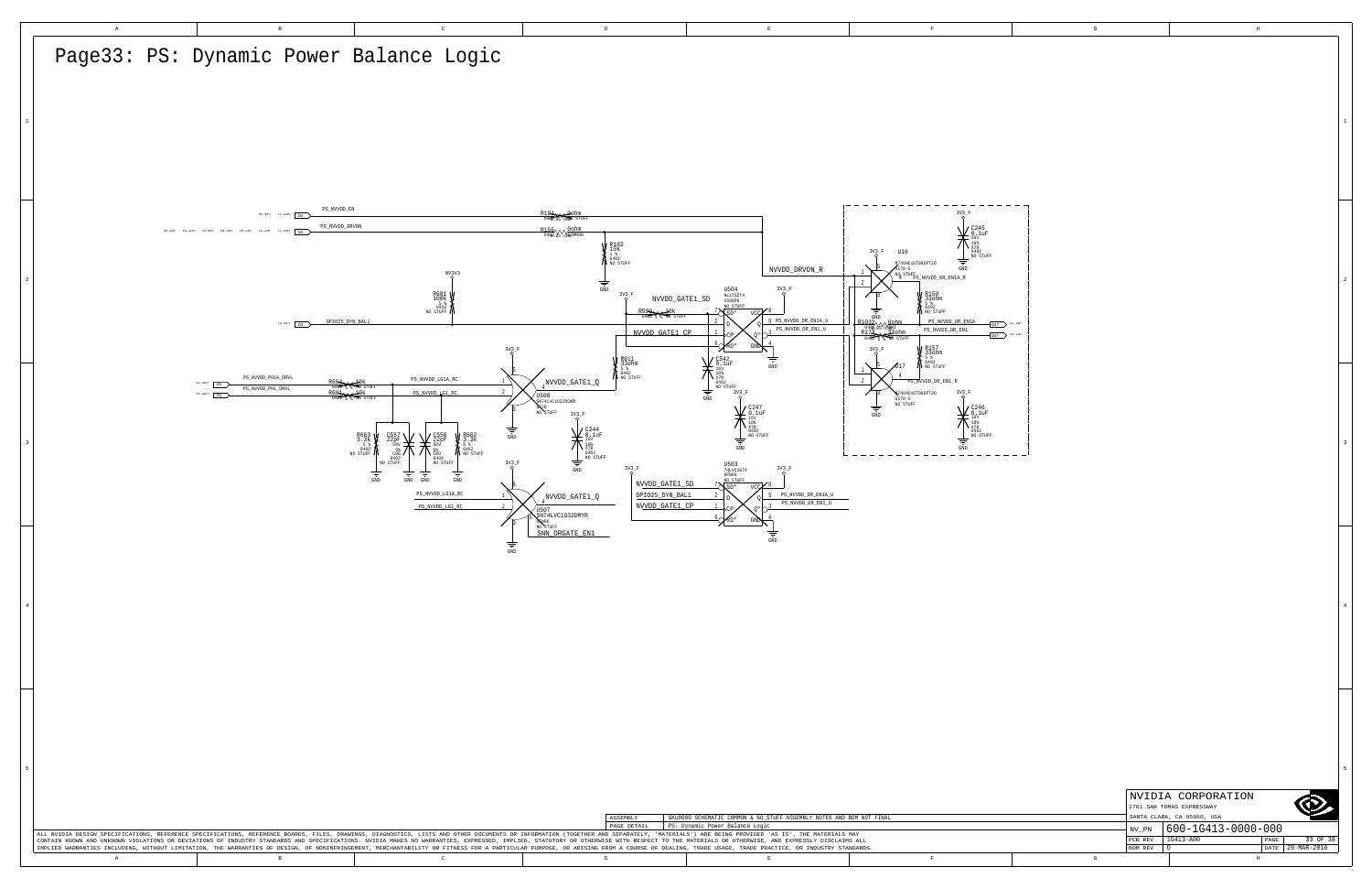<span id="page-32-2"></span><span id="page-32-0"></span>

| Page33: PS: Dynamic Power Balance Logic                                                                                                                                                                                                                                                                                                                                                                                                                                                                                                                                                                                                                                                                                                                                                                                                                                                                                                                                                                                                                                                                                                                                                                                                                                                                                                                                                                                                                 |          |
|---------------------------------------------------------------------------------------------------------------------------------------------------------------------------------------------------------------------------------------------------------------------------------------------------------------------------------------------------------------------------------------------------------------------------------------------------------------------------------------------------------------------------------------------------------------------------------------------------------------------------------------------------------------------------------------------------------------------------------------------------------------------------------------------------------------------------------------------------------------------------------------------------------------------------------------------------------------------------------------------------------------------------------------------------------------------------------------------------------------------------------------------------------------------------------------------------------------------------------------------------------------------------------------------------------------------------------------------------------------------------------------------------------------------------------------------------------|----------|
| - - - - - - - - -<br>PS_NVVDD_EN<br>R181 Cohm<br>0402.05 CHMP STUFF<br>$3V3$ <sub>F</sub><br>36.4F<br>PS_NVVDD_DRVON<br>$R156$ $0402$ $05$ $0600000$<br>$\sum_{\substack{\text{X7R}\ 0402 \ \text{NO STUFF}}}$<br>$\left\{\begin{array}{l} \mathbb{R}^{182}_{10k} \\ 10k \\ 0402 \\ \mathbb{N}^{0.402}_{00. \, \rm STUFF} \end{array}\right.$<br>$3V^3-F$<br>U16<br>M74VHC1GT08DFT2G<br>NVVDD_DRVON_R<br>$SC70-5$<br>$^{NO}$ STUFF $^{PO}$ NVVDD_DR_EN1A_R<br>$\frac{1}{\frac{1}{\sin D}}$<br>$3V^3 - F$<br>$\begin{array}{r} \tt U504 \\ \tt MLI7SZ74 \\ \tt VSSOP8 \\ \tt NO\_STUFF \\ \end{array}$<br>$R601$<br>100k<br>5 %<br>5 0402<br>NO STUFF<br>$3V^3$ $-$ F<br>V R159<br>330hm<br>6 0402<br>A NO STUFF<br>${\tt NVVDD\_GATE1\_SD}$<br>$rac{R599}{0402}$<br>5 PS_NVVDD_DR_EN1A_U<br>PS_NVVDD_DR_EN1A<br>22.42> $\overline{\text{IN}}$ GPI025_DYN_BAL1<br>$\frac{\frac{R1032}{0402}}{\frac{R173}{0402}}\sqrt{\frac{96 \text{h}}{\text{M}^2}}}{\frac{R173}{0462}}$<br>$\overline{\text{OUT}}$ 32.2B<br>PS_NVVDD_DR_EN1_U<br>PS_NVVDD_DR_EN1<br>NVVDD_GATE1_CP<br>$_{\text{OUT}}$ 29.14<br>$3V2 - F$<br><b>V</b> R157<br>5 %<br>5 %<br>0402<br>N NO STUFF                                                                                                                                                                                                                                                                                          |          |
| <b>V</b> R611<br>330hm<br>5 %<br>5 %<br>0402<br>No STUFF<br>$\sum_{\substack{108 \text{ X7R} \ 0402 \ \text{NO STUFF}}}$<br>$\mathtt{PS\_NVVDD\_PH1A\_DRVL}$<br>$\verb PS_NVVVDD_LG1A_RC $<br>NVVDD_GATE1_Q<br>PS_NVVDD_DR_EN1_R<br>$32.3B$ $\longrightarrow$<br>R664<br>0402 5 % Ro STUI<br>R664<br>0402 5 % Ro STUI<br>$\verb PS_NVVDD_PHI_DRVL $<br>PS_NVVDD_LG1_RC<br>3V <sub>2</sub> F<br>N74VHC1GT08DFT2G<br>29.2h > 1N<br>$\sqrt{\begin{smallmatrix} \text{U}508\ \text{S} \text{N}74 \text{LVC1G32DCKR} \end{smallmatrix}}{\begin{smallmatrix} \text{N}70\ \text{N}70 \end{smallmatrix}}$<br>SC70-5<br>NO STUFF<br>$\, = \,$<br>3V3<br>GND<br>$\begin{array}{c} \bigwedge_{\begin{subarray}{c} 10\% \\ 0402 \\ \text{NO STUFF} \end{subarray}}$<br>$\sum_{\substack{\text{X7R}\ 0402 \ \text{NO STUFF}}}$<br>$\begin{array}{c} 8663 \\ 3.3k \\ 5 * \\ 6402 \\ \text{NO STUFF} \end{array}$<br>R662<br>3.3k<br>19402<br>N NO STUFF<br>GND<br>$\frac{\frac{160}{108}}{\frac{108}{10402}}\n\frac{160}{100 \text{ STUFF}}$<br>≑<br>$\operatorname{GND}$<br>$\operatorname{GND}$<br>COG<br>0402<br>NO STUFF<br>0402<br>NO STUFF<br>$3V_2F$<br>U503<br>74LVC1G74<br>DFN08<br>GND<br>$3V_0^3 - F$<br>NO STUFF<br>GND<br>GND<br>NVVDD_GATE1_SD<br>$sn*$<br>PS_NVVDD_LG1A_RC<br>GPIO25_DYN_BAL1<br>$\tt PS\_NVVDD\_DR\_EN1A\_U$<br>NVVDD_GATE1_Q<br>PS_NVVDD_DR_EN1_U<br>NVVDD_GATE1_CP<br>PS NVVDD LG1 RC<br>US07<br>SEN74LVC1G32DRYR<br>SNN_ORGATE_EN1 |          |
| GND<br>Ξ<br>$\operatorname{GND}$                                                                                                                                                                                                                                                                                                                                                                                                                                                                                                                                                                                                                                                                                                                                                                                                                                                                                                                                                                                                                                                                                                                                                                                                                                                                                                                                                                                                                        |          |
| NVIDIA CORPORATION<br>$\circledcirc$<br>2701 SAN TOMAS EXPRESSWAY<br>SANTA CLARA, CA 95050, USA<br>SKU0000 SCHEMATIC COMMON & NO_STUFF ASSEMBLY NOTES AND BOM NOT FINAL<br>ASSEMBLY<br>PAGE DETAIL PS: Dynamic Power Balance Logic<br>$\vert$ NV_PN $\vert$ 600-1G413-0000-000<br>ALL NVIDIA DESIGN SPECIFICATIONS, REFERENCE SPECIFICATIONS, REFERENCE BOARDS, FILES, DRANINGS, DIAGNOSTICS, LISTS AND OTHER DOCUMENTS OR INFORMATION (TOGETHER AND SEPARATELY, 'MATERIALS') ARE BEING PROVIDED 'AS IS'. THE MA<br>PCB REV 1G413-A00<br>PAGE<br>CONTAIN KNOWN AND UNKNOWN VIOLATIONS OR DEVIATIONS OF INDUSTRY STANDARDS AND SPECIFICATIONS. NVIDIA MAKES NO WARRANTIES, EXPRESSED, IMPLIED, STATUTORY OR OTHERWISE WITH RESPECT TO THE MATERIALS OR OTHERWISE, AND EXPRESSLY<br>DATE 29-MAR-2016<br>IMPLIED WARRANTIES INCLUDING, WITHOUT LIMITATION, THE WARRANTIES OF DESIGN, OF NONINFRINGEMENT, MERCHANTABILITY OR FITNESS FOR A PARTICULAR PURPOSE, OR ARISING FROM A COURSE OF DEALING, TRADE USAGE, TRADE PRACTICE, OR INDU<br>BOM REV D<br>$\mathbb{G}$<br>$\mathbb{A}$<br>$\,$ B<br>$\,$ D<br>$\mathbf E$<br>$\mathbf{F}$<br>$\,$ H<br>$\mathbb{C}$                                                                                                                                                                                                                                                                                          | 33 OF 38 |

<span id="page-32-1"></span> $\overline{\phantom{0}}$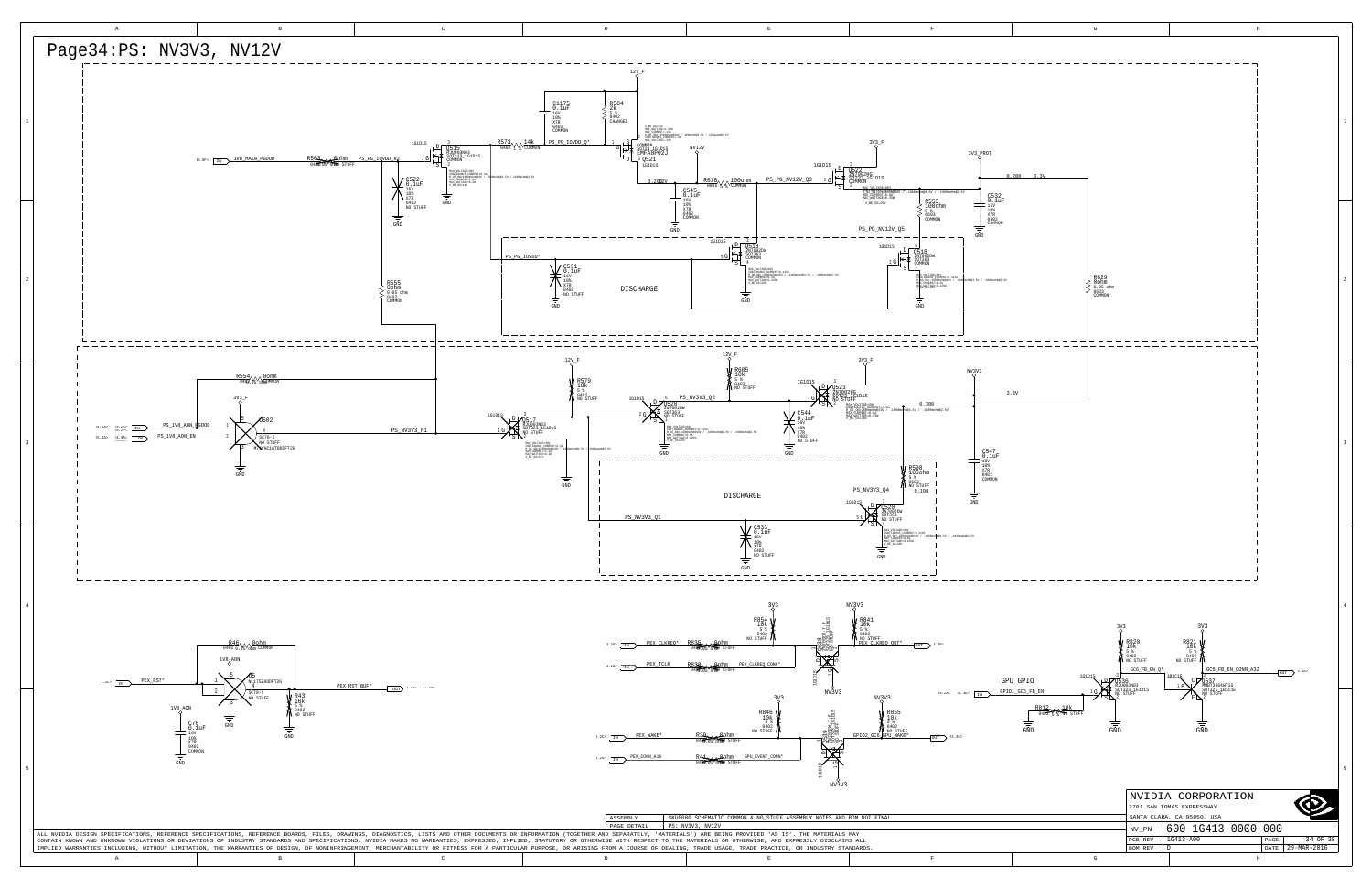<span id="page-33-8"></span><span id="page-33-7"></span><span id="page-33-6"></span><span id="page-33-5"></span><span id="page-33-4"></span><span id="page-33-3"></span><span id="page-33-2"></span><span id="page-33-1"></span><span id="page-33-0"></span>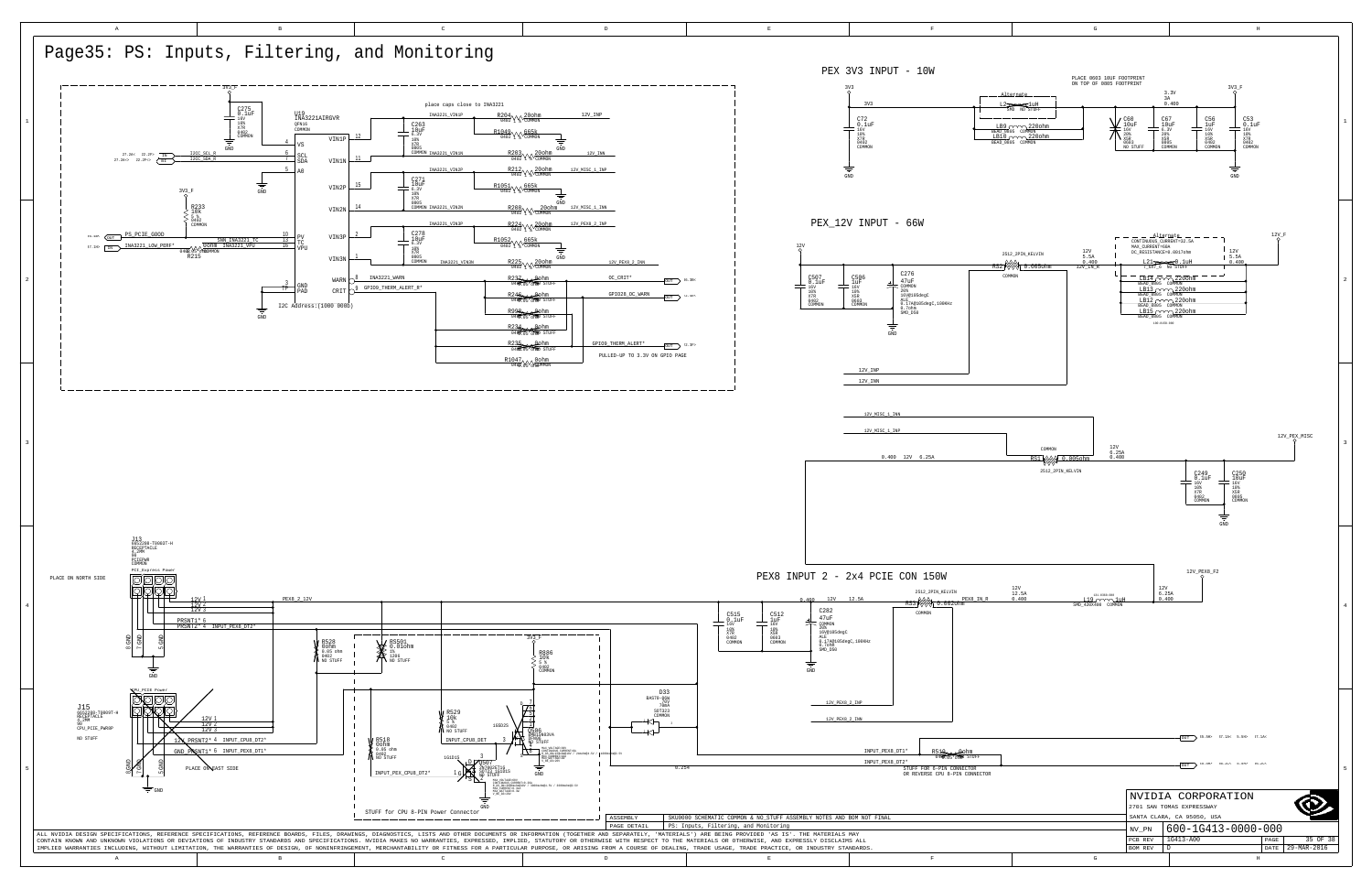<span id="page-34-3"></span><span id="page-34-2"></span><span id="page-34-1"></span><span id="page-34-0"></span>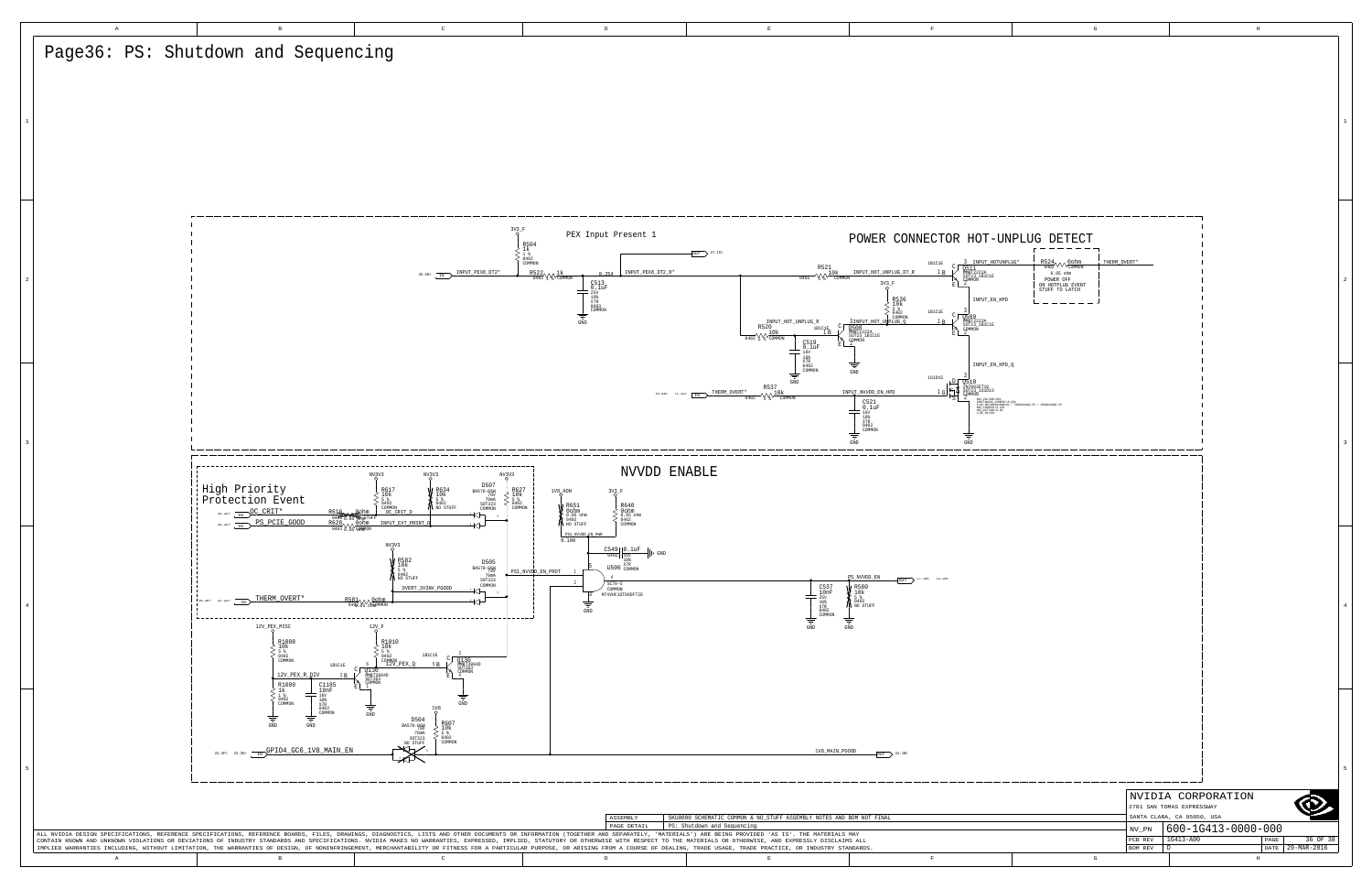<span id="page-35-7"></span><span id="page-35-6"></span><span id="page-35-5"></span><span id="page-35-4"></span><span id="page-35-3"></span><span id="page-35-2"></span><span id="page-35-1"></span><span id="page-35-0"></span>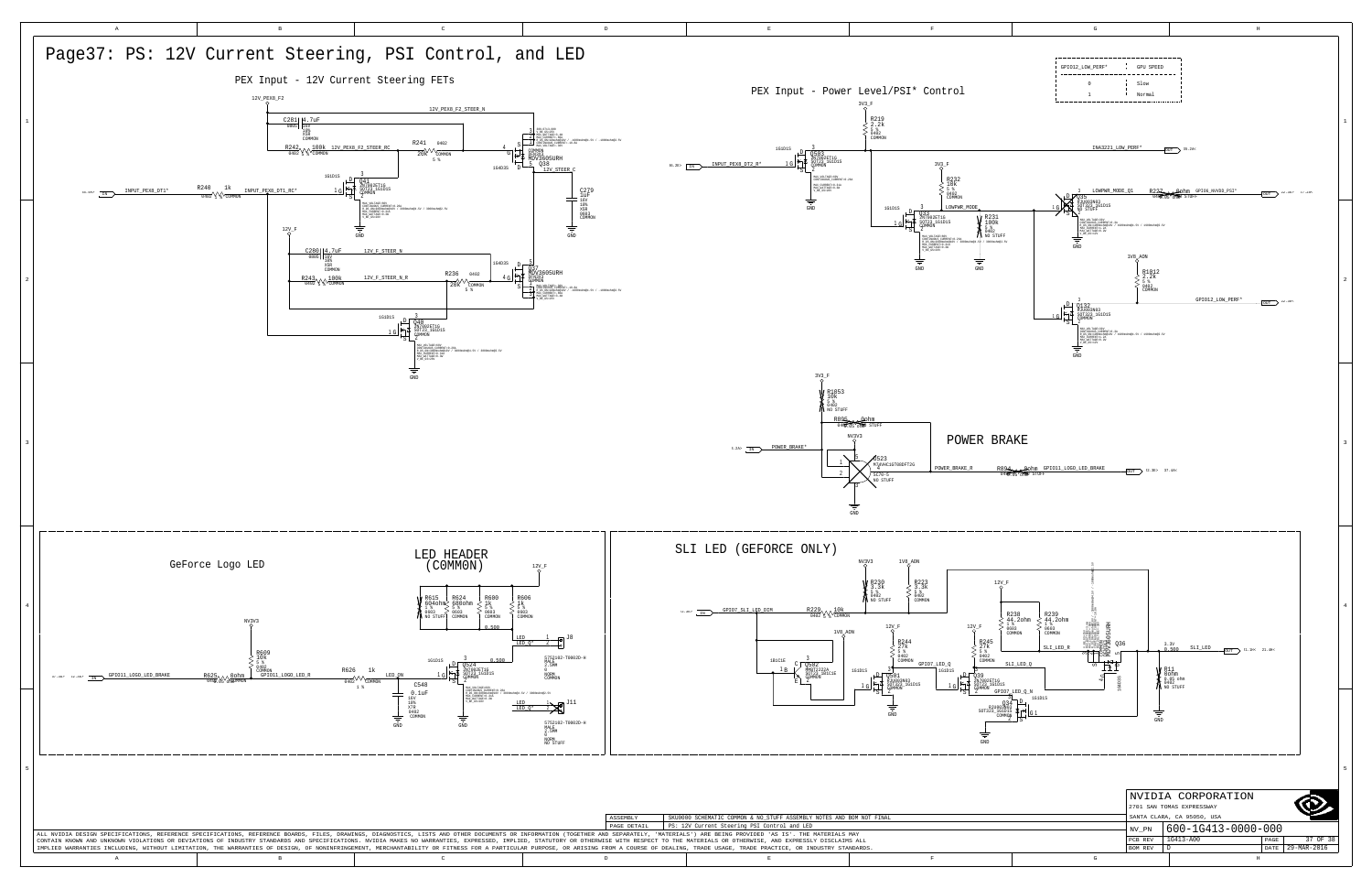<span id="page-36-8"></span><span id="page-36-7"></span><span id="page-36-6"></span><span id="page-36-5"></span><span id="page-36-4"></span><span id="page-36-3"></span><span id="page-36-2"></span><span id="page-36-1"></span><span id="page-36-0"></span>